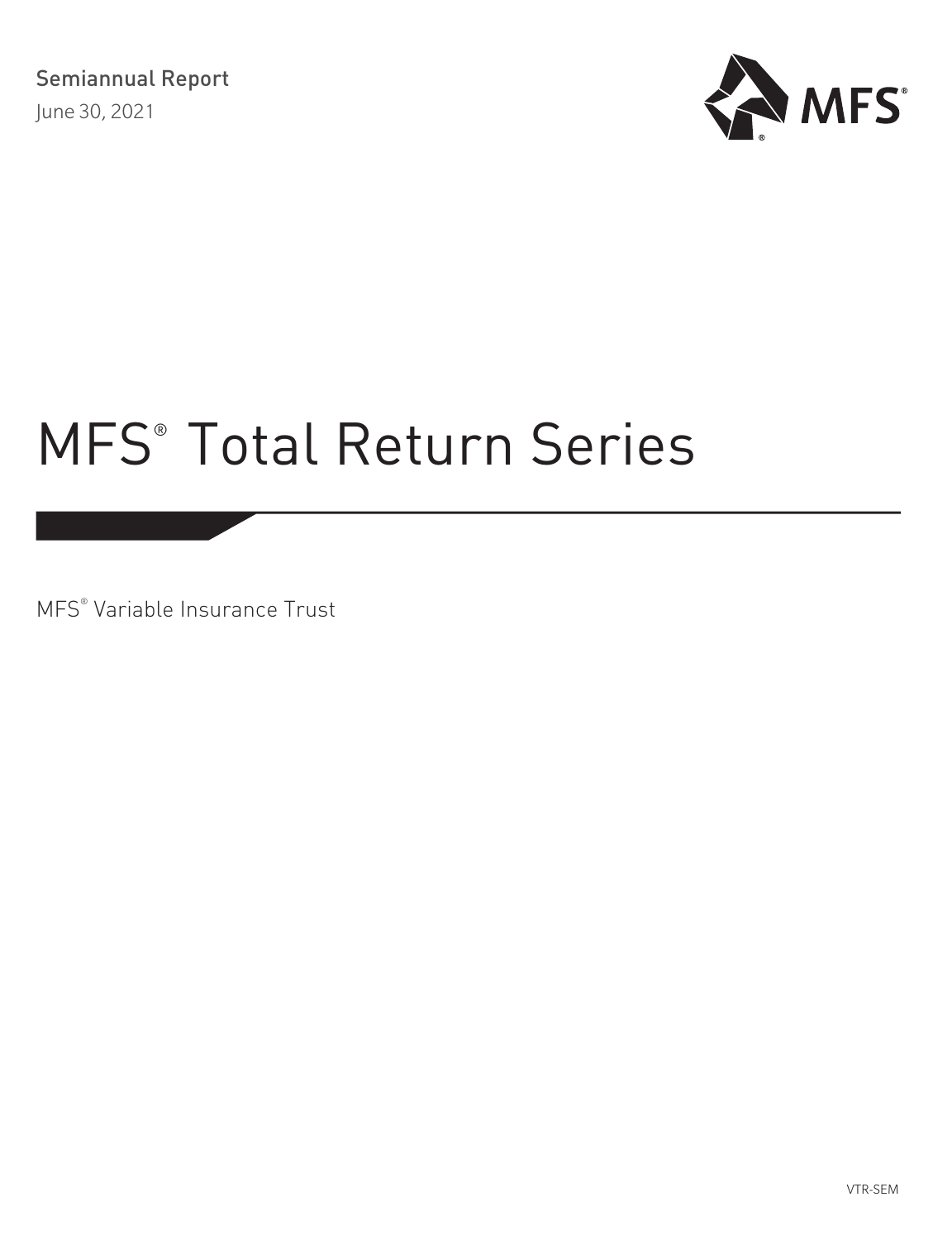

MFS® Variable Insurance Trust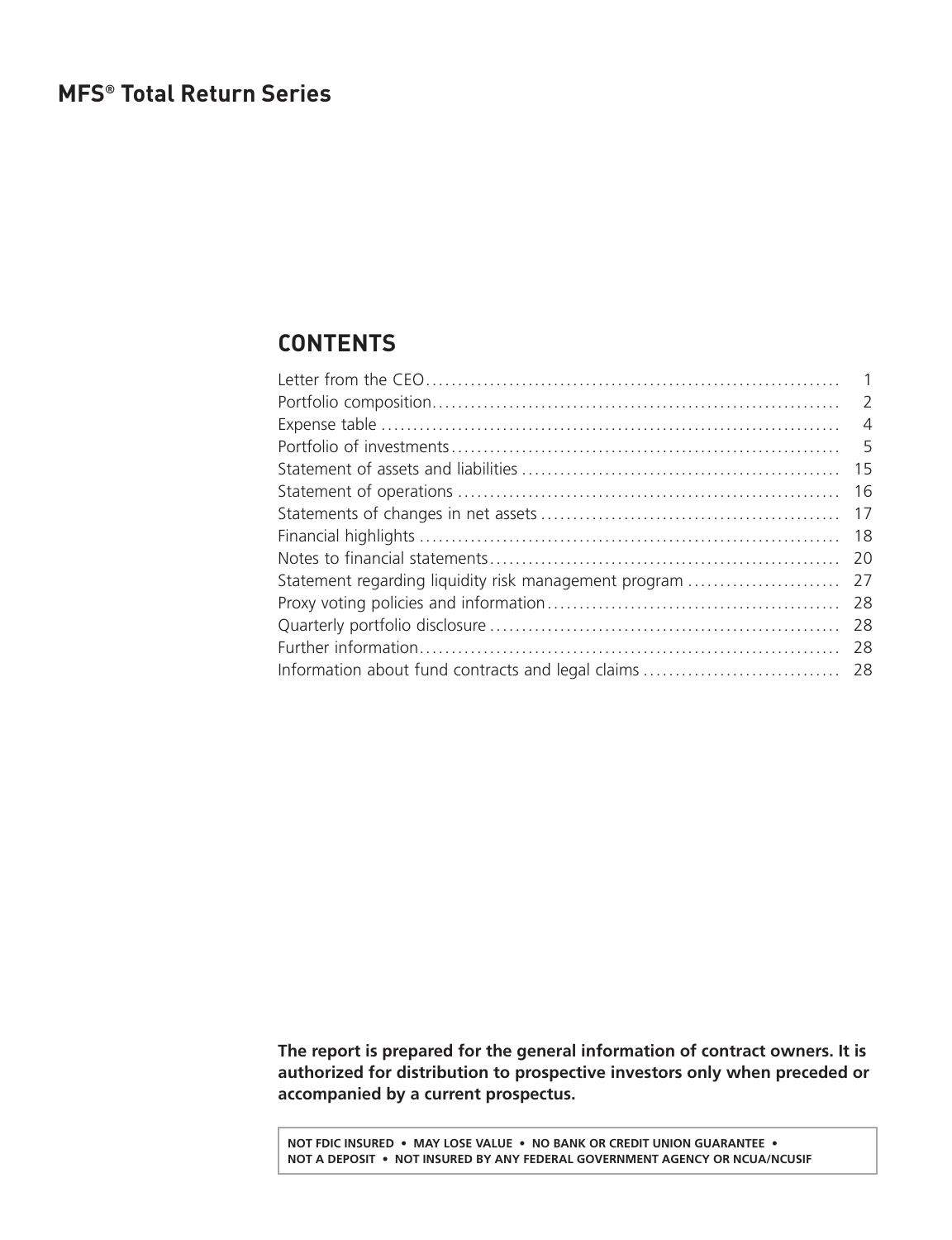# <span id="page-1-0"></span>**CONTENTS**

|                                                       | 5   |
|-------------------------------------------------------|-----|
|                                                       | 15  |
|                                                       | -16 |
|                                                       | 17  |
|                                                       | 18  |
|                                                       | 20  |
| Statement regarding liquidity risk management program | 27  |
|                                                       | 28  |
|                                                       | -28 |
|                                                       | -28 |
|                                                       |     |
|                                                       |     |

**The report is prepared for the general information of contract owners. It is authorized for distribution to prospective investors only when preceded or accompanied by a current prospectus.**

**NOT FDIC INSURED • MAY LOSE VALUE • NO BANK OR CREDIT UNION GUARANTEE • NOT A DEPOSIT • NOT INSURED BY ANY FEDERAL GOVERNMENT AGENCY OR NCUA/NCUSIF**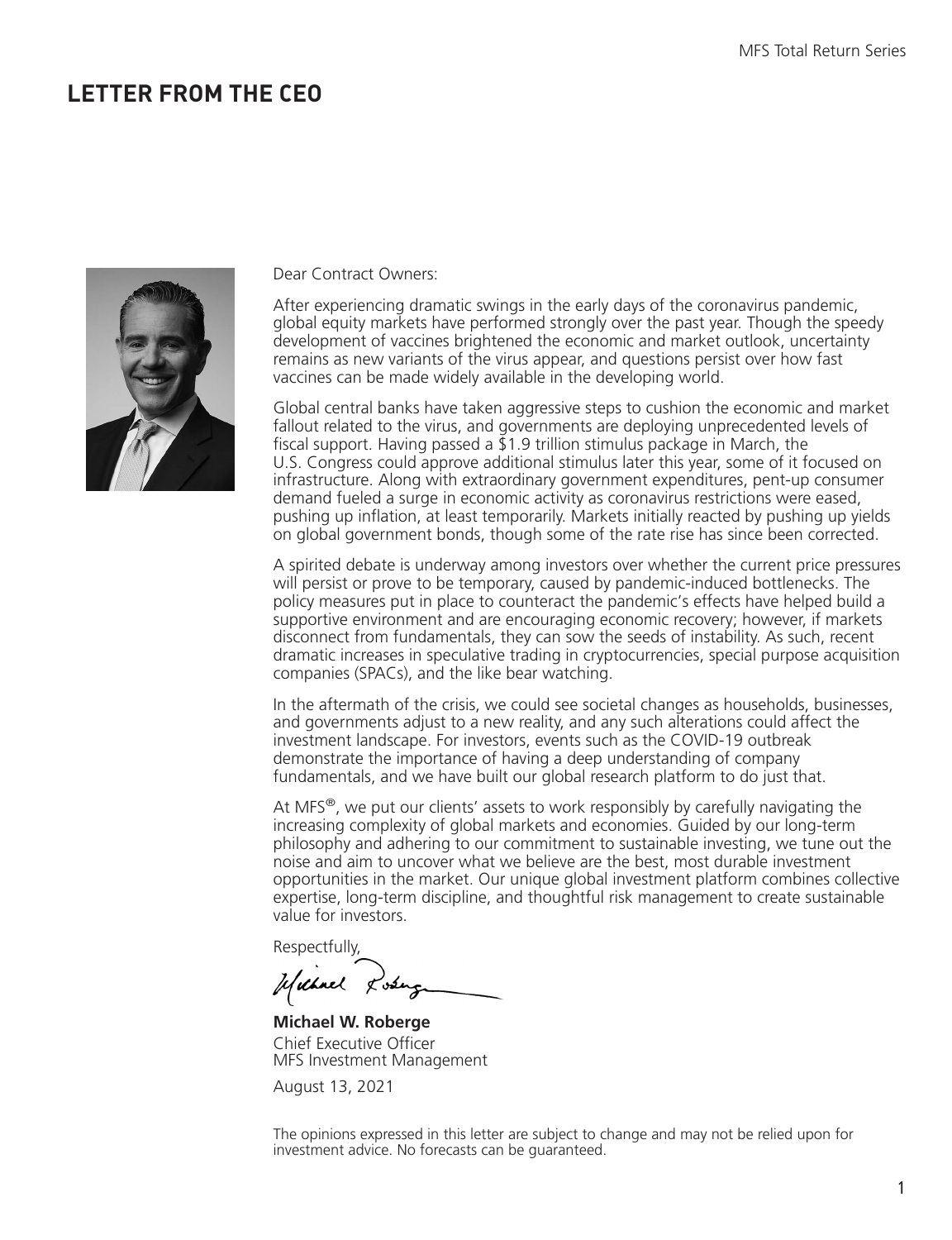# <span id="page-2-0"></span>**LETTER FROM THE CEO**



Dear Contract Owners:

After experiencing dramatic swings in the early days of the coronavirus pandemic, global equity markets have performed strongly over the past year. Though the speedy development of vaccines brightened the economic and market outlook, uncertainty remains as new variants of the virus appear, and questions persist over how fast vaccines can be made widely available in the developing world.

Global central banks have taken aggressive steps to cushion the economic and market fallout related to the virus, and governments are deploying unprecedented levels of fiscal support. Having passed a  $\overline{2}1.9$  trillion stimulus package in March, the U.S. Congress could approve additional stimulus later this year, some of it focused on infrastructure. Along with extraordinary government expenditures, pent-up consumer demand fueled a surge in economic activity as coronavirus restrictions were eased, pushing up inflation, at least temporarily. Markets initially reacted by pushing up yields on global government bonds, though some of the rate rise has since been corrected.

A spirited debate is underway among investors over whether the current price pressures will persist or prove to be temporary, caused by pandemic-induced bottlenecks. The policy measures put in place to counteract the pandemic's effects have helped build a supportive environment and are encouraging economic recovery; however, if markets disconnect from fundamentals, they can sow the seeds of instability. As such, recent dramatic increases in speculative trading in cryptocurrencies, special purpose acquisition companies (SPACs), and the like bear watching.

In the aftermath of the crisis, we could see societal changes as households, businesses, and governments adjust to a new reality, and any such alterations could affect the investment landscape. For investors, events such as the COVID-19 outbreak demonstrate the importance of having a deep understanding of company fundamentals, and we have built our global research platform to do just that.

At MFS $^{\circ}$ , we put our clients' assets to work responsibly by carefully navigating the increasing complexity of global markets and economies. Guided by our long-term philosophy and adhering to our commitment to sustainable investing, we tune out the noise and aim to uncover what we believe are the best, most durable investment opportunities in the market. Our unique global investment platform combines collective expertise, long-term discipline, and thoughtful risk management to create sustainable value for investors.

Respectfully,

Michael Rosing

**Michael W. Roberge** Chief Executive Officer MFS Investment Management

August 13, 2021

The opinions expressed in this letter are subject to change and may not be relied upon for investment advice. No forecasts can be guaranteed.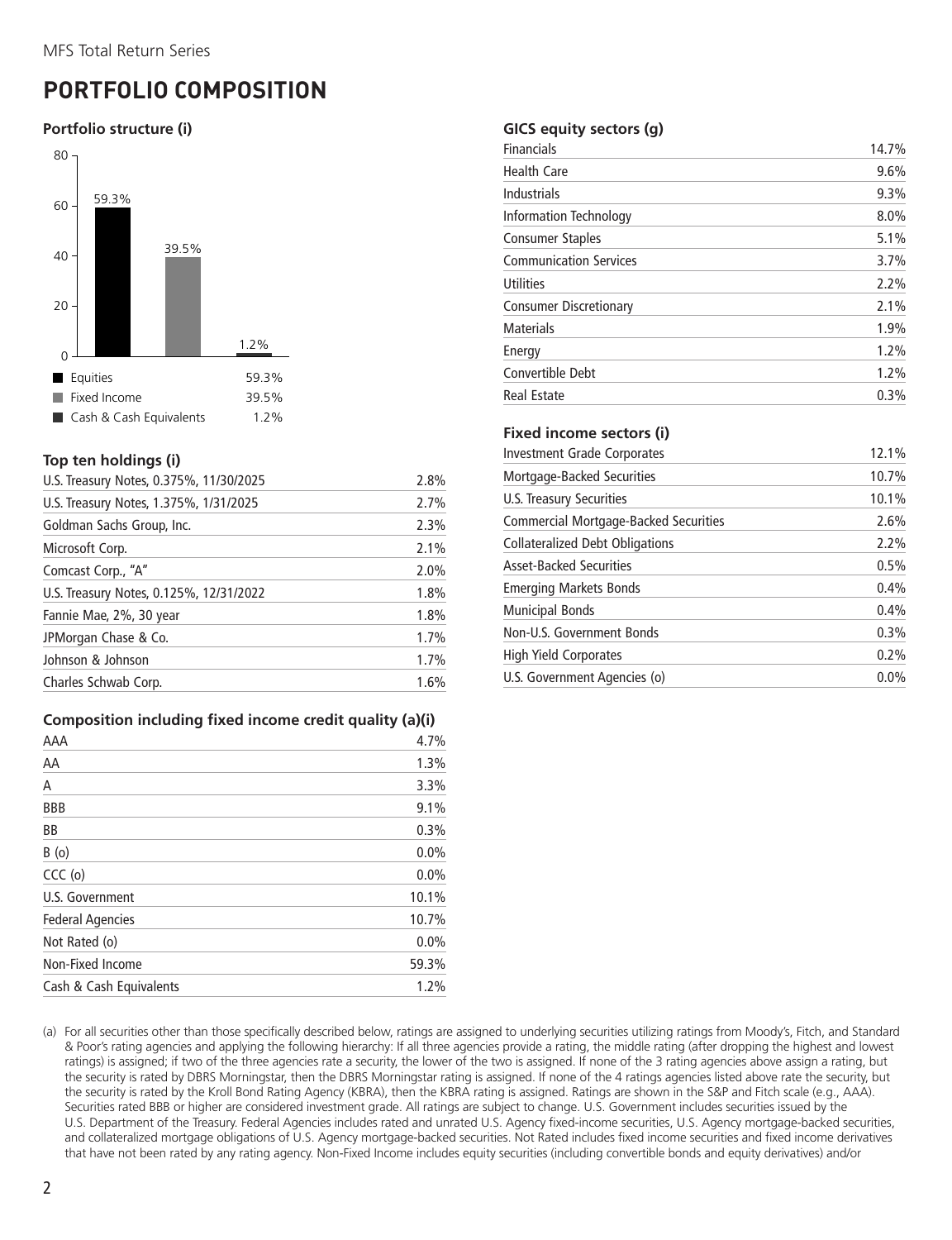# <span id="page-3-0"></span>**PORTFOLIO COMPOSITION**

### **Portfolio structure (i)**



#### **Top ten holdings (i)**

| U.S. Treasury Notes, 0.375%, 11/30/2025 | 2.8% |
|-----------------------------------------|------|
| U.S. Treasury Notes, 1.375%, 1/31/2025  | 2.7% |
| Goldman Sachs Group, Inc.               | 2.3% |
| Microsoft Corp.                         | 2.1% |
| Comcast Corp., "A"                      | 2.0% |
| U.S. Treasury Notes, 0.125%, 12/31/2022 | 1.8% |
| Fannie Mae, 2%, 30 year                 | 1.8% |
| JPMorgan Chase & Co.                    | 1.7% |
| Johnson & Johnson                       | 1.7% |
| Charles Schwab Corp.                    | 1.6% |

#### **Composition including fixed income credit quality (a)(i)**

| AAA                     | 4.7%    |
|-------------------------|---------|
| AA                      | 1.3%    |
| Α                       | 3.3%    |
| <b>BBB</b>              | 9.1%    |
| BB                      | 0.3%    |
| B(0)                    | 0.0%    |
| $CCC$ (o)               | $0.0\%$ |
| U.S. Government         | 10.1%   |
| <b>Federal Agencies</b> | 10.7%   |
| Not Rated (o)           | $0.0\%$ |
| Non-Fixed Income        | 59.3%   |
| Cash & Cash Equivalents | 1.2%    |

#### **GICS equity sectors (g)**

| Financials                    | 14.7% |
|-------------------------------|-------|
| <b>Health Care</b>            | 9.6%  |
| Industrials                   | 9.3%  |
| <b>Information Technology</b> | 8.0%  |
| <b>Consumer Staples</b>       | 5.1%  |
| <b>Communication Services</b> | 3.7%  |
| Utilities                     | 2.2%  |
| <b>Consumer Discretionary</b> | 2.1%  |
| <b>Materials</b>              | 1.9%  |
| Energy                        | 1.2%  |
| Convertible Debt              | 1.2%  |
| <b>Real Estate</b>            | 0.3%  |

#### **Fixed income sectors (i)**

| Investment Grade Corporates           | 12.1% |
|---------------------------------------|-------|
| Mortgage-Backed Securities            | 10.7% |
| U.S. Treasury Securities              | 10.1% |
| Commercial Mortgage-Backed Securities | 2.6%  |
| Collateralized Debt Obligations       | 2.2%  |
| <b>Asset-Backed Securities</b>        | 0.5%  |
| <b>Emerging Markets Bonds</b>         | 0.4%  |
| <b>Municipal Bonds</b>                | 0.4%  |
| Non-U.S. Government Bonds             | 0.3%  |
| <b>High Yield Corporates</b>          | 0.2%  |
| U.S. Government Agencies (o)          | 0.0%  |

(a) For all securities other than those specifically described below, ratings are assigned to underlying securities utilizing ratings from Moody's, Fitch, and Standard & Poor's rating agencies and applying the following hierarchy: If all three agencies provide a rating, the middle rating (after dropping the highest and lowest ratings) is assigned; if two of the three agencies rate a security, the lower of the two is assigned. If none of the 3 rating agencies above assign a rating, but the security is rated by DBRS Morningstar, then the DBRS Morningstar rating is assigned. If none of the 4 ratings agencies listed above rate the security, but the security is rated by the Kroll Bond Rating Agency (KBRA), then the KBRA rating is assigned. Ratings are shown in the S&P and Fitch scale (e.g., AAA). Securities rated BBB or higher are considered investment grade. All ratings are subject to change. U.S. Government includes securities issued by the U.S. Department of the Treasury. Federal Agencies includes rated and unrated U.S. Agency fixed-income securities, U.S. Agency mortgage-backed securities, and collateralized mortgage obligations of U.S. Agency mortgage-backed securities. Not Rated includes fixed income securities and fixed income derivatives that have not been rated by any rating agency. Non-Fixed Income includes equity securities (including convertible bonds and equity derivatives) and/or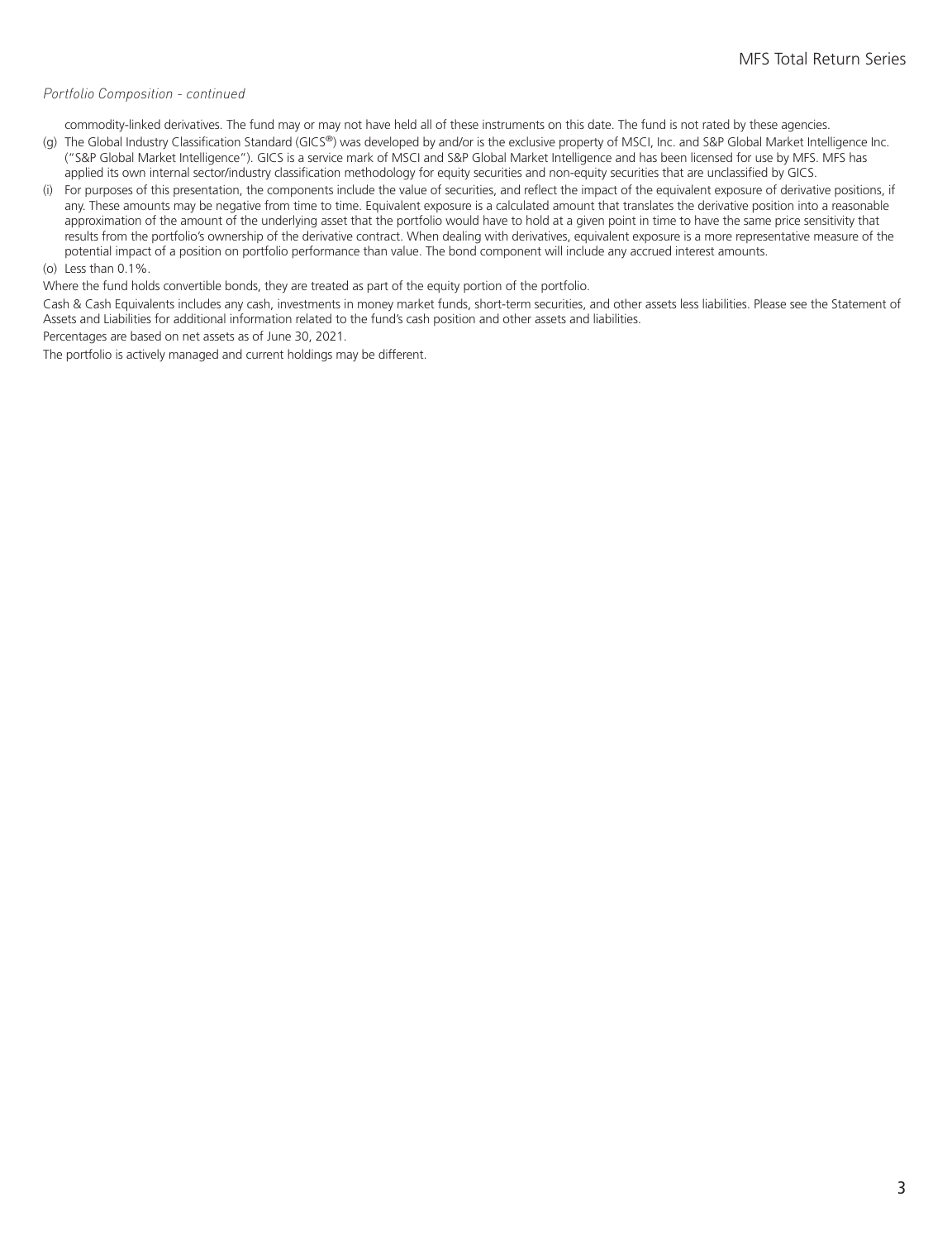#### *Portfolio Composition - continued*

commodity-linked derivatives. The fund may or may not have held all of these instruments on this date. The fund is not rated by these agencies.

- (g) The Global Industry Classification Standard (GICS®) was developed by and/or is the exclusive property of MSCI, Inc. and S&P Global Market Intelligence Inc. ("S&P Global Market Intelligence"). GICS is a service mark of MSCI and S&P Global Market Intelligence and has been licensed for use by MFS. MFS has applied its own internal sector/industry classification methodology for equity securities and non-equity securities that are unclassified by GICS.
- (i) For purposes of this presentation, the components include the value of securities, and reflect the impact of the equivalent exposure of derivative positions, if any. These amounts may be negative from time to time. Equivalent exposure is a calculated amount that translates the derivative position into a reasonable approximation of the amount of the underlying asset that the portfolio would have to hold at a given point in time to have the same price sensitivity that results from the portfolio's ownership of the derivative contract. When dealing with derivatives, equivalent exposure is a more representative measure of the potential impact of a position on portfolio performance than value. The bond component will include any accrued interest amounts.

#### (o) Less than 0.1%.

Where the fund holds convertible bonds, they are treated as part of the equity portion of the portfolio.

Cash & Cash Equivalents includes any cash, investments in money market funds, short-term securities, and other assets less liabilities. Please see the Statement of Assets and Liabilities for additional information related to the fund's cash position and other assets and liabilities.

Percentages are based on net assets as of June 30, 2021.

The portfolio is actively managed and current holdings may be different.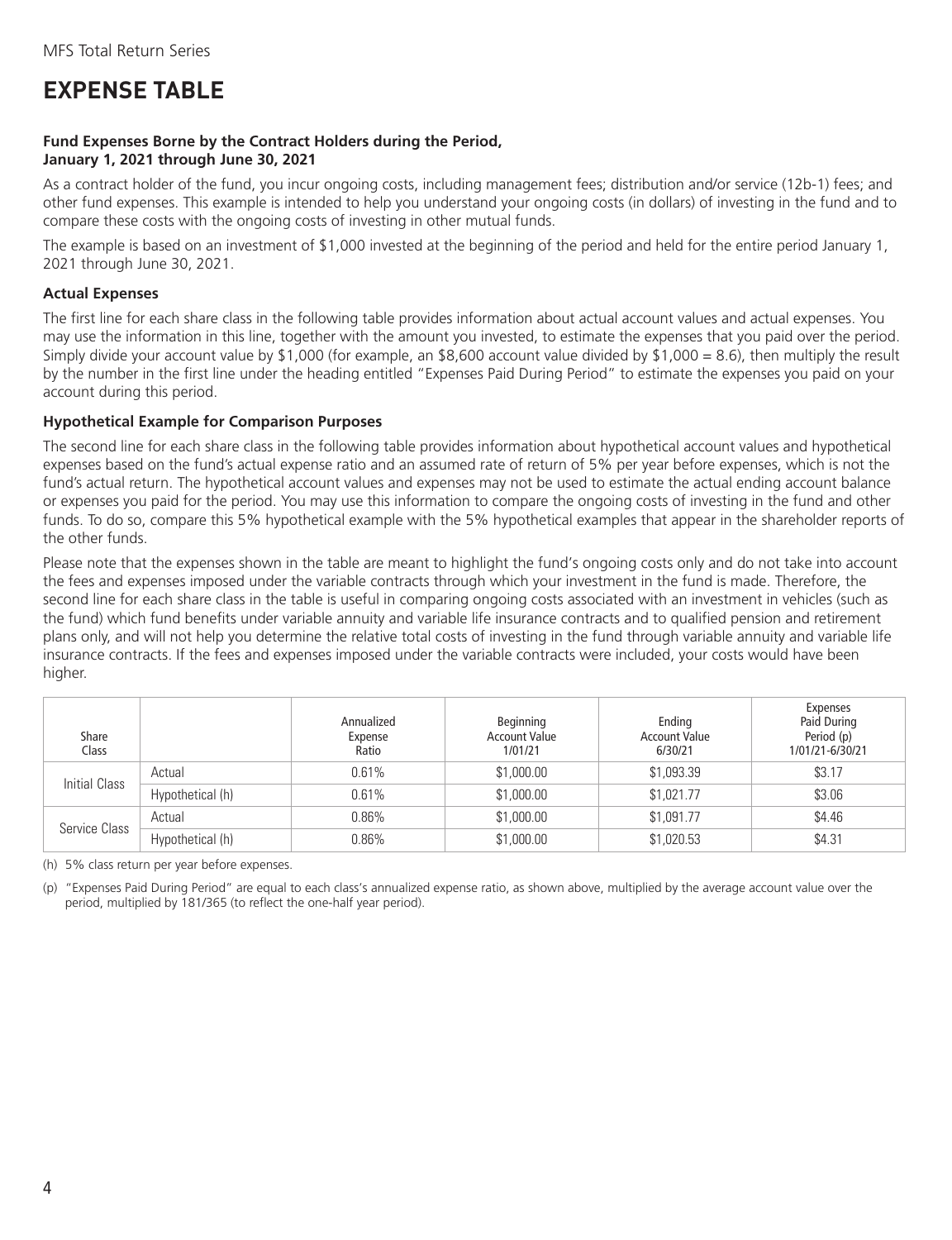# <span id="page-5-0"></span>**EXPENSE TABLE**

#### **Fund Expenses Borne by the Contract Holders during the Period, January 1, 2021 through June 30, 2021**

As a contract holder of the fund, you incur ongoing costs, including management fees; distribution and/or service (12b-1) fees; and other fund expenses. This example is intended to help you understand your ongoing costs (in dollars) of investing in the fund and to compare these costs with the ongoing costs of investing in other mutual funds.

The example is based on an investment of \$1,000 invested at the beginning of the period and held for the entire period January 1, 2021 through June 30, 2021.

#### **Actual Expenses**

The first line for each share class in the following table provides information about actual account values and actual expenses. You may use the information in this line, together with the amount you invested, to estimate the expenses that you paid over the period. Simply divide your account value by \$1,000 (for example, an \$8,600 account value divided by \$1,000 = 8.6), then multiply the result by the number in the first line under the heading entitled "Expenses Paid During Period" to estimate the expenses you paid on your account during this period.

#### **Hypothetical Example for Comparison Purposes**

The second line for each share class in the following table provides information about hypothetical account values and hypothetical expenses based on the fund's actual expense ratio and an assumed rate of return of 5% per year before expenses, which is not the fund's actual return. The hypothetical account values and expenses may not be used to estimate the actual ending account balance or expenses you paid for the period. You may use this information to compare the ongoing costs of investing in the fund and other funds. To do so, compare this 5% hypothetical example with the 5% hypothetical examples that appear in the shareholder reports of the other funds.

Please note that the expenses shown in the table are meant to highlight the fund's ongoing costs only and do not take into account the fees and expenses imposed under the variable contracts through which your investment in the fund is made. Therefore, the second line for each share class in the table is useful in comparing ongoing costs associated with an investment in vehicles (such as the fund) which fund benefits under variable annuity and variable life insurance contracts and to qualified pension and retirement plans only, and will not help you determine the relative total costs of investing in the fund through variable annuity and variable life insurance contracts. If the fees and expenses imposed under the variable contracts were included, your costs would have been higher.

| Share<br>Class |                  | Annualized<br>Expense<br>Ratio | Beginning<br><b>Account Value</b><br>1/01/21 | Ending<br><b>Account Value</b><br>6/30/21 | Expenses<br>Paid During<br>Period (p)<br>1/01/21-6/30/21 |
|----------------|------------------|--------------------------------|----------------------------------------------|-------------------------------------------|----------------------------------------------------------|
| Initial Class  | Actual           | 0.61%                          | \$1,000.00                                   | \$1,093.39                                | \$3.17                                                   |
|                | Hypothetical (h) | 0.61%                          | \$1,000.00                                   | \$1,021.77                                | \$3.06                                                   |
|                | Actual           | $0.86\%$                       | \$1,000.00                                   | \$1,091.77                                | \$4.46                                                   |
| Service Class  | Hypothetical (h) | $0.86\%$                       | \$1,000.00                                   | \$1,020.53                                | \$4.31                                                   |

(h) 5% class return per year before expenses.

(p) "Expenses Paid During Period" are equal to each class's annualized expense ratio, as shown above, multiplied by the average account value over the period, multiplied by 181/365 (to reflect the one-half year period).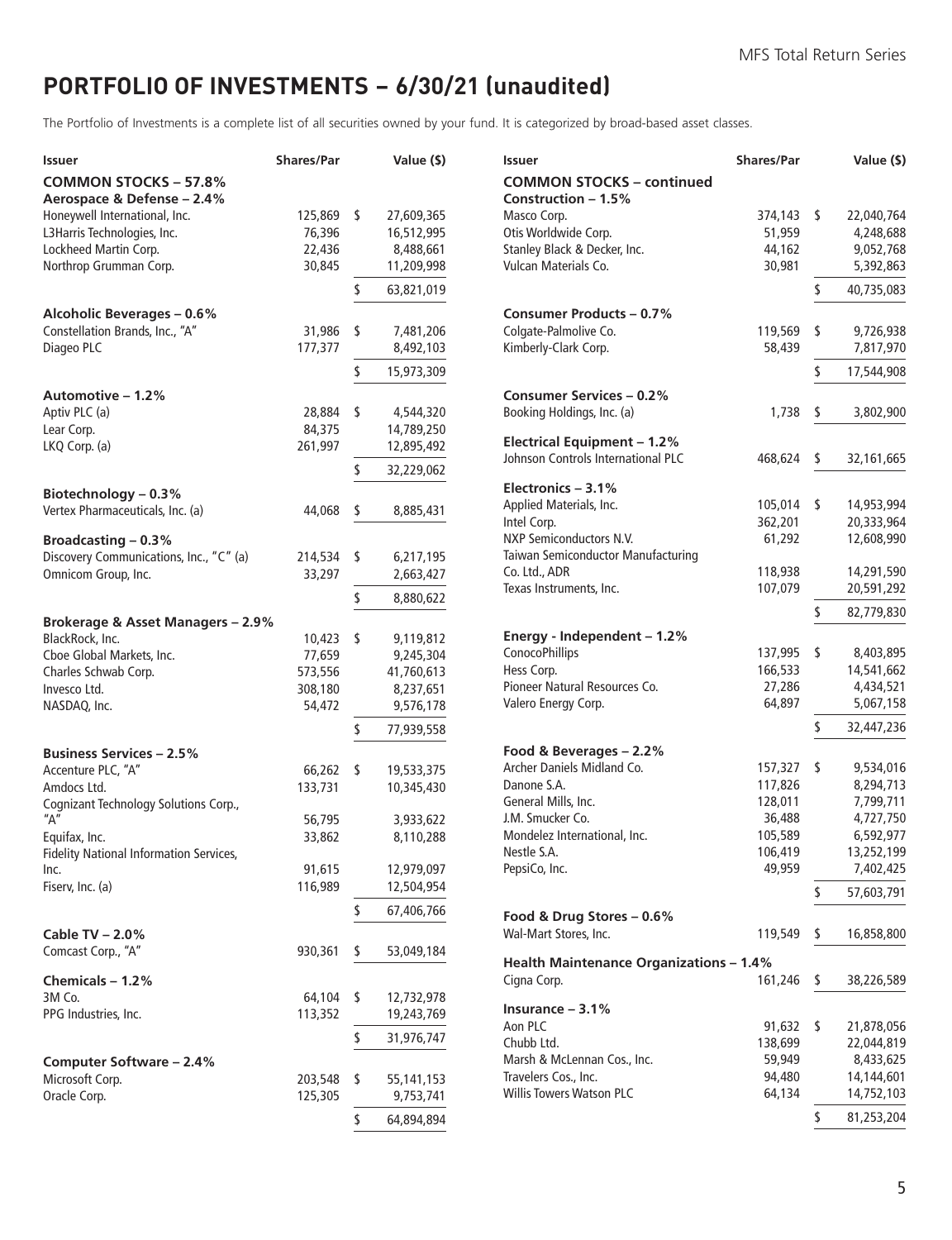# <span id="page-6-0"></span>**PORTFOLIO OF INVESTMENTS − 6/30/21 (unaudited)**

The Portfolio of Investments is a complete list of all securities owned by your fund. It is categorized by broad-based asset classes.

| Issuer                                                     | <b>Shares/Par</b>  | Value (\$)              |
|------------------------------------------------------------|--------------------|-------------------------|
| <b>COMMON STOCKS - 57.8%</b><br>Aerospace & Defense - 2.4% |                    |                         |
| Honeywell International, Inc.                              | 125,869            | \$<br>27,609,365        |
| L3Harris Technologies, Inc.                                | 76,396             | 16,512,995              |
| Lockheed Martin Corp.                                      | 22,436             | 8,488,661               |
| Northrop Grumman Corp.                                     | 30,845             | 11,209,998              |
|                                                            |                    | \$<br>63,821,019        |
| <b>Alcoholic Beverages - 0.6%</b>                          |                    |                         |
| Constellation Brands, Inc., "A"                            | 31,986             | \$<br>7,481,206         |
| Diageo PLC                                                 | 177,377            | 8,492,103               |
|                                                            |                    | \$<br>15,973,309        |
| Automotive – 1.2%                                          |                    |                         |
| Aptiv PLC (a)                                              | 28,884             | \$<br>4,544,320         |
| Lear Corp.                                                 | 84,375             | 14,789,250              |
| LKQ Corp. (a)                                              | 261,997            | 12,895,492              |
|                                                            |                    | \$<br>32,229,062        |
| Biotechnology - 0.3%                                       |                    |                         |
| Vertex Pharmaceuticals, Inc. (a)                           | 44,068             | \$<br>8,885,431         |
| <b>Broadcasting - 0.3%</b>                                 |                    |                         |
| Discovery Communications, Inc., "C" (a)                    | 214,534            | \$<br>6,217,195         |
| Omnicom Group, Inc.                                        | 33,297             | 2,663,427               |
|                                                            |                    | \$<br>8,880,622         |
| Brokerage & Asset Managers - 2.9%                          |                    |                         |
| BlackRock, Inc.                                            | 10,423             | \$<br>9,119,812         |
| Cboe Global Markets, Inc.                                  | 77,659             | 9,245,304               |
| Charles Schwab Corp.                                       | 573,556            | 41,760,613              |
| Invesco Ltd.                                               | 308,180            | 8,237,651               |
| NASDAQ, Inc.                                               | 54,472             | 9,576,178               |
|                                                            |                    | \$<br>77,939,558        |
| <b>Business Services - 2.5%</b>                            |                    |                         |
| Accenture PLC, "A"                                         | 66,262             | \$<br>19,533,375        |
| Amdocs Ltd.                                                | 133,731            | 10,345,430              |
| Cognizant Technology Solutions Corp.,                      |                    |                         |
| "А"                                                        | 56,795             | 3,933,622               |
| Equifax, Inc.                                              | 33,862             | 8,110,288               |
| Fidelity National Information Services,                    | 91,615             | 12,979,097              |
| Inc.<br>Fiserv, Inc. (a)                                   | 116,989            | 12,504,954              |
|                                                            |                    |                         |
| Cable TV - 2.0%                                            |                    | \$<br>67,406,766        |
| Comcast Corp., "A"                                         | 930,361            |                         |
|                                                            |                    | \$<br>53,049,184        |
| Chemicals - 1.2%                                           |                    |                         |
| 3M Co.                                                     | 64,104             | \$<br>12,732,978        |
| PPG Industries, Inc.                                       | 113,352            | 19,243,769              |
|                                                            |                    | \$<br>31,976,747        |
| Computer Software - 2.4%<br>Microsoft Corp.                |                    | \$                      |
| Oracle Corp.                                               | 203,548<br>125,305 | 55,141,153<br>9,753,741 |
|                                                            |                    |                         |
|                                                            |                    | \$<br>64,894,894        |

| Issuer                                                  | <b>Shares/Par</b>  |    | Value (\$)               |
|---------------------------------------------------------|--------------------|----|--------------------------|
| <b>COMMON STOCKS - continued</b>                        |                    |    |                          |
| Construction – 1.5%                                     |                    |    |                          |
| Masco Corp.                                             | 374,143            | \$ | 22,040,764               |
| Otis Worldwide Corp.                                    | 51,959             |    | 4,248,688                |
| Stanley Black & Decker, Inc.                            | 44,162             |    | 9,052,768                |
| Vulcan Materials Co.                                    | 30,981             |    | 5,392,863                |
|                                                         |                    | \$ | 40,735,083               |
| <b>Consumer Products - 0.7%</b>                         |                    |    |                          |
| Colgate-Palmolive Co.                                   | 119,569            | \$ | 9,726,938                |
| Kimberly-Clark Corp.                                    | 58,439             |    | 7,817,970                |
|                                                         |                    | \$ | 17,544,908               |
|                                                         |                    |    |                          |
| <b>Consumer Services - 0.2%</b>                         |                    |    |                          |
| Booking Holdings, Inc. (a)                              | 1,738              | \$ | 3,802,900                |
| <b>Electrical Equipment - 1.2%</b>                      |                    |    |                          |
| Johnson Controls International PLC                      | 468,624            | \$ | 32,161,665               |
|                                                         |                    |    |                          |
| Electronics - 3.1%                                      |                    |    |                          |
| Applied Materials, Inc.                                 | 105,014            | S  | 14,953,994               |
| Intel Corp.                                             | 362,201            |    | 20,333,964               |
| NXP Semiconductors N.V.                                 | 61,292             |    | 12,608,990               |
| Taiwan Semiconductor Manufacturing<br>Co. Ltd., ADR     |                    |    | 14,291,590               |
| Texas Instruments, Inc.                                 | 118,938<br>107,079 |    | 20,591,292               |
|                                                         |                    |    |                          |
|                                                         |                    | \$ | 82,779,830               |
| Energy - Independent - 1.2%                             |                    |    |                          |
| ConocoPhillips                                          | 137,995            | \$ | 8,403,895                |
| Hess Corp.                                              | 166,533            |    | 14,541,662               |
| Pioneer Natural Resources Co.                           | 27,286             |    | 4,434,521                |
| Valero Energy Corp.                                     | 64,897             |    | 5,067,158                |
|                                                         |                    | \$ | 32,447,236               |
| Food & Beverages - 2.2%                                 |                    |    |                          |
| Archer Daniels Midland Co.                              | 157,327            | \$ | 9,534,016                |
| Danone S.A.                                             | 117,826            |    | 8,294,713                |
| General Mills, Inc.                                     | 128,011            |    | 7,799,711                |
| J.M. Smucker Co.                                        | 36,488             |    | 4,727,750                |
| Mondelez International, Inc.                            | 105,589            |    | 6,592,977                |
| Nestle S.A.                                             | 106,419            |    | 13,252,199               |
| PepsiCo, Inc.                                           | 49,959             |    | 7,402,425                |
|                                                         |                    | \$ | 57,603,791               |
|                                                         |                    |    |                          |
| Food & Drug Stores - 0.6%                               |                    |    |                          |
| Wal-Mart Stores, Inc.                                   | 119,549            | \$ | 16,858,800               |
| <b>Health Maintenance Organizations - 1.4%</b>          |                    |    |                          |
| Cigna Corp.                                             | 161,246            | \$ | 38,226,589               |
|                                                         |                    |    |                          |
| Insurance - 3.1%                                        |                    |    |                          |
| Aon PLC                                                 | 91,632             | \$ | 21,878,056               |
| Chubb Ltd.                                              | 138,699            |    | 22,044,819               |
| Marsh & McLennan Cos., Inc.                             | 59,949             |    | 8,433,625                |
| Travelers Cos., Inc.<br><b>Willis Towers Watson PLC</b> | 94,480<br>64,134   |    | 14,144,601<br>14,752,103 |
|                                                         |                    |    |                          |
|                                                         |                    | \$ | 81,253,204               |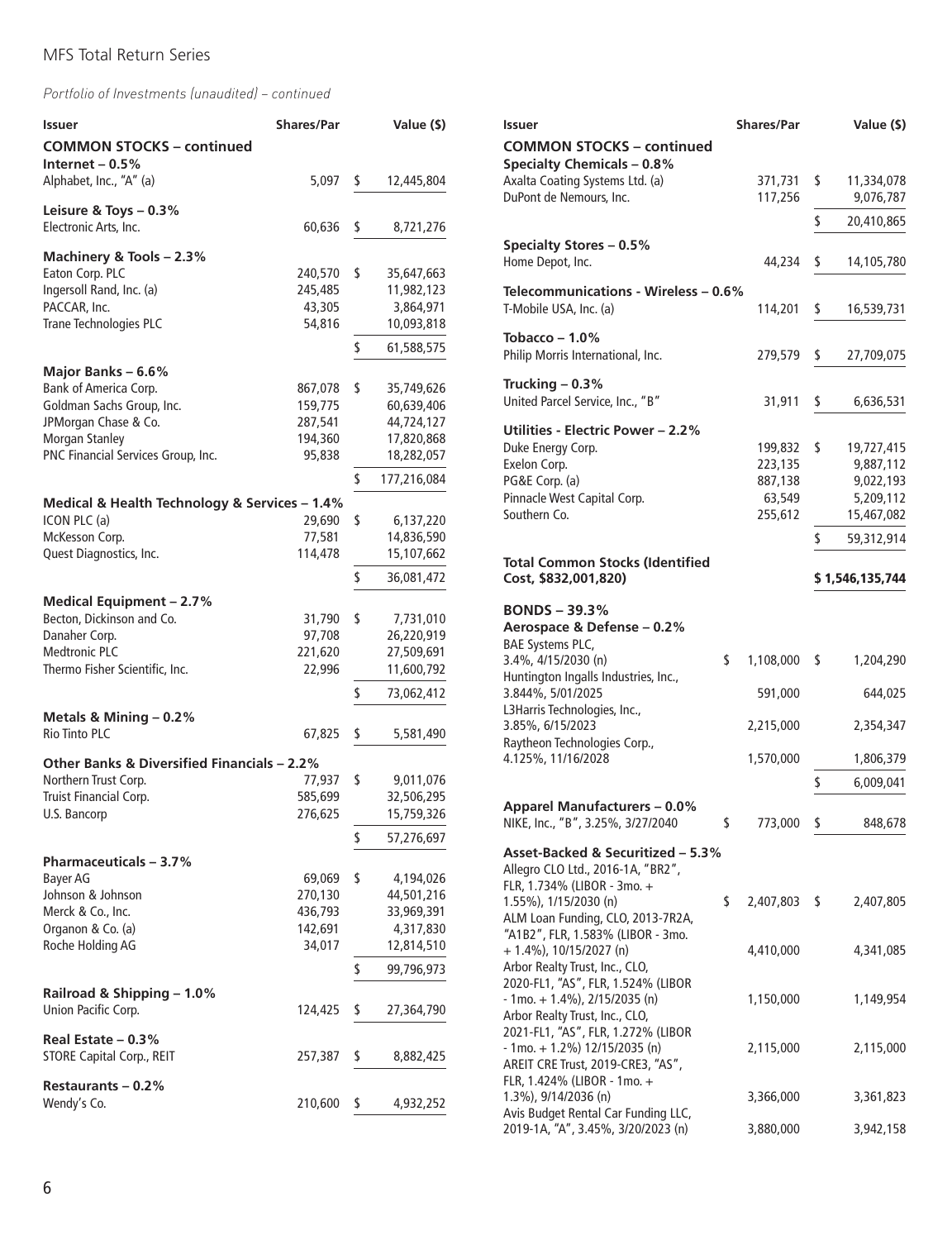| <b>Issuer</b>                                         | <b>Shares/Par</b>  | Value (\$)                    |
|-------------------------------------------------------|--------------------|-------------------------------|
| <b>COMMON STOCKS - continued</b><br>Internet – $0.5%$ |                    |                               |
| Alphabet, Inc., "A" (a)                               | 5,097              | \$<br>12,445,804              |
| Leisure & Toys $-0.3\%$<br>Electronic Arts, Inc.      | 60,636             | \$<br>8,721,276               |
|                                                       |                    |                               |
| Machinery & Tools - 2.3%<br>Eaton Corp. PLC           | 240,570            | \$<br>35,647,663              |
| Ingersoll Rand, Inc. (a)                              | 245,485            | 11,982,123                    |
| PACCAR, Inc.                                          | 43,305             | 3,864,971                     |
| Trane Technologies PLC                                | 54,816             | 10,093,818                    |
|                                                       |                    | \$<br>61,588,575              |
| Major Banks - 6.6%                                    |                    |                               |
| Bank of America Corp.                                 | 867,078            | \$<br>35,749,626              |
| Goldman Sachs Group, Inc.                             | 159,775            | 60,639,406                    |
| JPMorgan Chase & Co.                                  | 287,541            | 44,724,127                    |
| Morgan Stanley                                        | 194,360            | 17,820,868                    |
| PNC Financial Services Group, Inc.                    | 95,838             | 18,282,057                    |
|                                                       |                    | \$<br>177,216,084             |
| Medical & Health Technology & Services - 1.4%         |                    |                               |
| ICON PLC (a)<br>McKesson Corp.                        | 29,690<br>77,581   | \$<br>6,137,220<br>14,836,590 |
| Quest Diagnostics, Inc.                               | 114,478            | 15,107,662                    |
|                                                       |                    | \$<br>36,081,472              |
|                                                       |                    |                               |
| Medical Equipment - 2.7%<br>Becton, Dickinson and Co. | 31,790             | \$                            |
| Danaher Corp.                                         | 97,708             | 7,731,010<br>26,220,919       |
| <b>Medtronic PLC</b>                                  | 221,620            | 27,509,691                    |
| Thermo Fisher Scientific, Inc.                        | 22,996             | 11,600,792                    |
|                                                       |                    | \$<br>73,062,412              |
| Metals & Mining - 0.2%                                |                    |                               |
| <b>Rio Tinto PLC</b>                                  | 67,825             | \$<br>5,581,490               |
| Other Banks & Diversified Financials - 2.2%           |                    |                               |
| Northern Trust Corp.                                  | 77,937             | \$<br>9,011,076               |
| Truist Financial Corp.                                | 585,699            | 32,506,295                    |
| U.S. Bancorp                                          | 276,625            | 15,759,326                    |
|                                                       |                    | \$<br>57,276,697              |
| <b>Pharmaceuticals - 3.7%</b>                         |                    |                               |
| Bayer AG<br>Johnson & Johnson                         | 69,069             | \$<br>4,194,026               |
| Merck & Co., Inc.                                     | 270,130<br>436,793 | 44,501,216<br>33,969,391      |
| Organon & Co. (a)                                     | 142,691            | 4,317,830                     |
| Roche Holding AG                                      | 34,017             | 12,814,510                    |
|                                                       |                    | \$<br>99,796,973              |
| Railroad & Shipping - 1.0%                            |                    |                               |
| Union Pacific Corp.                                   | 124,425            | \$<br>27,364,790              |
| Real Estate - 0.3%                                    |                    |                               |
| <b>STORE Capital Corp., REIT</b>                      | 257,387            | \$<br>8,882,425               |
| Restaurants – 0.2%                                    |                    |                               |
| Wendy's Co.                                           | 210,600            | \$<br>4,932,252               |
|                                                       |                    |                               |

| <b>Issuer</b>                                                    | <b>Shares/Par</b> | Value (\$)       |
|------------------------------------------------------------------|-------------------|------------------|
| <b>COMMON STOCKS - continued</b>                                 |                   |                  |
| <b>Specialty Chemicals - 0.8%</b>                                |                   |                  |
| Axalta Coating Systems Ltd. (a)                                  | 371,731           | \$<br>11,334,078 |
| DuPont de Nemours, Inc.                                          | 117,256           | 9,076,787        |
|                                                                  |                   | \$<br>20,410,865 |
|                                                                  |                   |                  |
| <b>Specialty Stores - 0.5%</b><br>Home Depot, Inc.               |                   | \$               |
|                                                                  | 44,234            | 14,105,780       |
| Telecommunications - Wireless - 0.6%                             |                   |                  |
| T-Mobile USA, Inc. (a)                                           | 114,201           | \$<br>16,539,731 |
|                                                                  |                   |                  |
| Tobacco – $1.0\%$                                                |                   |                  |
| Philip Morris International, Inc.                                | 279,579           | \$<br>27,709,075 |
| Trucking $-0.3%$                                                 |                   |                  |
| United Parcel Service, Inc., "B"                                 | 31,911            | \$<br>6,636,531  |
|                                                                  |                   |                  |
| Utilities - Electric Power - 2.2%                                |                   |                  |
| Duke Energy Corp.                                                | 199,832           | \$<br>19,727,415 |
| Exelon Corp.                                                     | 223,135           | 9,887,112        |
| PG&E Corp. (a)                                                   | 887,138           | 9,022,193        |
| Pinnacle West Capital Corp.                                      | 63,549            | 5,209,112        |
| Southern Co.                                                     | 255,612           | 15,467,082       |
|                                                                  |                   | \$<br>59,312,914 |
|                                                                  |                   |                  |
| <b>Total Common Stocks (Identified</b>                           |                   |                  |
| Cost, \$832,001,820)                                             |                   | \$1,546,135,744  |
| <b>BONDS - 39.3%</b>                                             |                   |                  |
| Aerospace & Defense - 0.2%                                       |                   |                  |
| BAE Systems PLC,                                                 |                   |                  |
| 3.4%, 4/15/2030 (n)<br>\$                                        | 1,108,000         | \$<br>1,204,290  |
| Huntington Ingalls Industries, Inc.,                             |                   |                  |
| 3.844%, 5/01/2025                                                | 591,000           | 644,025          |
| L3Harris Technologies, Inc.,                                     |                   |                  |
| 3.85%, 6/15/2023                                                 | 2,215,000         | 2,354,347        |
| Raytheon Technologies Corp.,                                     |                   |                  |
| 4.125%, 11/16/2028                                               | 1,570,000         | 1,806,379        |
|                                                                  |                   | \$<br>6,009,041  |
|                                                                  |                   |                  |
| <b>Apparel Manufacturers - 0.0%</b>                              |                   |                  |
| NIKE, Inc., "B", 3.25%, 3/27/2040<br>\$                          | 773,000           | \$<br>848,678    |
| Asset-Backed & Securitized - 5.3%                                |                   |                  |
| Allegro CLO Ltd., 2016-1A, "BR2",                                |                   |                  |
| FLR, 1.734% (LIBOR - 3mo. +                                      |                   |                  |
| \$<br>1.55%), 1/15/2030 (n)                                      | 2,407,803 \$      | 2,407,805        |
| ALM Loan Funding, CLO, 2013-7R2A,                                |                   |                  |
| "A1B2", FLR, 1.583% (LIBOR - 3mo.                                |                   |                  |
| $+ 1.4\%$ ), 10/15/2027 (n)                                      | 4,410,000         | 4,341,085        |
| Arbor Realty Trust, Inc., CLO,                                   |                   |                  |
| 2020-FL1, "AS", FLR, 1.524% (LIBOR                               |                   |                  |
| $-1$ mo. + 1.4%), 2/15/2035 (n)                                  | 1,150,000         | 1,149,954        |
| Arbor Realty Trust, Inc., CLO,                                   |                   |                  |
| 2021-FL1, "AS", FLR, 1.272% (LIBOR                               |                   |                  |
| $-1$ mo. + 1.2%) 12/15/2035 (n)                                  | 2,115,000         | 2,115,000        |
| AREIT CRE Trust, 2019-CRE3, "AS",<br>FLR, 1.424% (LIBOR - 1mo. + |                   |                  |
| 1.3%), 9/14/2036 (n)                                             | 3,366,000         | 3,361,823        |
| Avis Budget Rental Car Funding LLC,                              |                   |                  |
| 2019-1A, "A", 3.45%, 3/20/2023 (n)                               | 3,880,000         | 3,942,158        |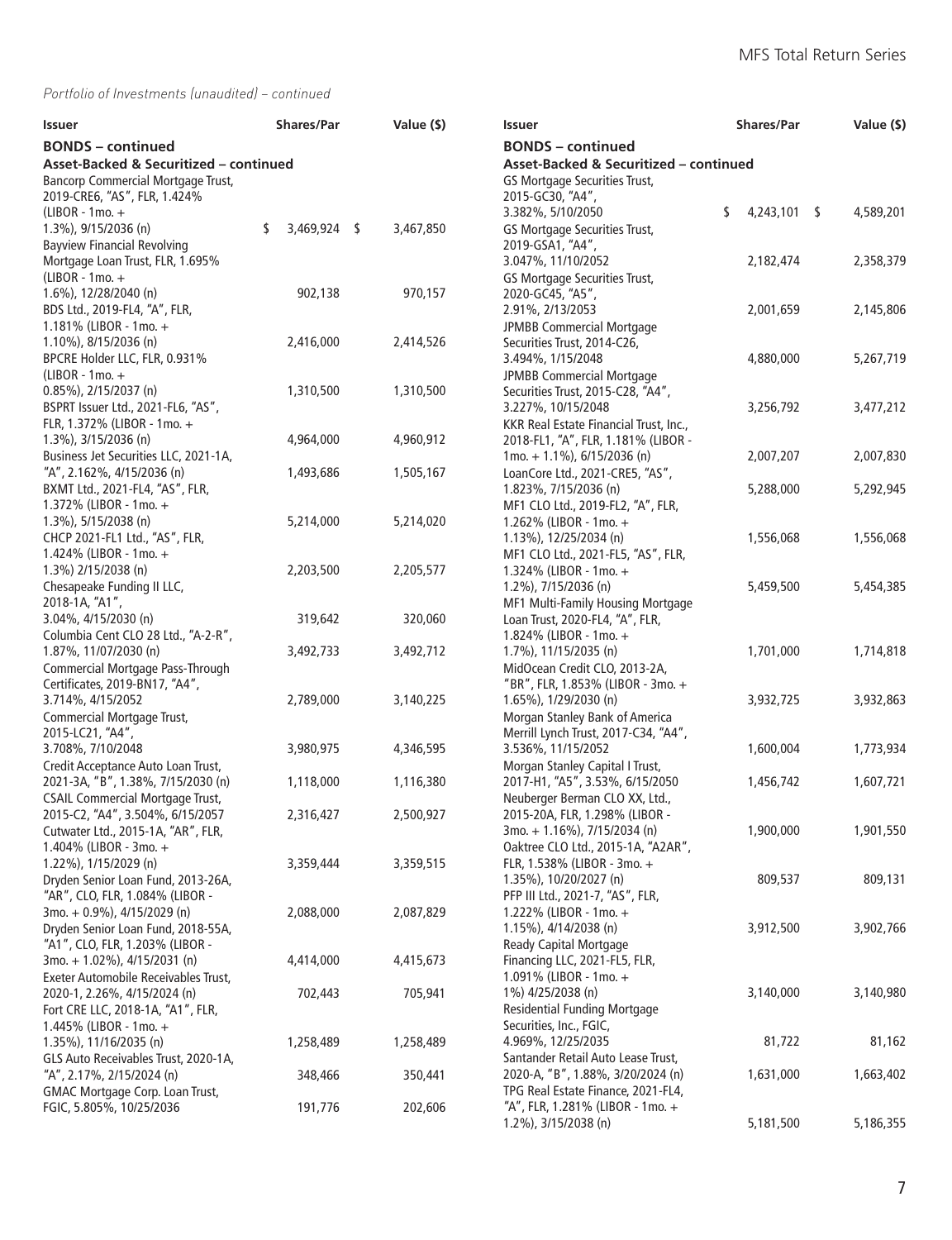| Issuer                                                         |    | <b>Shares/Par</b> |                          | Value (\$)                             | <b>Issuer</b>                                                        | <b>Shares/Par</b>  | Value (\$) |
|----------------------------------------------------------------|----|-------------------|--------------------------|----------------------------------------|----------------------------------------------------------------------|--------------------|------------|
| <b>BONDS</b> – continued                                       |    |                   | <b>BONDS</b> – continued |                                        |                                                                      |                    |            |
| Asset-Backed & Securitized - continued                         |    |                   |                          | Asset-Backed & Securitized - continued |                                                                      |                    |            |
| Bancorp Commercial Mortgage Trust,                             |    |                   |                          |                                        | GS Mortgage Securities Trust,                                        |                    |            |
| 2019-CRE6, "AS", FLR, 1.424%                                   |    |                   |                          |                                        | 2015-GC30, "A4",                                                     |                    |            |
| (LIBOR - 1mo. +                                                |    |                   |                          |                                        | 3.382%, 5/10/2050                                                    | \$<br>4,243,101 \$ | 4,589,201  |
| 1.3%), 9/15/2036 (n)                                           | \$ | 3,469,924 \$      |                          | 3,467,850                              | GS Mortgage Securities Trust,                                        |                    |            |
| <b>Bayview Financial Revolving</b>                             |    |                   |                          |                                        | 2019-GSA1, "A4",                                                     |                    |            |
| Mortgage Loan Trust, FLR, 1.695%                               |    |                   |                          |                                        | 3.047%, 11/10/2052                                                   | 2,182,474          | 2,358,379  |
| (LIBOR - 1mo. +<br>1.6%), 12/28/2040 (n)                       |    | 902,138           |                          | 970,157                                | GS Mortgage Securities Trust,<br>2020-GC45, "A5",                    |                    |            |
| BDS Ltd., 2019-FL4, "A", FLR,                                  |    |                   |                          |                                        | 2.91%, 2/13/2053                                                     | 2,001,659          | 2,145,806  |
| 1.181% (LIBOR - 1mo. +                                         |    |                   |                          |                                        | <b>JPMBB Commercial Mortgage</b>                                     |                    |            |
| 1.10%), 8/15/2036 (n)                                          |    | 2,416,000         |                          | 2,414,526                              | Securities Trust, 2014-C26,                                          |                    |            |
| BPCRE Holder LLC, FLR, 0.931%                                  |    |                   |                          |                                        | 3.494%, 1/15/2048                                                    | 4,880,000          | 5,267,719  |
| (LIBOR - 1mo. +                                                |    |                   |                          |                                        | <b>JPMBB Commercial Mortgage</b>                                     |                    |            |
| 0.85%), 2/15/2037 (n)                                          |    | 1,310,500         |                          | 1,310,500                              | Securities Trust, 2015-C28, "A4",                                    |                    |            |
| BSPRT Issuer Ltd., 2021-FL6, "AS",                             |    |                   |                          |                                        | 3.227%, 10/15/2048                                                   | 3,256,792          | 3,477,212  |
| FLR, 1.372% (LIBOR - 1mo. +                                    |    |                   |                          |                                        | KKR Real Estate Financial Trust, Inc.,                               |                    |            |
| 1.3%), 3/15/2036 (n)                                           |    | 4,964,000         |                          | 4,960,912                              | 2018-FL1, "A", FLR, 1.181% (LIBOR -                                  |                    |            |
| Business Jet Securities LLC, 2021-1A,                          |    |                   |                          |                                        | $1$ mo. + 1.1%), 6/15/2036 (n)                                       | 2,007,207          | 2,007,830  |
| "A", 2.162%, 4/15/2036 (n)                                     |    | 1,493,686         |                          | 1,505,167                              | LoanCore Ltd., 2021-CRE5, "AS",                                      |                    |            |
| BXMT Ltd., 2021-FL4, "AS", FLR,                                |    |                   |                          |                                        | 1.823%, 7/15/2036 (n)                                                | 5,288,000          | 5,292,945  |
| 1.372% (LIBOR - 1mo. +                                         |    |                   |                          |                                        | MF1 CLO Ltd., 2019-FL2, "A", FLR,                                    |                    |            |
| 1.3%), 5/15/2038 (n)                                           |    | 5,214,000         |                          | 5,214,020                              | 1.262% (LIBOR - 1mo. +                                               |                    |            |
| CHCP 2021-FL1 Ltd., "AS", FLR,                                 |    |                   |                          |                                        | 1.13%), 12/25/2034 (n)                                               | 1,556,068          | 1,556,068  |
| 1.424% (LIBOR - 1mo. +                                         |    |                   |                          |                                        | MF1 CLO Ltd., 2021-FL5, "AS", FLR,                                   |                    |            |
| 1.3%) 2/15/2038 (n)                                            |    | 2,203,500         |                          | 2,205,577                              | 1.324% (LIBOR - 1mo. +                                               |                    |            |
| Chesapeake Funding II LLC,                                     |    |                   |                          |                                        | 1.2%), 7/15/2036 (n)                                                 | 5,459,500          | 5,454,385  |
| 2018-1A, "A1",<br>3.04%, 4/15/2030 (n)                         |    | 319,642           |                          | 320,060                                | MF1 Multi-Family Housing Mortgage<br>Loan Trust, 2020-FL4, "A", FLR, |                    |            |
| Columbia Cent CLO 28 Ltd., "A-2-R",                            |    |                   |                          |                                        | 1.824% (LIBOR - 1mo. +                                               |                    |            |
| 1.87%, 11/07/2030 (n)                                          |    | 3,492,733         |                          | 3,492,712                              | 1.7%), 11/15/2035 (n)                                                | 1,701,000          | 1,714,818  |
| Commercial Mortgage Pass-Through                               |    |                   |                          |                                        | MidOcean Credit CLO, 2013-2A,                                        |                    |            |
| Certificates, 2019-BN17, "A4",                                 |    |                   |                          |                                        | "BR", FLR, 1.853% (LIBOR - 3mo. +                                    |                    |            |
| 3.714%, 4/15/2052                                              |    | 2,789,000         |                          | 3,140,225                              | 1.65%), 1/29/2030 (n)                                                | 3,932,725          | 3,932,863  |
| Commercial Mortgage Trust,                                     |    |                   |                          |                                        | Morgan Stanley Bank of America                                       |                    |            |
| 2015-LC21, "A4",                                               |    |                   |                          |                                        | Merrill Lynch Trust, 2017-C34, "A4",                                 |                    |            |
| 3.708%, 7/10/2048                                              |    | 3,980,975         |                          | 4,346,595                              | 3.536%, 11/15/2052                                                   | 1,600,004          | 1,773,934  |
| Credit Acceptance Auto Loan Trust,                             |    |                   |                          |                                        | Morgan Stanley Capital I Trust,                                      |                    |            |
| 2021-3A, "B", 1.38%, 7/15/2030 (n)                             |    | 1,118,000         |                          | 1,116,380                              | 2017-H1, "A5", 3.53%, 6/15/2050                                      | 1,456,742          | 1,607,721  |
| <b>CSAIL Commercial Mortgage Trust,</b>                        |    |                   |                          |                                        | Neuberger Berman CLO XX, Ltd.,                                       |                    |            |
| 2015-C2, "A4", 3.504%, 6/15/2057                               |    | 2,316,427         |                          | 2,500,927                              | 2015-20A, FLR, 1.298% (LIBOR -                                       |                    |            |
| Cutwater Ltd., 2015-1A, "AR", FLR,                             |    |                   |                          |                                        | 3mo. + 1.16%), 7/15/2034 (n)                                         | 1,900,000          | 1,901,550  |
| 1.404% (LIBOR - 3mo. +                                         |    |                   |                          |                                        | Oaktree CLO Ltd., 2015-1A, "A2AR",                                   |                    |            |
| 1.22%), 1/15/2029 (n)                                          |    | 3,359,444         |                          | 3,359,515                              | FLR, 1.538% (LIBOR - 3mo. +                                          |                    |            |
| Dryden Senior Loan Fund, 2013-26A,                             |    |                   |                          |                                        | 1.35%), 10/20/2027 (n)                                               | 809,537            | 809,131    |
| "AR", CLO, FLR, 1.084% (LIBOR -<br>3mo. + 0.9%), 4/15/2029 (n) |    | 2,088,000         |                          | 2,087,829                              | PFP III Ltd., 2021-7, "AS", FLR,<br>1.222% (LIBOR - 1mo. +           |                    |            |
| Dryden Senior Loan Fund, 2018-55A,                             |    |                   |                          |                                        | 1.15%), 4/14/2038 (n)                                                | 3,912,500          | 3,902,766  |
| "A1", CLO, FLR, 1.203% (LIBOR -                                |    |                   |                          |                                        | <b>Ready Capital Mortgage</b>                                        |                    |            |
| 3mo. + 1.02%), 4/15/2031 (n)                                   |    | 4,414,000         |                          | 4,415,673                              | Financing LLC, 2021-FL5, FLR,                                        |                    |            |
| Exeter Automobile Receivables Trust,                           |    |                   |                          |                                        | 1.091% (LIBOR - 1mo. +                                               |                    |            |
| 2020-1, 2.26%, 4/15/2024 (n)                                   |    | 702,443           |                          | 705,941                                | 1%) 4/25/2038 (n)                                                    | 3,140,000          | 3,140,980  |
| Fort CRE LLC, 2018-1A, "A1", FLR,                              |    |                   |                          |                                        | <b>Residential Funding Mortgage</b>                                  |                    |            |
| 1.445% (LIBOR - 1mo. +                                         |    |                   |                          |                                        | Securities, Inc., FGIC,                                              |                    |            |
| 1.35%), 11/16/2035 (n)                                         |    | 1,258,489         |                          | 1,258,489                              | 4.969%, 12/25/2035                                                   | 81,722             | 81,162     |
| GLS Auto Receivables Trust, 2020-1A,                           |    |                   |                          |                                        | Santander Retail Auto Lease Trust,                                   |                    |            |
| "A", 2.17%, 2/15/2024 (n)                                      |    | 348,466           |                          | 350,441                                | 2020-A, "B", 1.88%, 3/20/2024 (n)                                    | 1,631,000          | 1,663,402  |
| GMAC Mortgage Corp. Loan Trust,                                |    |                   |                          |                                        | TPG Real Estate Finance, 2021-FL4,                                   |                    |            |
| FGIC, 5.805%, 10/25/2036                                       |    | 191,776           |                          | 202,606                                | "A", FLR, 1.281% (LIBOR - 1mo. +                                     |                    |            |
|                                                                |    |                   |                          |                                        | 1.2%), 3/15/2038 (n)                                                 | 5,181,500          | 5,186,355  |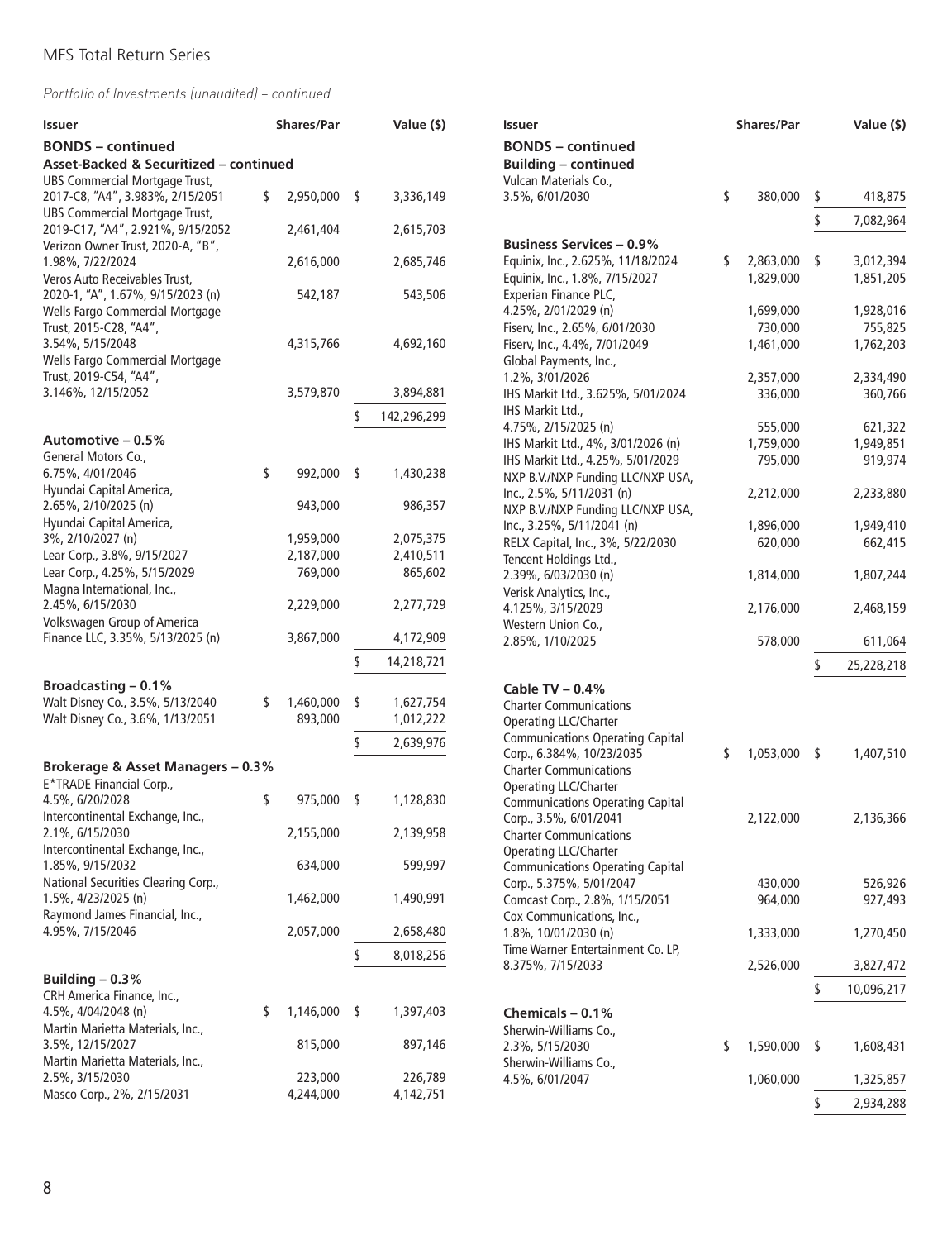| Issuer                                                                                                                          | <b>Shares/Par</b> | Value (\$)        |
|---------------------------------------------------------------------------------------------------------------------------------|-------------------|-------------------|
| <b>BONDS</b> – continued                                                                                                        |                   |                   |
| Asset-Backed & Securitized - continued                                                                                          |                   |                   |
| <b>UBS Commercial Mortgage Trust,</b><br>2017-C8, "A4", 3.983%, 2/15/2051                                                       | \$<br>2,950,000   | \$<br>3,336,149   |
| <b>UBS Commercial Mortgage Trust,</b>                                                                                           |                   |                   |
| 2019-C17, "A4", 2.921%, 9/15/2052<br>Verizon Owner Trust, 2020-A, "B",                                                          | 2,461,404         | 2,615,703         |
| 1.98%, 7/22/2024                                                                                                                | 2,616,000         | 2,685,746         |
| Veros Auto Receivables Trust,<br>2020-1, "A", 1.67%, 9/15/2023 (n)<br>Wells Fargo Commercial Mortgage<br>Trust, 2015-C28, "A4", | 542,187           | 543,506           |
| 3.54%, 5/15/2048<br>Wells Fargo Commercial Mortgage                                                                             | 4,315,766         | 4,692,160         |
| Trust, 2019-C54, "A4",<br>3.146%, 12/15/2052                                                                                    | 3,579,870         | 3,894,881         |
|                                                                                                                                 |                   | \$<br>142,296,299 |
| Automotive – 0.5%                                                                                                               |                   |                   |
| General Motors Co.,                                                                                                             |                   |                   |
| 6.75%, 4/01/2046                                                                                                                | \$<br>992,000     | \$<br>1,430,238   |
| Hyundai Capital America,<br>2.65%, 2/10/2025 (n)                                                                                | 943,000           | 986,357           |
| Hyundai Capital America,                                                                                                        |                   |                   |
| 3%, 2/10/2027 (n)                                                                                                               | 1,959,000         | 2,075,375         |
| Lear Corp., 3.8%, 9/15/2027                                                                                                     | 2,187,000         | 2,410,511         |
| Lear Corp., 4.25%, 5/15/2029<br>Magna International, Inc.,                                                                      | 769,000           | 865,602           |
| 2.45%, 6/15/2030<br>Volkswagen Group of America                                                                                 | 2,229,000         | 2,277,729         |
| Finance LLC, 3.35%, 5/13/2025 (n)                                                                                               | 3,867,000         | 4,172,909         |
|                                                                                                                                 |                   | \$<br>14,218,721  |
| <b>Broadcasting - 0.1%</b>                                                                                                      |                   |                   |
| Walt Disney Co., 3.5%, 5/13/2040                                                                                                | \$<br>1,460,000   | \$<br>1,627,754   |
| Walt Disney Co., 3.6%, 1/13/2051                                                                                                | 893,000           | 1,012,222         |
|                                                                                                                                 |                   | \$<br>2,639,976   |
| Brokerage & Asset Managers - 0.3%                                                                                               |                   |                   |
| E*TRADE Financial Corp.,                                                                                                        |                   |                   |
| 4.5%, 6/20/2028<br>Intercontinental Exchange, Inc.,                                                                             | \$<br>975,000     | \$<br>1,128,830   |
| 2.1%, 6/15/2030<br>Intercontinental Exchange, Inc.,                                                                             | 2,155,000         | 2,139,958         |
| 1.85%, 9/15/2032                                                                                                                | 634,000           | 599,997           |
| National Securities Clearing Corp.,<br>1.5%, 4/23/2025 (n)                                                                      | 1,462,000         | 1,490,991         |
| Raymond James Financial, Inc.,<br>4.95%, 7/15/2046                                                                              | 2,057,000         | 2,658,480         |
|                                                                                                                                 |                   | \$<br>8,018,256   |
| Building $-0.3%$                                                                                                                |                   |                   |
| CRH America Finance, Inc.,                                                                                                      |                   |                   |
| 4.5%, 4/04/2048 (n)<br>Martin Marietta Materials, Inc.,                                                                         | \$<br>1,146,000   | \$<br>1,397,403   |
| 3.5%, 12/15/2027                                                                                                                | 815,000           | 897,146           |
| Martin Marietta Materials, Inc.,                                                                                                |                   |                   |
| 2.5%, 3/15/2030                                                                                                                 | 223,000           | 226,789           |
| Masco Corp., 2%, 2/15/2031                                                                                                      | 4,244,000         | 4,142,751         |

| <b>Issuer</b>                                              | <b>Shares/Par</b> | Value (\$)       |
|------------------------------------------------------------|-------------------|------------------|
| <b>BONDS - continued</b><br><b>Building - continued</b>    |                   |                  |
| Vulcan Materials Co.,                                      |                   |                  |
| 3.5%, 6/01/2030                                            | \$<br>380,000     | \$<br>418,875    |
|                                                            |                   | \$<br>7,082,964  |
|                                                            |                   |                  |
| Business Services – 0.9%                                   |                   |                  |
| Equinix, Inc., 2.625%, 11/18/2024                          | \$<br>2,863,000   | \$<br>3,012,394  |
| Equinix, Inc., 1.8%, 7/15/2027                             | 1,829,000         | 1,851,205        |
| Experian Finance PLC,                                      |                   |                  |
| 4.25%, 2/01/2029 (n)                                       | 1,699,000         | 1,928,016        |
| Fiserv, Inc., 2.65%, 6/01/2030                             | 730,000           | 755,825          |
| Fiserv, Inc., 4.4%, 7/01/2049                              | 1,461,000         | 1,762,203        |
| Global Payments, Inc.,                                     |                   |                  |
| 1.2%, 3/01/2026                                            | 2,357,000         | 2,334,490        |
| IHS Markit Ltd., 3.625%, 5/01/2024                         | 336,000           | 360,766          |
| IHS Markit Ltd.,                                           |                   |                  |
| 4.75%, 2/15/2025 (n)                                       | 555,000           | 621,322          |
| IHS Markit Ltd., 4%, 3/01/2026 (n)                         | 1,759,000         | 1,949,851        |
| IHS Markit Ltd., 4.25%, 5/01/2029                          | 795,000           | 919,974          |
| NXP B.V./NXP Funding LLC/NXP USA,                          |                   |                  |
| Inc., 2.5%, 5/11/2031 (n)                                  | 2,212,000         | 2,233,880        |
| NXP B.V./NXP Funding LLC/NXP USA,                          |                   |                  |
| Inc., 3.25%, 5/11/2041 (n)                                 | 1,896,000         | 1,949,410        |
| RELX Capital, Inc., 3%, 5/22/2030                          | 620,000           | 662,415          |
| Tencent Holdings Ltd.,                                     |                   |                  |
| 2.39%, 6/03/2030 (n)                                       | 1,814,000         | 1,807,244        |
| Verisk Analytics, Inc.,<br>4.125%, 3/15/2029               | 2,176,000         | 2,468,159        |
| Western Union Co.,                                         |                   |                  |
| 2.85%, 1/10/2025                                           | 578,000           | 611,064          |
|                                                            |                   |                  |
|                                                            |                   | \$<br>25,228,218 |
| Cable TV $-0.4\%$                                          |                   |                  |
| <b>Charter Communications</b>                              |                   |                  |
| Operating LLC/Charter                                      |                   |                  |
| <b>Communications Operating Capital</b>                    |                   |                  |
| Corp., 6.384%, 10/23/2035                                  | \$<br>1,053,000   | \$<br>1,407,510  |
| <b>Charter Communications</b>                              |                   |                  |
| Operating LLC/Charter                                      |                   |                  |
| <b>Communications Operating Capital</b>                    |                   |                  |
| Corp., 3.5%, 6/01/2041                                     | 2,122,000         | 2,136,366        |
| <b>Charter Communications</b>                              |                   |                  |
| Operating LLC/Charter                                      |                   |                  |
| <b>Communications Operating Capital</b>                    |                   |                  |
| Corp., 5.375%, 5/01/2047<br>Comcast Corp., 2.8%, 1/15/2051 | 430,000           | 526,926          |
| Cox Communications, Inc.,                                  | 964,000           | 927,493          |
| 1.8%, 10/01/2030 (n)                                       | 1,333,000         | 1,270,450        |
| Time Warner Entertainment Co. LP,                          |                   |                  |
| 8.375%, 7/15/2033                                          | 2,526,000         | 3,827,472        |
|                                                            |                   |                  |
|                                                            |                   | \$<br>10,096,217 |
| Chemicals $-0.1%$                                          |                   |                  |
| Sherwin-Williams Co.,                                      |                   |                  |
| 2.3%, 5/15/2030                                            | \$<br>1,590,000   | \$<br>1,608,431  |
| Sherwin-Williams Co.,                                      |                   |                  |
| 4.5%, 6/01/2047                                            | 1,060,000         | 1,325,857        |
|                                                            |                   | \$<br>2,934,288  |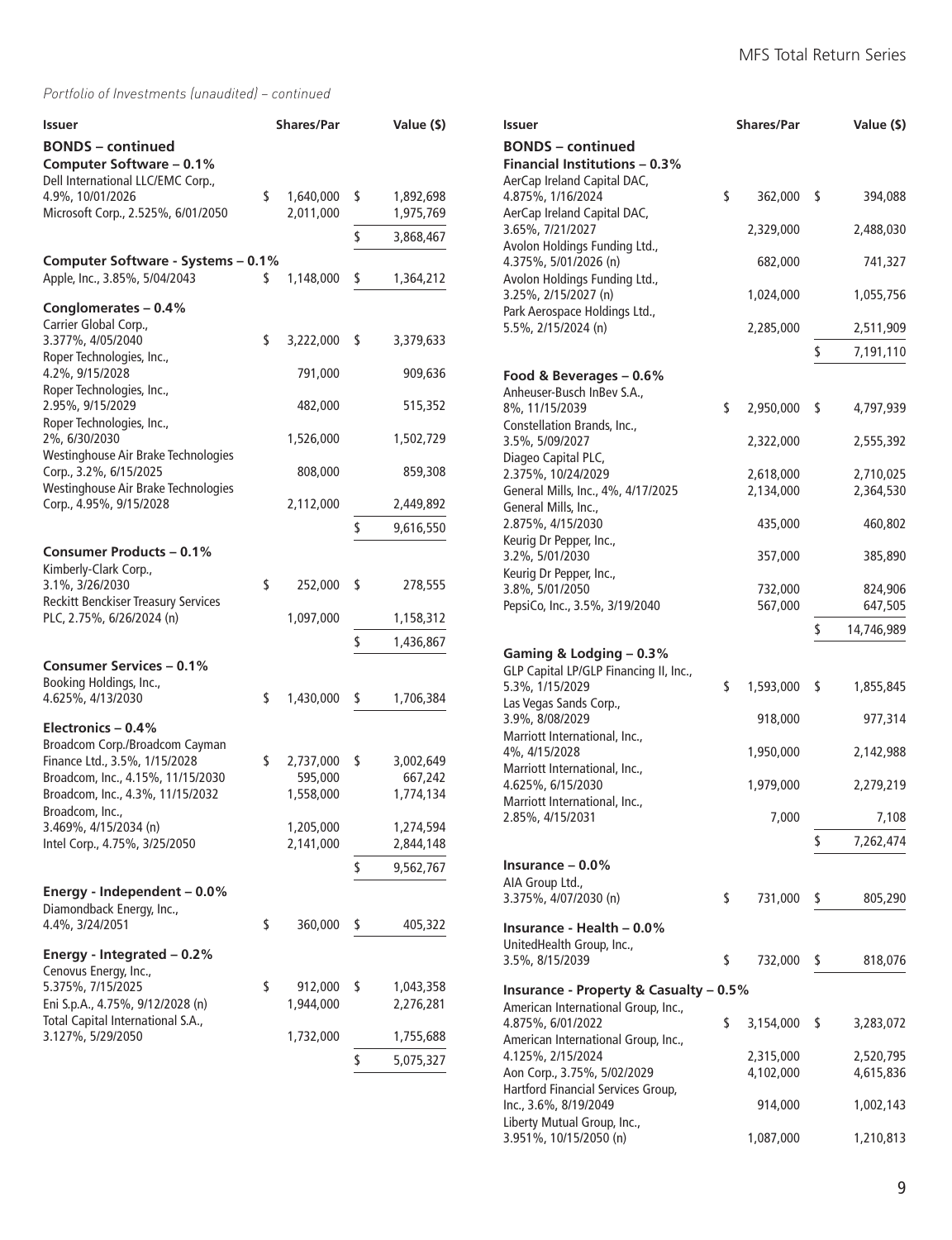| Issuer                                                                                    | <b>Shares/Par</b>            | Value (\$)                   |
|-------------------------------------------------------------------------------------------|------------------------------|------------------------------|
| <b>BONDS</b> - continued<br>Computer Software - 0.1%<br>Dell International LLC/EMC Corp., |                              |                              |
| 4.9%, 10/01/2026<br>Microsoft Corp., 2.525%, 6/01/2050                                    | \$<br>1,640,000<br>2,011,000 | \$<br>1,892,698<br>1,975,769 |
|                                                                                           |                              | \$<br>3,868,467              |
| Computer Software - Systems - 0.1%                                                        |                              |                              |
| Apple, Inc., 3.85%, 5/04/2043                                                             | \$<br>1,148,000              | \$<br>1,364,212              |
| Conglomerates - 0.4%                                                                      |                              |                              |
| Carrier Global Corp.,<br>3.377%, 4/05/2040                                                | \$<br>3,222,000              | \$                           |
| Roper Technologies, Inc.,                                                                 |                              | 3,379,633                    |
| 4.2%, 9/15/2028                                                                           | 791,000                      | 909,636                      |
| Roper Technologies, Inc.,<br>2.95%, 9/15/2029                                             | 482,000                      | 515,352                      |
| Roper Technologies, Inc.,                                                                 |                              |                              |
| 2%, 6/30/2030<br>Westinghouse Air Brake Technologies                                      | 1,526,000                    | 1,502,729                    |
| Corp., 3.2%, 6/15/2025                                                                    | 808,000                      | 859,308                      |
| Westinghouse Air Brake Technologies<br>Corp., 4.95%, 9/15/2028                            | 2,112,000                    | 2,449,892                    |
|                                                                                           |                              | \$<br>9,616,550              |
| <b>Consumer Products - 0.1%</b>                                                           |                              |                              |
| Kimberly-Clark Corp.,                                                                     |                              |                              |
| 3.1%, 3/26/2030<br><b>Reckitt Benckiser Treasury Services</b>                             | \$<br>252,000                | \$<br>278,555                |
| PLC, 2.75%, 6/26/2024 (n)                                                                 | 1,097,000                    | 1,158,312                    |
|                                                                                           |                              | \$<br>1,436,867              |
| Consumer Services – 0.1%                                                                  |                              |                              |
| Booking Holdings, Inc.,<br>4.625%, 4/13/2030                                              | \$                           |                              |
|                                                                                           | 1,430,000                    | \$<br>1,706,384              |
| Electronics - 0.4%<br>Broadcom Corp./Broadcom Cayman                                      |                              |                              |
| Finance Ltd., 3.5%, 1/15/2028                                                             | \$<br>2,737,000              | \$<br>3,002,649              |
| Broadcom, Inc., 4.15%, 11/15/2030                                                         | 595,000                      | 667,242                      |
| Broadcom, Inc., 4.3%, 11/15/2032<br>Broadcom, Inc.,                                       | 1,558,000                    | 1,774,134                    |
| 3.469%, 4/15/2034 (n)                                                                     | 1,205,000                    | 1,274,594                    |
| Intel Corp., 4.75%, 3/25/2050                                                             | 2,141,000                    | 2,844,148                    |
|                                                                                           |                              | \$<br>9,562,767              |
| Energy - Independent – 0.0%                                                               |                              |                              |
| Diamondback Energy, Inc.,<br>4.4%, 3/24/2051                                              | \$<br>360,000                | \$<br>405,322                |
|                                                                                           |                              |                              |
| Energy - Integrated $-0.2%$<br>Cenovus Energy, Inc.,                                      |                              |                              |
| 5.375%, 7/15/2025                                                                         | \$<br>912,000                | \$<br>1,043,358              |
| Eni S.p.A., 4.75%, 9/12/2028 (n)                                                          | 1,944,000                    | 2,276,281                    |
| Total Capital International S.A.,<br>3.127%, 5/29/2050                                    | 1,732,000                    | 1,755,688                    |
|                                                                                           |                              | \$<br>5,075,327              |
|                                                                                           |                              |                              |

| <b>Issuer</b>                                                                                   | <b>Shares/Par</b> | Value (\$)       |
|-------------------------------------------------------------------------------------------------|-------------------|------------------|
| <b>BONDS</b> – continued<br><b>Financial Institutions - 0.3%</b><br>AerCap Ireland Capital DAC, |                   |                  |
| 4.875%, 1/16/2024<br>AerCap Ireland Capital DAC,                                                | \$<br>362,000     | \$<br>394,088    |
| 3.65%, 7/21/2027                                                                                | 2,329,000         | 2,488,030        |
| Avolon Holdings Funding Ltd.,<br>4.375%, 5/01/2026 (n)                                          | 682,000           | 741,327          |
| Avolon Holdings Funding Ltd.,<br>3.25%, 2/15/2027 (n)                                           | 1,024,000         | 1,055,756        |
| Park Aerospace Holdings Ltd.,<br>5.5%, 2/15/2024 (n)                                            | 2,285,000         | 2,511,909        |
|                                                                                                 |                   | \$<br>7,191,110  |
| Food & Beverages - 0.6%                                                                         |                   |                  |
| Anheuser-Busch InBev S.A.,                                                                      |                   |                  |
| 8%, 11/15/2039<br>Constellation Brands, Inc.,                                                   | \$<br>2,950,000   | \$<br>4,797,939  |
| 3.5%, 5/09/2027<br>Diageo Capital PLC,                                                          | 2,322,000         | 2,555,392        |
| 2.375%, 10/24/2029                                                                              | 2,618,000         | 2,710,025        |
| General Mills, Inc., 4%, 4/17/2025                                                              | 2,134,000         | 2,364,530        |
| General Mills, Inc.,<br>2.875%, 4/15/2030                                                       | 435,000           | 460,802          |
| Keurig Dr Pepper, Inc.,<br>3.2%, 5/01/2030                                                      | 357,000           | 385,890          |
| Keurig Dr Pepper, Inc.,<br>3.8%, 5/01/2050                                                      | 732,000           | 824,906          |
| PepsiCo, Inc., 3.5%, 3/19/2040                                                                  | 567,000           | 647,505          |
|                                                                                                 |                   | \$<br>14,746,989 |
| Gaming & Lodging - 0.3%                                                                         |                   |                  |
| GLP Capital LP/GLP Financing II, Inc.,                                                          |                   |                  |
| 5.3%, 1/15/2029                                                                                 | \$<br>1,593,000   | \$<br>1,855,845  |
| Las Vegas Sands Corp.,<br>3.9%, 8/08/2029                                                       | 918,000           | 977,314          |
| Marriott International, Inc.,<br>4%, 4/15/2028                                                  | 1,950,000         | 2,142,988        |
| Marriott International, Inc.,<br>4.625%, 6/15/2030                                              | 1,979,000         | 2,279,219        |
| Marriott International, Inc.,<br>2.85%, 4/15/2031                                               | 7,000             | 7,108            |
|                                                                                                 |                   | \$<br>7,262,474  |
|                                                                                                 |                   |                  |
| $Insurance - 0.0\%$<br>AIA Group Ltd.,                                                          |                   |                  |
| 3.375%, 4/07/2030 (n)                                                                           | \$<br>731,000     | \$<br>805,290    |
| Insurance - Health - 0.0%                                                                       |                   |                  |
| UnitedHealth Group, Inc.,                                                                       |                   |                  |
| 3.5%, 8/15/2039                                                                                 | \$<br>732,000     | \$<br>818,076    |
| Insurance - Property & Casualty – 0.5%                                                          |                   |                  |
| American International Group, Inc.,                                                             |                   |                  |
| 4.875%, 6/01/2022                                                                               | \$<br>3,154,000   | \$<br>3,283,072  |
| American International Group, Inc.,<br>4.125%, 2/15/2024                                        | 2,315,000         | 2,520,795        |
| Aon Corp., 3.75%, 5/02/2029                                                                     | 4,102,000         | 4,615,836        |
| Hartford Financial Services Group,<br>Inc., 3.6%, 8/19/2049                                     | 914,000           | 1,002,143        |
| Liberty Mutual Group, Inc.,<br>3.951%, 10/15/2050 (n)                                           | 1,087,000         | 1,210,813        |
|                                                                                                 |                   |                  |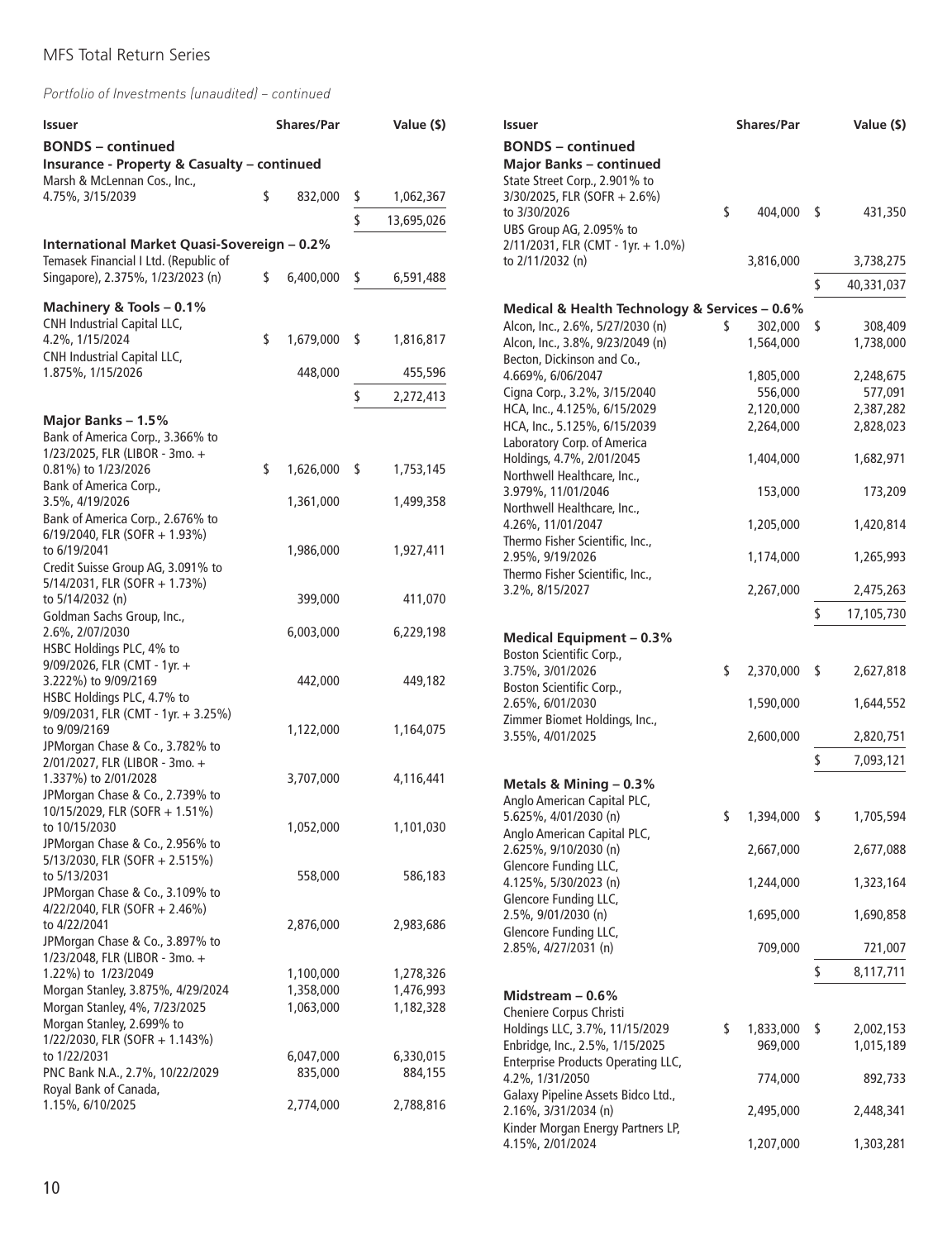*Portfolio of Investments (unaudited) – continued*

| Issuer                                                                             |    | <b>Shares/Par</b>      |                                                            | Value (\$)             | Issuer                                                               | <b>Shares/Par</b>             |    | Value (\$)           |
|------------------------------------------------------------------------------------|----|------------------------|------------------------------------------------------------|------------------------|----------------------------------------------------------------------|-------------------------------|----|----------------------|
| <b>BONDS</b> – continued<br><b>Insurance - Property &amp; Casualty - continued</b> |    |                        | <b>BONDS</b> – continued<br><b>Major Banks - continued</b> |                        |                                                                      |                               |    |                      |
| Marsh & McLennan Cos., Inc.,<br>4.75%, 3/15/2039                                   | \$ | 832,000                | \$                                                         | 1,062,367              | State Street Corp., 2.901% to<br>3/30/2025, FLR (SOFR + 2.6%)        |                               |    |                      |
|                                                                                    |    |                        | \$                                                         | 13,695,026             | to 3/30/2026                                                         | \$<br>404,000 \$              |    | 431,350              |
| International Market Quasi-Sovereign - 0.2%                                        |    |                        |                                                            |                        | UBS Group AG, 2.095% to<br>2/11/2031, FLR (CMT - 1yr. + 1.0%)        |                               |    |                      |
| Temasek Financial I Ltd. (Republic of                                              |    |                        |                                                            |                        | to 2/11/2032 (n)                                                     | 3,816,000                     |    | 3,738,275            |
| Singapore), 2.375%, 1/23/2023 (n)                                                  | \$ | 6,400,000              | \$                                                         | 6,591,488              |                                                                      |                               | s  | 40,331,037           |
| Machinery & Tools - 0.1%                                                           |    |                        |                                                            |                        | Medical & Health Technology & Services - 0.6%                        |                               |    |                      |
| CNH Industrial Capital LLC,<br>4.2%, 1/15/2024                                     | \$ | 1,679,000 \$           |                                                            | 1,816,817              | Alcon, Inc., 2.6%, 5/27/2030 (n)<br>Alcon, Inc., 3.8%, 9/23/2049 (n) | \$<br>302,000 \$<br>1,564,000 |    | 308,409<br>1,738,000 |
| <b>CNH Industrial Capital LLC,</b>                                                 |    |                        |                                                            |                        | Becton, Dickinson and Co.,                                           |                               |    |                      |
| 1.875%, 1/15/2026                                                                  |    | 448,000                |                                                            | 455,596                | 4.669%, 6/06/2047                                                    | 1,805,000                     |    | 2,248,675            |
|                                                                                    |    |                        | \$                                                         | 2,272,413              | Cigna Corp., 3.2%, 3/15/2040<br>HCA, Inc., 4.125%, 6/15/2029         | 556,000<br>2,120,000          |    | 577,091<br>2,387,282 |
| Major Banks - 1.5%                                                                 |    |                        |                                                            |                        | HCA, Inc., 5.125%, 6/15/2039                                         | 2,264,000                     |    | 2,828,023            |
| Bank of America Corp., 3.366% to<br>1/23/2025, FLR (LIBOR - 3mo. +                 |    |                        |                                                            |                        | Laboratory Corp. of America<br>Holdings, 4.7%, 2/01/2045             | 1,404,000                     |    | 1,682,971            |
| 0.81%) to 1/23/2026                                                                | \$ | 1,626,000 \$           |                                                            | 1,753,145              | Northwell Healthcare, Inc.,                                          |                               |    |                      |
| Bank of America Corp.,<br>3.5%, 4/19/2026                                          |    | 1,361,000              |                                                            | 1,499,358              | 3.979%, 11/01/2046                                                   | 153,000                       |    | 173,209              |
| Bank of America Corp., 2.676% to                                                   |    |                        |                                                            |                        | Northwell Healthcare, Inc.,<br>4.26%, 11/01/2047                     | 1,205,000                     |    | 1,420,814            |
| 6/19/2040, FLR (SOFR + 1.93%)<br>to 6/19/2041                                      |    | 1,986,000              |                                                            | 1,927,411              | Thermo Fisher Scientific, Inc.,                                      |                               |    |                      |
| Credit Suisse Group AG, 3.091% to                                                  |    |                        |                                                            |                        | 2.95%, 9/19/2026<br>Thermo Fisher Scientific, Inc.,                  | 1,174,000                     |    | 1,265,993            |
| 5/14/2031, FLR (SOFR + 1.73%)                                                      |    |                        |                                                            |                        | 3.2%, 8/15/2027                                                      | 2,267,000                     |    | 2,475,263            |
| to 5/14/2032 (n)<br>Goldman Sachs Group, Inc.,                                     |    | 399,000                |                                                            | 411,070                |                                                                      |                               |    | 17,105,730           |
| 2.6%, 2/07/2030                                                                    |    | 6,003,000              |                                                            | 6,229,198              | <b>Medical Equipment - 0.3%</b>                                      |                               |    |                      |
| HSBC Holdings PLC, 4% to<br>9/09/2026, FLR (CMT - 1yr. +                           |    |                        |                                                            |                        | Boston Scientific Corp.,                                             |                               |    |                      |
| 3.222%) to 9/09/2169                                                               |    | 442,000                |                                                            | 449,182                | 3.75%, 3/01/2026<br>Boston Scientific Corp.,                         | \$<br>2,370,000 \$            |    | 2,627,818            |
| HSBC Holdings PLC, 4.7% to                                                         |    |                        |                                                            |                        | 2.65%, 6/01/2030                                                     | 1,590,000                     |    | 1,644,552            |
| $9/09/2031$ , FLR (CMT - 1yr. + 3.25%)<br>to 9/09/2169                             |    | 1,122,000              |                                                            | 1,164,075              | Zimmer Biomet Holdings, Inc.,<br>3.55%, 4/01/2025                    | 2,600,000                     |    | 2,820,751            |
| JPMorgan Chase & Co., 3.782% to                                                    |    |                        |                                                            |                        |                                                                      |                               |    |                      |
| 2/01/2027, FLR (LIBOR - 3mo. +<br>1.337%) to 2/01/2028                             |    | 3,707,000              |                                                            | 4,116,441              |                                                                      |                               | S  | 7,093,121            |
| JPMorgan Chase & Co., 2.739% to                                                    |    |                        |                                                            |                        | Metals & Mining - 0.3%<br>Anglo American Capital PLC,                |                               |    |                      |
| 10/15/2029, FLR (SOFR + 1.51%)<br>to 10/15/2030                                    |    | 1,052,000              |                                                            | 1,101,030              | 5.625%, 4/01/2030 (n)                                                | \$<br>1,394,000 \$            |    | 1,705,594            |
| JPMorgan Chase & Co., 2.956% to                                                    |    |                        |                                                            |                        | Anglo American Capital PLC,<br>2.625%, 9/10/2030 (n)                 | 2,667,000                     |    | 2,677,088            |
| 5/13/2030, FLR (SOFR + 2.515%)<br>to 5/13/2031                                     |    | 558,000                |                                                            | 586,183                | Glencore Funding LLC,                                                |                               |    |                      |
| JPMorgan Chase & Co., 3.109% to                                                    |    |                        |                                                            |                        | 4.125%, 5/30/2023 (n)<br>Glencore Funding LLC,                       | 1,244,000                     |    | 1,323,164            |
| 4/22/2040, FLR (SOFR + 2.46%)                                                      |    |                        |                                                            |                        | 2.5%, 9/01/2030 (n)                                                  | 1,695,000                     |    | 1,690,858            |
| to 4/22/2041<br>JPMorgan Chase & Co., 3.897% to                                    |    | 2,876,000              |                                                            | 2,983,686              | Glencore Funding LLC,                                                |                               |    |                      |
| 1/23/2048, FLR (LIBOR - 3mo. +                                                     |    |                        |                                                            |                        | 2.85%, 4/27/2031 (n)                                                 | 709,000                       |    | 721,007              |
| 1.22%) to 1/23/2049<br>Morgan Stanley, 3.875%, 4/29/2024                           |    | 1,100,000<br>1,358,000 |                                                            | 1,278,326<br>1,476,993 |                                                                      |                               | \$ | 8,117,711            |
| Morgan Stanley, 4%, 7/23/2025                                                      |    | 1,063,000              |                                                            | 1,182,328              | Midstream $-0.6%$<br>Cheniere Corpus Christi                         |                               |    |                      |
| Morgan Stanley, 2.699% to                                                          |    |                        |                                                            |                        | Holdings LLC, 3.7%, 11/15/2029                                       | \$<br>1,833,000 \$            |    | 2,002,153            |
| 1/22/2030, FLR (SOFR + 1.143%)<br>to 1/22/2031                                     |    | 6,047,000              |                                                            | 6,330,015              | Enbridge, Inc., 2.5%, 1/15/2025                                      | 969,000                       |    | 1,015,189            |
| PNC Bank N.A., 2.7%, 10/22/2029                                                    |    | 835,000                |                                                            | 884,155                | Enterprise Products Operating LLC,<br>4.2%, 1/31/2050                | 774,000                       |    | 892,733              |
| Royal Bank of Canada,<br>1.15%, 6/10/2025                                          |    | 2,774,000              |                                                            | 2,788,816              | Galaxy Pipeline Assets Bidco Ltd.,                                   |                               |    |                      |
|                                                                                    |    |                        |                                                            |                        | 2.16%, 3/31/2034 (n)<br>Kinder Morgan Energy Partners LP,            | 2,495,000                     |    | 2,448,341            |

4.15%, 2/01/2024 1,207,000 1,303,281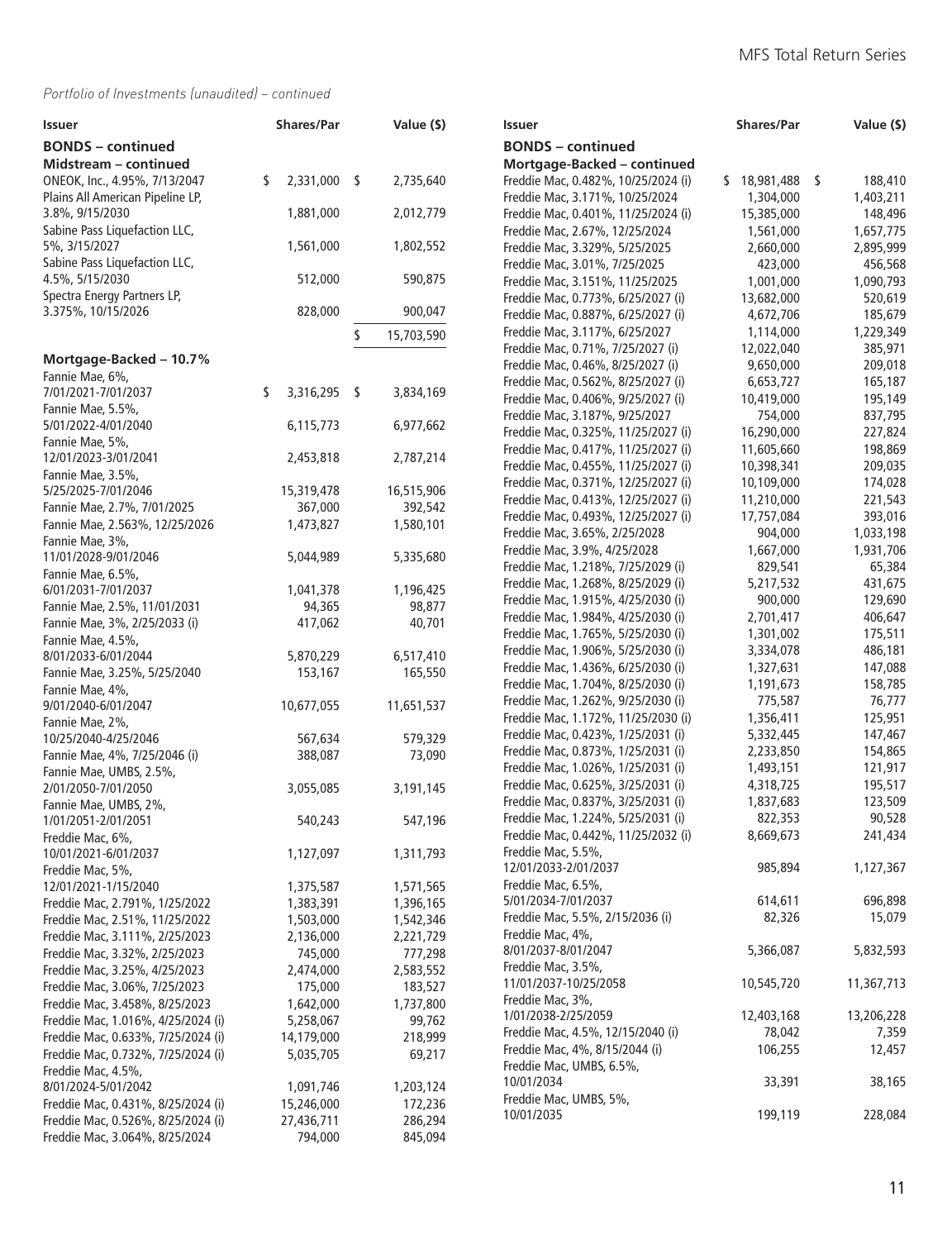| Issuer                                   | <b>Shares/Par</b> | Value (\$)       | Issuer                                    | <b>Shares/Par</b> | Value (\$) |
|------------------------------------------|-------------------|------------------|-------------------------------------------|-------------------|------------|
| <b>BONDS</b> – continued                 |                   |                  | <b>BONDS</b> – continued                  |                   |            |
| Midstream - continued                    |                   |                  | Mortgage-Backed - continued               |                   |            |
| ONEOK, Inc., 4.95%, 7/13/2047            | 2,331,000<br>\$   | 2,735,640<br>\$  | Freddie Mac, 0.482%, 10/25/2024 (i)       | $$18,981,488$ \$  | 188,410    |
| Plains All American Pipeline LP,         |                   |                  | Freddie Mac, 3.171%, 10/25/2024           | 1,304,000         | 1,403,211  |
| 3.8%, 9/15/2030                          | 1,881,000         | 2,012,779        | Freddie Mac, 0.401%, 11/25/2024 (i)       | 15,385,000        | 148,496    |
| Sabine Pass Liquefaction LLC,            |                   |                  | Freddie Mac, 2.67%, 12/25/2024            | 1,561,000         | 1,657,775  |
| 5%, 3/15/2027                            | 1,561,000         | 1,802,552        | Freddie Mac, 3.329%, 5/25/2025            | 2,660,000         | 2,895,999  |
| Sabine Pass Liquefaction LLC,            |                   |                  | Freddie Mac, 3.01%, 7/25/2025             | 423,000           | 456,568    |
| 4.5%, 5/15/2030                          | 512,000           | 590,875          | Freddie Mac, 3.151%, 11/25/2025           | 1,001,000         | 1,090,793  |
| Spectra Energy Partners LP,              |                   |                  | Freddie Mac, 0.773%, 6/25/2027 (i)        | 13,682,000        | 520,619    |
| 3.375%, 10/15/2026                       | 828,000           | 900,047          | Freddie Mac, 0.887%, 6/25/2027 (i)        | 4,672,706         | 185,679    |
|                                          |                   | 15,703,590<br>S. | Freddie Mac, 3.117%, 6/25/2027            | 1,114,000         | 1,229,349  |
|                                          |                   |                  | Freddie Mac, 0.71%, 7/25/2027 (i)         | 12,022,040        | 385,971    |
| Mortgage-Backed - 10.7%                  |                   |                  | Freddie Mac, 0.46%, 8/25/2027 (i)         | 9,650,000         | 209,018    |
| Fannie Mae, 6%,                          |                   |                  | Freddie Mac, 0.562%, 8/25/2027 (i)        | 6,653,727         | 165,187    |
| 7/01/2021-7/01/2037                      | \$<br>3,316,295   | \$<br>3,834,169  | Freddie Mac, 0.406%, 9/25/2027 (i)        | 10,419,000        | 195,149    |
| Fannie Mae, 5.5%,<br>5/01/2022-4/01/2040 | 6,115,773         | 6,977,662        | Freddie Mac, 3.187%, 9/25/2027            | 754,000           | 837,795    |
| Fannie Mae, 5%,                          |                   |                  | Freddie Mac, 0.325%, 11/25/2027 (i)       | 16,290,000        | 227,824    |
| 12/01/2023-3/01/2041                     | 2,453,818         | 2,787,214        | Freddie Mac, 0.417%, 11/25/2027 (i)       | 11,605,660        | 198,869    |
| Fannie Mae, 3.5%,                        |                   |                  | Freddie Mac, 0.455%, 11/25/2027 (i)       | 10,398,341        | 209,035    |
| 5/25/2025-7/01/2046                      | 15,319,478        | 16,515,906       | Freddie Mac, 0.371%, 12/25/2027 (i)       | 10,109,000        | 174,028    |
| Fannie Mae, 2.7%, 7/01/2025              | 367,000           | 392,542          | Freddie Mac, 0.413%, 12/25/2027 (i)       | 11,210,000        | 221,543    |
| Fannie Mae, 2.563%, 12/25/2026           | 1,473,827         | 1,580,101        | Freddie Mac, 0.493%, 12/25/2027 (i)       | 17,757,084        | 393,016    |
| Fannie Mae, 3%,                          |                   |                  | Freddie Mac, 3.65%, 2/25/2028             | 904,000           | 1,033,198  |
| 11/01/2028-9/01/2046                     | 5,044,989         | 5,335,680        | Freddie Mac, 3.9%, 4/25/2028              | 1,667,000         | 1,931,706  |
| Fannie Mae, 6.5%,                        |                   |                  | Freddie Mac, 1.218%, 7/25/2029 (i)        | 829,541           | 65,384     |
| 6/01/2031-7/01/2037                      | 1,041,378         | 1,196,425        | Freddie Mac, 1.268%, 8/25/2029 (i)        | 5,217,532         | 431,675    |
| Fannie Mae, 2.5%, 11/01/2031             | 94,365            | 98,877           | Freddie Mac, 1.915%, 4/25/2030 (i)        | 900,000           | 129,690    |
| Fannie Mae, 3%, 2/25/2033 (i)            | 417,062           | 40,701           | Freddie Mac, 1.984%, 4/25/2030 (i)        | 2,701,417         | 406,647    |
| Fannie Mae, 4.5%,                        |                   |                  | Freddie Mac, 1.765%, 5/25/2030 (i)        | 1,301,002         | 175,511    |
| 8/01/2033-6/01/2044                      | 5,870,229         | 6,517,410        | Freddie Mac, 1.906%, 5/25/2030 (i)        | 3,334,078         | 486,181    |
| Fannie Mae, 3.25%, 5/25/2040             | 153,167           | 165,550          | Freddie Mac, 1.436%, 6/25/2030 (i)        | 1,327,631         | 147,088    |
| Fannie Mae, 4%,                          |                   |                  | Freddie Mac, 1.704%, 8/25/2030 (i)        | 1,191,673         | 158,785    |
| 9/01/2040-6/01/2047                      | 10,677,055        | 11,651,537       | Freddie Mac, 1.262%, 9/25/2030 (i)        | 775,587           | 76,777     |
| Fannie Mae, 2%,                          |                   |                  | Freddie Mac, 1.172%, 11/25/2030 (i)       | 1,356,411         | 125,951    |
| 10/25/2040-4/25/2046                     | 567,634           | 579,329          | Freddie Mac, 0.423%, 1/25/2031 (i)        | 5,332,445         | 147,467    |
| Fannie Mae, 4%, 7/25/2046 (i)            | 388,087           | 73,090           | Freddie Mac, 0.873%, 1/25/2031 (i)        | 2,233,850         | 154,865    |
| Fannie Mae, UMBS, 2.5%,                  |                   |                  | Freddie Mac, 1.026%, 1/25/2031 (i)        | 1,493,151         | 121,917    |
| 2/01/2050-7/01/2050                      | 3,055,085         | 3,191,145        | Freddie Mac, 0.625%, 3/25/2031 (i)        | 4,318,725         | 195,517    |
| Fannie Mae, UMBS, 2%,                    |                   |                  | Freddie Mac, 0.837%, 3/25/2031 (i)        | 1,837,683         | 123,509    |
| 1/01/2051-2/01/2051                      | 540,243           | 547,196          | Freddie Mac, 1.224%, 5/25/2031 (i)        | 822,353           | 90,528     |
| Freddie Mac, 6%,                         |                   |                  | Freddie Mac, 0.442%, 11/25/2032 (i)       | 8,669,673         | 241,434    |
| 10/01/2021-6/01/2037                     | 1,127,097         | 1,311,793        | Freddie Mac, 5.5%,                        |                   |            |
| Freddie Mac, 5%,                         |                   |                  | 12/01/2033-2/01/2037                      | 985,894           | 1,127,367  |
| 12/01/2021-1/15/2040                     | 1,375,587         | 1,571,565        | Freddie Mac, 6.5%,                        |                   |            |
| Freddie Mac, 2.791%, 1/25/2022           | 1,383,391         | 1,396,165        | 5/01/2034-7/01/2037                       | 614,611           | 696,898    |
| Freddie Mac, 2.51%, 11/25/2022           | 1,503,000         | 1,542,346        | Freddie Mac, 5.5%, 2/15/2036 (i)          | 82,326            | 15,079     |
| Freddie Mac, 3.111%, 2/25/2023           | 2,136,000         | 2,221,729        | Freddie Mac, 4%,                          |                   |            |
| Freddie Mac, 3.32%, 2/25/2023            | 745,000           | 777,298          | 8/01/2037-8/01/2047                       | 5,366,087         | 5,832,593  |
| Freddie Mac, 3.25%, 4/25/2023            | 2,474,000         | 2,583,552        | Freddie Mac, 3.5%,                        | 10,545,720        |            |
| Freddie Mac, 3.06%, 7/25/2023            | 175,000           | 183,527          | 11/01/2037-10/25/2058<br>Freddie Mac, 3%, |                   | 11,367,713 |
| Freddie Mac, 3.458%, 8/25/2023           | 1,642,000         | 1,737,800        | 1/01/2038-2/25/2059                       | 12,403,168        | 13,206,228 |
| Freddie Mac, 1.016%, 4/25/2024 (i)       | 5,258,067         | 99,762           | Freddie Mac, 4.5%, 12/15/2040 (i)         | 78,042            | 7,359      |
| Freddie Mac, 0.633%, 7/25/2024 (i)       | 14,179,000        | 218,999          | Freddie Mac, 4%, 8/15/2044 (i)            | 106,255           | 12,457     |
| Freddie Mac, 0.732%, 7/25/2024 (i)       | 5,035,705         | 69,217           | Freddie Mac, UMBS, 6.5%,                  |                   |            |
| Freddie Mac, 4.5%,                       |                   |                  | 10/01/2034                                | 33,391            | 38,165     |
| 8/01/2024-5/01/2042                      | 1,091,746         | 1,203,124        | Freddie Mac, UMBS, 5%,                    |                   |            |
| Freddie Mac, 0.431%, 8/25/2024 (i)       | 15,246,000        | 172,236          | 10/01/2035                                | 199,119           | 228,084    |
| Freddie Mac, 0.526%, 8/25/2024 (i)       | 27,436,711        | 286,294          |                                           |                   |            |
| Freddie Mac, 3.064%, 8/25/2024           | 794,000           | 845,094          |                                           |                   |            |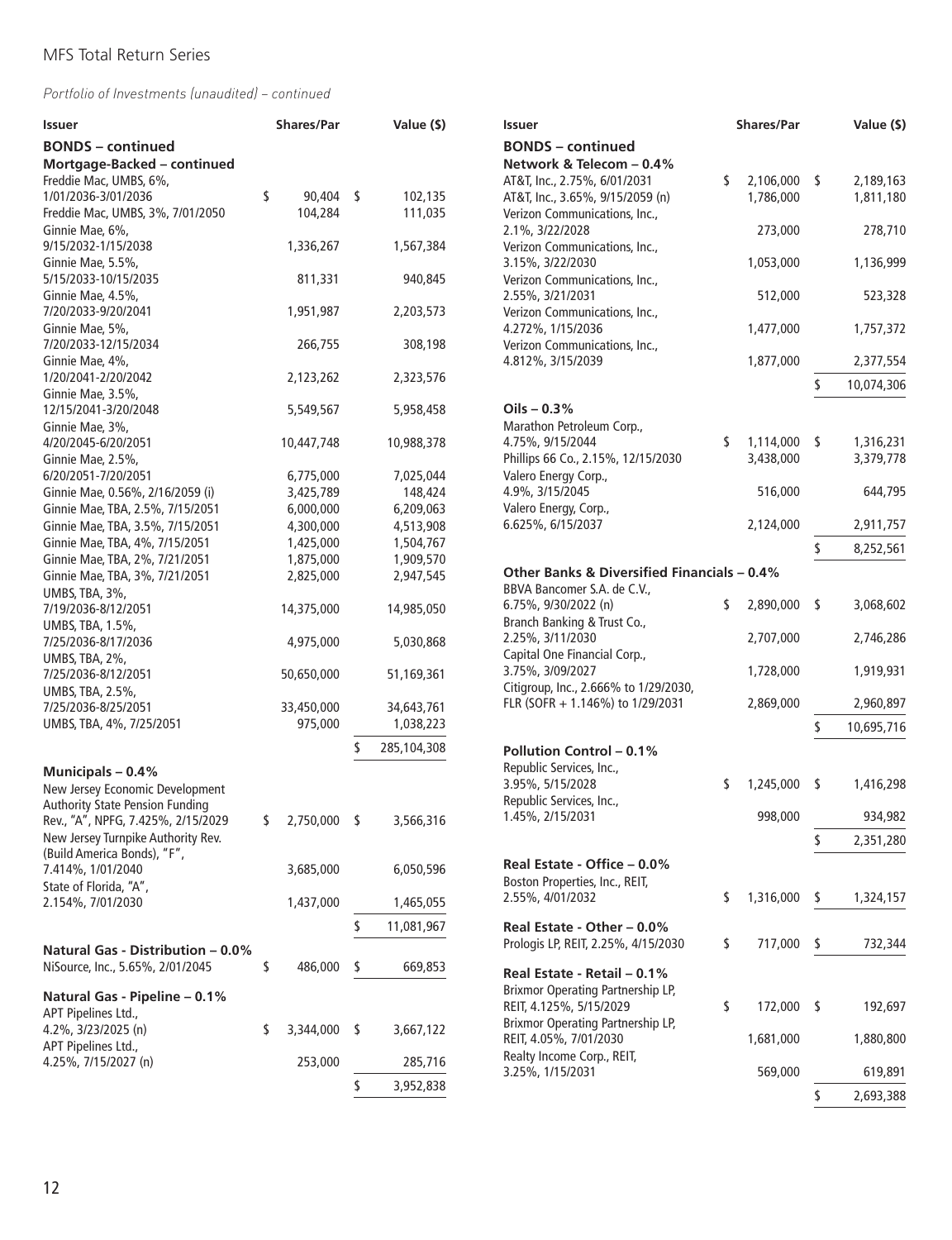| <b>Issuer</b>                            | <b>Shares/Par</b>  |    | Value (\$)  | <b>Issuer</b>                               |    | <b>Shares/Par</b> |      | Value (\$) |
|------------------------------------------|--------------------|----|-------------|---------------------------------------------|----|-------------------|------|------------|
| <b>BONDS</b> – continued                 |                    |    |             | <b>BONDS</b> – continued                    |    |                   |      |            |
| Mortgage-Backed - continued              |                    |    |             | Network & Telecom - 0.4%                    |    |                   |      |            |
| Freddie Mac, UMBS, 6%,                   |                    |    |             | AT&T, Inc., 2.75%, 6/01/2031                | \$ | 2,106,000 \$      |      | 2,189,163  |
| 1/01/2036-3/01/2036                      | \$<br>90,404 \$    |    | 102,135     | AT&T, Inc., 3.65%, 9/15/2059 (n)            |    | 1,786,000         |      | 1,811,180  |
| Freddie Mac, UMBS, 3%, 7/01/2050         | 104,284            |    | 111,035     | Verizon Communications, Inc.,               |    |                   |      |            |
| Ginnie Mae, 6%,                          |                    |    |             | 2.1%, 3/22/2028                             |    | 273,000           |      | 278,710    |
| 9/15/2032-1/15/2038                      | 1,336,267          |    | 1,567,384   | Verizon Communications, Inc.,               |    |                   |      |            |
| Ginnie Mae, 5.5%,                        |                    |    |             | 3.15%, 3/22/2030                            |    | 1,053,000         |      | 1,136,999  |
| 5/15/2033-10/15/2035                     | 811,331            |    | 940,845     | Verizon Communications, Inc.,               |    |                   |      |            |
| Ginnie Mae, 4.5%,                        |                    |    |             | 2.55%, 3/21/2031                            |    | 512,000           |      | 523,328    |
| 7/20/2033-9/20/2041                      | 1,951,987          |    | 2,203,573   | Verizon Communications, Inc.,               |    |                   |      |            |
| Ginnie Mae, 5%,                          |                    |    |             | 4.272%, 1/15/2036                           |    | 1,477,000         |      | 1,757,372  |
| 7/20/2033-12/15/2034                     | 266,755            |    | 308,198     | Verizon Communications, Inc.,               |    |                   |      |            |
| Ginnie Mae, 4%,                          |                    |    |             | 4.812%, 3/15/2039                           |    | 1,877,000         |      | 2,377,554  |
| 1/20/2041-2/20/2042                      | 2,123,262          |    | 2,323,576   |                                             |    |                   | \$   |            |
| Ginnie Mae, 3.5%,                        |                    |    |             |                                             |    |                   |      | 10,074,306 |
| 12/15/2041-3/20/2048                     | 5,549,567          |    | 5,958,458   | Oils $-0.3%$                                |    |                   |      |            |
| Ginnie Mae, 3%,                          |                    |    |             | Marathon Petroleum Corp.,                   |    |                   |      |            |
| 4/20/2045-6/20/2051                      | 10,447,748         |    | 10,988,378  | 4.75%, 9/15/2044                            | \$ | 1,114,000 \$      |      | 1,316,231  |
| Ginnie Mae, 2.5%,                        |                    |    |             | Phillips 66 Co., 2.15%, 12/15/2030          |    | 3,438,000         |      | 3,379,778  |
| 6/20/2051-7/20/2051                      | 6,775,000          |    | 7,025,044   | Valero Energy Corp.,                        |    |                   |      |            |
| Ginnie Mae, 0.56%, 2/16/2059 (i)         | 3,425,789          |    | 148,424     | 4.9%, 3/15/2045                             |    | 516,000           |      | 644,795    |
| Ginnie Mae, TBA, 2.5%, 7/15/2051         | 6,000,000          |    | 6,209,063   | Valero Energy, Corp.,                       |    |                   |      |            |
| Ginnie Mae, TBA, 3.5%, 7/15/2051         | 4,300,000          |    | 4,513,908   | 6.625%, 6/15/2037                           |    | 2,124,000         |      | 2,911,757  |
| Ginnie Mae, TBA, 4%, 7/15/2051           | 1,425,000          |    | 1,504,767   |                                             |    |                   |      |            |
| Ginnie Mae, TBA, 2%, 7/21/2051           | 1,875,000          |    | 1,909,570   |                                             |    |                   | \$   | 8,252,561  |
| Ginnie Mae, TBA, 3%, 7/21/2051           | 2,825,000          |    | 2,947,545   | Other Banks & Diversified Financials - 0.4% |    |                   |      |            |
| UMBS, TBA, 3%,                           |                    |    |             | BBVA Bancomer S.A. de C.V.,                 |    |                   |      |            |
| 7/19/2036-8/12/2051                      | 14,375,000         |    | 14,985,050  | 6.75%, 9/30/2022 (n)                        | S  | 2,890,000         | - \$ | 3,068,602  |
|                                          |                    |    |             | Branch Banking & Trust Co.,                 |    |                   |      |            |
| UMBS, TBA, 1.5%,                         |                    |    | 5,030,868   | 2.25%, 3/11/2030                            |    | 2,707,000         |      | 2,746,286  |
| 7/25/2036-8/17/2036                      | 4,975,000          |    |             | Capital One Financial Corp.,                |    |                   |      |            |
| UMBS, TBA, 2%,                           |                    |    |             | 3.75%, 3/09/2027                            |    | 1,728,000         |      | 1,919,931  |
| 7/25/2036-8/12/2051                      | 50,650,000         |    | 51,169,361  | Citigroup, Inc., 2.666% to 1/29/2030,       |    |                   |      |            |
| UMBS, TBA, 2.5%,                         |                    |    |             | FLR (SOFR + 1.146%) to 1/29/2031            |    | 2,869,000         |      | 2,960,897  |
| 7/25/2036-8/25/2051                      | 33,450,000         |    | 34,643,761  |                                             |    |                   |      |            |
| UMBS, TBA, 4%, 7/25/2051                 | 975,000            |    | 1,038,223   |                                             |    |                   | \$   | 10,695,716 |
|                                          |                    |    | 285,104,308 | <b>Pollution Control - 0.1%</b>             |    |                   |      |            |
| Municipals - 0.4%                        |                    |    |             | Republic Services, Inc.,                    |    |                   |      |            |
| New Jersey Economic Development          |                    |    |             | 3.95%, 5/15/2028                            | \$ | 1,245,000         | S.   | 1,416,298  |
| <b>Authority State Pension Funding</b>   |                    |    |             | Republic Services, Inc.,                    |    |                   |      |            |
| Rev., "A", NPFG, 7.425%, 2/15/2029       | \$<br>2,750,000 \$ |    | 3,566,316   | 1.45%, 2/15/2031                            |    | 998,000           |      | 934,982    |
| New Jersey Turnpike Authority Rev.       |                    |    |             |                                             |    |                   |      |            |
| (Build America Bonds), "F",              |                    |    |             |                                             |    |                   | \$   | 2,351,280  |
| 7.414%, 1/01/2040                        | 3,685,000          |    | 6,050,596   | Real Estate - Office - 0.0%                 |    |                   |      |            |
| State of Florida, "A",                   |                    |    |             | Boston Properties, Inc., REIT,              |    |                   |      |            |
| 2.154%, 7/01/2030                        | 1,437,000          |    | 1,465,055   | 2.55%, 4/01/2032                            | \$ | 1,316,000         | s.   | 1,324,157  |
|                                          |                    |    |             |                                             |    |                   |      |            |
|                                          |                    | S  | 11,081,967  | Real Estate - Other - 0.0%                  |    |                   |      |            |
| <b>Natural Gas - Distribution - 0.0%</b> |                    |    |             | Prologis LP, REIT, 2.25%, 4/15/2030         | \$ | 717,000           | \$.  | 732,344    |
| NiSource, Inc., 5.65%, 2/01/2045         | \$<br>486,000      | \$ | 669,853     |                                             |    |                   |      |            |
|                                          |                    |    |             | Real Estate - Retail - 0.1%                 |    |                   |      |            |
| Natural Gas - Pipeline - 0.1%            |                    |    |             | Brixmor Operating Partnership LP,           |    |                   |      |            |
| APT Pipelines Ltd.,                      |                    |    |             | REIT, 4.125%, 5/15/2029                     | \$ | 172,000 \$        |      | 192,697    |
| 4.2%, 3/23/2025 (n)                      | \$<br>3,344,000    | \$ | 3,667,122   | Brixmor Operating Partnership LP,           |    |                   |      |            |
| APT Pipelines Ltd.,                      |                    |    |             | REIT, 4.05%, 7/01/2030                      |    | 1,681,000         |      | 1,880,800  |
| 4.25%, 7/15/2027 (n)                     | 253,000            |    | 285,716     | Realty Income Corp., REIT,                  |    |                   |      |            |
|                                          |                    |    |             | 3.25%, 1/15/2031                            |    | 569,000           |      | 619,891    |
|                                          |                    | \$ | 3,952,838   |                                             |    |                   |      | 2,693,388  |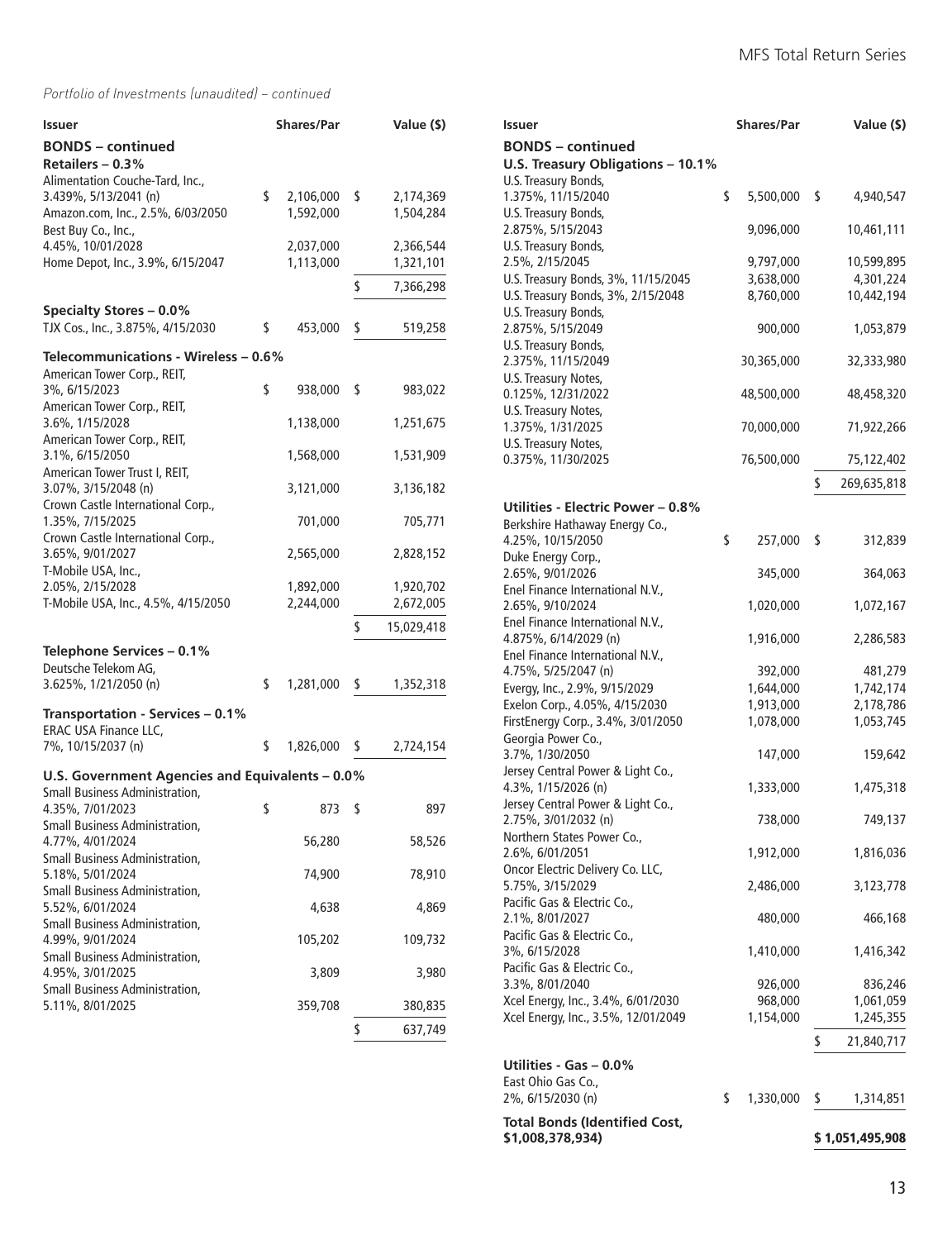| Issuer                                                              | <b>Shares/Par</b> |    | Value (\$) |
|---------------------------------------------------------------------|-------------------|----|------------|
| <b>BONDS</b> - continued                                            |                   |    |            |
| Retailers - 0.3%                                                    |                   |    |            |
| Alimentation Couche-Tard, Inc.,<br>3.439%, 5/13/2041 (n)            | \$<br>2,106,000   | \$ | 2,174,369  |
| Amazon.com, Inc., 2.5%, 6/03/2050                                   | 1,592,000         |    | 1,504,284  |
| Best Buy Co., Inc.,                                                 |                   |    |            |
| 4.45%, 10/01/2028                                                   | 2,037,000         |    | 2,366,544  |
| Home Depot, Inc., 3.9%, 6/15/2047                                   | 1,113,000         |    | 1,321,101  |
|                                                                     |                   | \$ | 7,366,298  |
| <b>Specialty Stores - 0.0%</b>                                      |                   |    |            |
| TJX Cos., Inc., 3.875%, 4/15/2030                                   | \$<br>453,000     | \$ | 519,258    |
|                                                                     |                   |    |            |
| Telecommunications - Wireless - 0.6%<br>American Tower Corp., REIT, |                   |    |            |
| 3%, 6/15/2023                                                       | \$<br>938,000     | \$ | 983,022    |
| American Tower Corp., REIT,                                         |                   |    |            |
| 3.6%, 1/15/2028                                                     | 1,138,000         |    | 1,251,675  |
| American Tower Corp., REIT,<br>3.1%, 6/15/2050                      | 1,568,000         |    | 1,531,909  |
| American Tower Trust I, REIT,                                       |                   |    |            |
| 3.07%, 3/15/2048 (n)                                                | 3,121,000         |    | 3,136,182  |
| Crown Castle International Corp.,                                   |                   |    |            |
| 1.35%, 7/15/2025                                                    | 701,000           |    | 705,771    |
| Crown Castle International Corp.,<br>3.65%, 9/01/2027               | 2,565,000         |    | 2,828,152  |
| T-Mobile USA, Inc.,                                                 |                   |    |            |
| 2.05%, 2/15/2028                                                    | 1,892,000         |    | 1,920,702  |
| T-Mobile USA, Inc., 4.5%, 4/15/2050                                 | 2,244,000         |    | 2,672,005  |
|                                                                     |                   | \$ | 15,029,418 |
| Telephone Services - 0.1%                                           |                   |    |            |
| Deutsche Telekom AG,                                                |                   |    |            |
| 3.625%, 1/21/2050 (n)                                               | \$<br>1,281,000   | \$ | 1,352,318  |
| Transportation - Services - 0.1%                                    |                   |    |            |
| ERAC USA Finance LLC,                                               |                   |    |            |
| 7%, 10/15/2037 (n)                                                  | \$<br>1,826,000   | S  | 2,724,154  |
| U.S. Government Agencies and Equivalents - 0.0%                     |                   |    |            |
| Small Business Administration,                                      |                   |    |            |
| 4.35%, 7/01/2023                                                    | \$<br>873         | S  | 897        |
| <b>Small Business Administration,</b>                               |                   |    |            |
| 4.77%, 4/01/2024                                                    | 56,280            |    | 58,526     |
| Small Business Administration,<br>5.18%, 5/01/2024                  | 74,900            |    | 78,910     |
| <b>Small Business Administration,</b>                               |                   |    |            |
| 5.52%, 6/01/2024                                                    | 4,638             |    | 4,869      |
| <b>Small Business Administration,</b>                               |                   |    |            |
| 4.99%, 9/01/2024<br>Small Business Administration,                  | 105,202           |    | 109,732    |
| 4.95%, 3/01/2025                                                    | 3,809             |    | 3,980      |
| Small Business Administration,                                      |                   |    |            |
| 5.11%, 8/01/2025                                                    | 359,708           |    | 380,835    |
|                                                                     |                   | \$ | 637,749    |

| Issuer                                                        | <b>Shares/Par</b> | Value (\$)        |
|---------------------------------------------------------------|-------------------|-------------------|
| <b>BONDS</b> – continued<br>U.S. Treasury Obligations - 10.1% |                   |                   |
| U.S. Treasury Bonds,                                          |                   |                   |
| 1.375%, 11/15/2040                                            | \$<br>5,500,000   | \$<br>4,940,547   |
| U.S. Treasury Bonds,                                          |                   |                   |
| 2.875%, 5/15/2043                                             | 9,096,000         | 10,461,111        |
| U.S. Treasury Bonds,                                          |                   |                   |
| 2.5%, 2/15/2045                                               | 9,797,000         | 10,599,895        |
| U.S. Treasury Bonds, 3%, 11/15/2045                           | 3,638,000         | 4,301,224         |
| U.S. Treasury Bonds, 3%, 2/15/2048                            | 8,760,000         | 10,442,194        |
| U.S. Treasury Bonds,                                          |                   |                   |
| 2.875%, 5/15/2049<br>U.S. Treasury Bonds,                     | 900,000           | 1,053,879         |
| 2.375%, 11/15/2049                                            | 30,365,000        | 32,333,980        |
| U.S. Treasury Notes,                                          |                   |                   |
| 0.125%, 12/31/2022                                            | 48,500,000        | 48,458,320        |
| U.S. Treasury Notes,                                          |                   |                   |
| 1.375%, 1/31/2025                                             | 70,000,000        | 71,922,266        |
| U.S. Treasury Notes,                                          |                   |                   |
| 0.375%, 11/30/2025                                            | 76,500,000        | 75,122,402        |
|                                                               |                   | \$<br>269,635,818 |
|                                                               |                   |                   |
| Utilities - Electric Power – 0.8%                             |                   |                   |
| Berkshire Hathaway Energy Co.,                                |                   |                   |
| 4.25%, 10/15/2050                                             | \$<br>257,000     | \$<br>312,839     |
| Duke Energy Corp.,<br>2.65%, 9/01/2026                        |                   |                   |
|                                                               | 345,000           | 364,063           |
| Enel Finance International N.V.,<br>2.65%, 9/10/2024          | 1,020,000         | 1,072,167         |
| Enel Finance International N.V.,                              |                   |                   |
| 4.875%, 6/14/2029 (n)                                         | 1,916,000         | 2,286,583         |
| Enel Finance International N.V.,                              |                   |                   |
| 4.75%, 5/25/2047 (n)                                          | 392,000           | 481,279           |
| Evergy, Inc., 2.9%, 9/15/2029                                 | 1,644,000         | 1,742,174         |
| Exelon Corp., 4.05%, 4/15/2030                                | 1,913,000         | 2,178,786         |
| FirstEnergy Corp., 3.4%, 3/01/2050                            | 1,078,000         | 1,053,745         |
| Georgia Power Co.,                                            |                   |                   |
| 3.7%, 1/30/2050                                               | 147,000           | 159,642           |
| Jersey Central Power & Light Co.,                             |                   |                   |
| 4.3%, 1/15/2026 (n)                                           | 1,333,000         | 1,475,318         |
| Jersey Central Power & Light Co.,                             |                   |                   |
| 2.75%, 3/01/2032 (n)                                          | 738,000           | 749,137           |
| Northern States Power Co.,                                    |                   |                   |
| 2.6%, 6/01/2051                                               | 1,912,000         | 1,816,036         |
| Oncor Electric Delivery Co. LLC,                              |                   |                   |
| 5.75%, 3/15/2029<br>Pacific Gas & Electric Co.,               | 2,486,000         | 3,123,778         |
| 2.1%, 8/01/2027                                               | 480,000           | 466,168           |
| Pacific Gas & Electric Co.,                                   |                   |                   |
| 3%, 6/15/2028                                                 | 1,410,000         | 1,416,342         |
| Pacific Gas & Electric Co.,                                   |                   |                   |
| 3.3%, 8/01/2040                                               | 926,000           | 836,246           |
| Xcel Energy, Inc., 3.4%, 6/01/2030                            | 968,000           | 1,061,059         |
| Xcel Energy, Inc., 3.5%, 12/01/2049                           | 1,154,000         | 1,245,355         |
|                                                               |                   | \$<br>21,840,717  |
|                                                               |                   |                   |
| Utilities - Gas - 0.0%                                        |                   |                   |
| East Ohio Gas Co.,                                            |                   |                   |
| 2%, 6/15/2030 (n)                                             | \$<br>1,330,000   | \$<br>1,314,851   |
| <b>Total Bonds (Identified Cost,</b>                          |                   |                   |
| \$1,008,378,934)                                              |                   | \$ 1,051,495,908  |
|                                                               |                   |                   |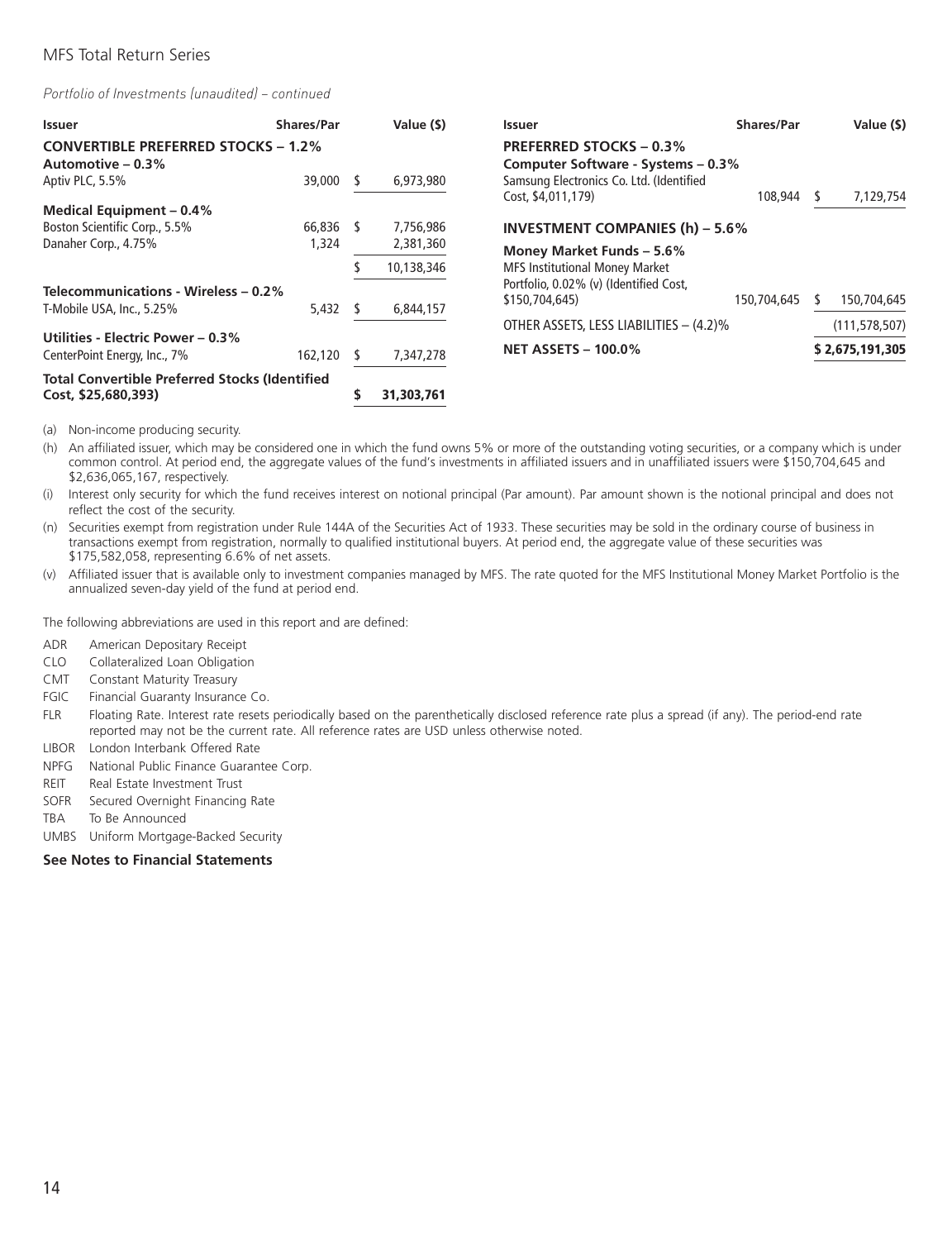*Portfolio of Investments (unaudited) – continued*

| <b>Issuer</b>                                                     | <b>Shares/Par</b> | Value (\$) | <b>Issuer</b>                                                        | <b>Shares/Par</b> | Value (\$)      |
|-------------------------------------------------------------------|-------------------|------------|----------------------------------------------------------------------|-------------------|-----------------|
| <b>CONVERTIBLE PREFERRED STOCKS - 1.2%</b><br>Automotive $-0.3\%$ |                   |            | <b>PREFERRED STOCKS - 0.3%</b><br>Computer Software - Systems - 0.3% |                   |                 |
| Aptiv PLC, 5.5%                                                   | 39,000            | 6,973,980  | Samsung Electronics Co. Ltd. (Identified<br>Cost, \$4,011,179)       | 108,944           | 7,129,754       |
| Medical Equipment - 0.4%                                          |                   |            |                                                                      |                   |                 |
| Boston Scientific Corp., 5.5%                                     | 66,836            | 7,756,986  | <b>INVESTMENT COMPANIES (h) - 5.6%</b>                               |                   |                 |
| Danaher Corp., 4.75%                                              | 1,324             | 2,381,360  | Money Market Funds - 5.6%                                            |                   |                 |
|                                                                   |                   | 10,138,346 | <b>MFS Institutional Money Market</b>                                |                   |                 |
| Telecommunications - Wireless - 0.2%                              |                   |            | Portfolio, 0.02% (v) (Identified Cost,<br>\$150,704,645)             | 150,704,645       | 150,704,645     |
| T-Mobile USA, Inc., 5.25%                                         | 5,432             | 6,844,157  |                                                                      |                   |                 |
|                                                                   |                   |            | OTHER ASSETS, LESS LIABILITIES - (4.2)%                              |                   | (111, 578, 507) |
| Utilities - Electric Power – 0.3%<br>CenterPoint Energy, Inc., 7% | 162,120           | 7,347,278  | <b>NET ASSETS - 100.0%</b>                                           |                   | \$2,675,191,305 |
| <b>Total Convertible Preferred Stocks (Identified</b>             |                   |            |                                                                      |                   |                 |
| Cost, \$25,680,393)                                               |                   | 31,303,761 |                                                                      |                   |                 |

(a) Non-income producing security.

(h) An affiliated issuer, which may be considered one in which the fund owns 5% or more of the outstanding voting securities, or a company which is under common control. At period end, the aggregate values of the fund's investments in affiliated issuers and in unaffiliated issuers were \$150,704,645 and \$2,636,065,167, respectively.

(i) Interest only security for which the fund receives interest on notional principal (Par amount). Par amount shown is the notional principal and does not reflect the cost of the security.

(n) Securities exempt from registration under Rule 144A of the Securities Act of 1933. These securities may be sold in the ordinary course of business in transactions exempt from registration, normally to qualified institutional buyers. At period end, the aggregate value of these securities was \$175,582,058, representing 6.6% of net assets.

(v) Affiliated issuer that is available only to investment companies managed by MFS. The rate quoted for the MFS Institutional Money Market Portfolio is the annualized seven-day yield of the fund at period end.

The following abbreviations are used in this report and are defined:

- ADR American Depositary Receipt
- CLO Collateralized Loan Obligation
- CMT Constant Maturity Treasury
- FGIC Financial Guaranty Insurance Co.
- FLR Floating Rate. Interest rate resets periodically based on the parenthetically disclosed reference rate plus a spread (if any). The period-end rate reported may not be the current rate. All reference rates are USD unless otherwise noted.
- LIBOR London Interbank Offered Rate
- NPFG National Public Finance Guarantee Corp.
- REIT Real Estate Investment Trust
- SOFR Secured Overnight Financing Rate
- TBA To Be Announced
- UMBS Uniform Mortgage-Backed Security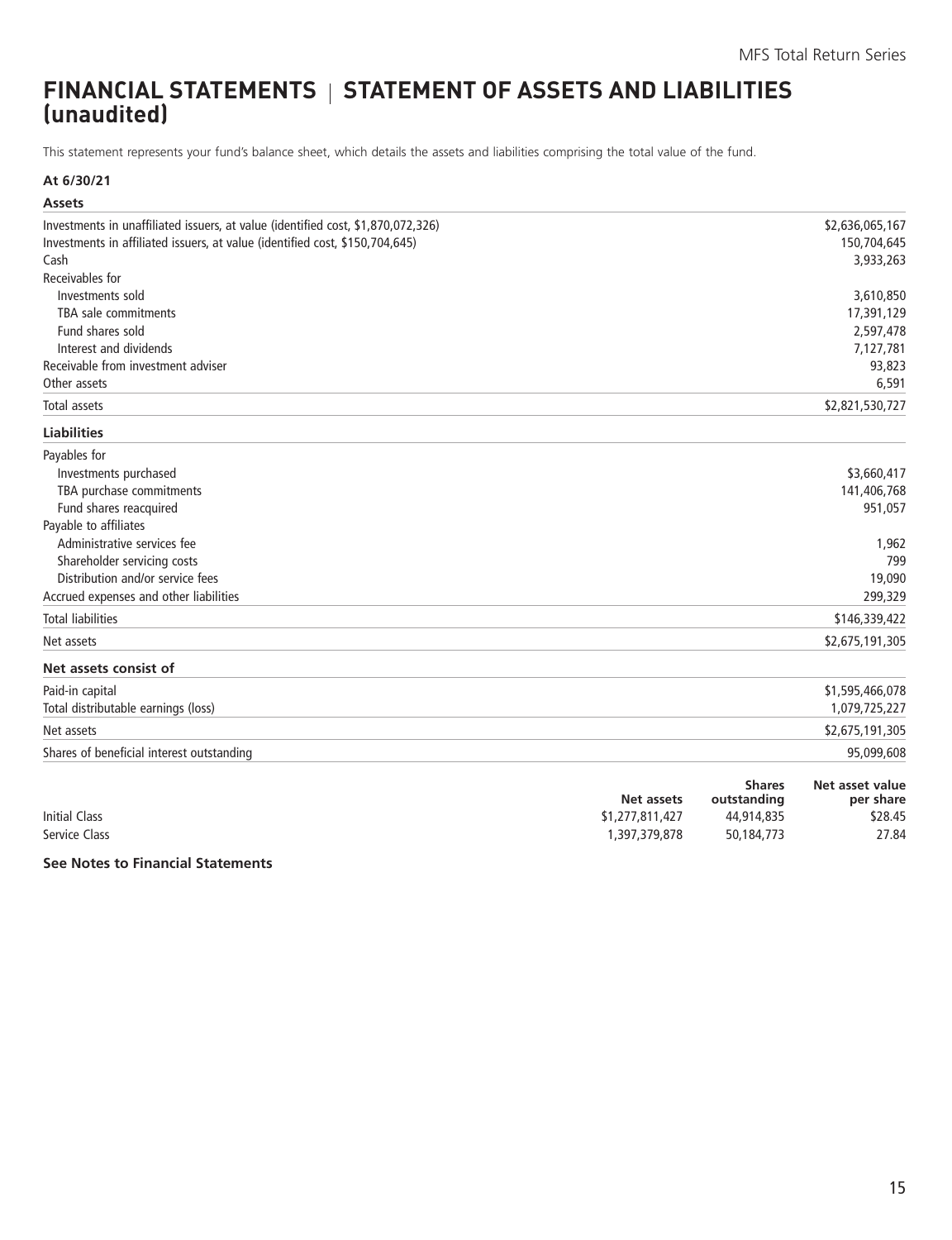# <span id="page-16-0"></span>**FINANCIAL STATEMENTS STATEMENT OF ASSETS AND LIABILITIES (unaudited)**

This statement represents your fund's balance sheet, which details the assets and liabilities comprising the total value of the fund.

#### **At 6/30/21**

| <b>Assets</b>                                                                    |               |                 |
|----------------------------------------------------------------------------------|---------------|-----------------|
| Investments in unaffiliated issuers, at value (identified cost, \$1,870,072,326) |               | \$2,636,065,167 |
| Investments in affiliated issuers, at value (identified cost, \$150,704,645)     |               | 150,704,645     |
| Cash                                                                             |               | 3,933,263       |
| Receivables for                                                                  |               |                 |
| Investments sold                                                                 |               | 3,610,850       |
| TBA sale commitments                                                             |               | 17,391,129      |
| Fund shares sold                                                                 |               | 2,597,478       |
| Interest and dividends                                                           |               | 7,127,781       |
| Receivable from investment adviser                                               |               | 93,823          |
| Other assets                                                                     |               | 6,591           |
| <b>Total assets</b>                                                              |               | \$2,821,530,727 |
| <b>Liabilities</b>                                                               |               |                 |
| Payables for                                                                     |               |                 |
| Investments purchased                                                            |               | \$3,660,417     |
| TBA purchase commitments                                                         |               | 141,406,768     |
| Fund shares reacquired                                                           |               | 951,057         |
| Payable to affiliates                                                            |               |                 |
| Administrative services fee                                                      |               | 1,962           |
| Shareholder servicing costs                                                      |               | 799             |
| Distribution and/or service fees                                                 |               | 19,090          |
| Accrued expenses and other liabilities                                           |               | 299,329         |
| <b>Total liabilities</b>                                                         |               | \$146,339,422   |
| Net assets                                                                       |               | \$2,675,191,305 |
| Net assets consist of                                                            |               |                 |
| Paid-in capital                                                                  |               | \$1,595,466,078 |
| Total distributable earnings (loss)                                              |               | 1,079,725,227   |
| Net assets                                                                       |               | \$2,675,191,305 |
| Shares of beneficial interest outstanding                                        |               | 95,099,608      |
|                                                                                  | <b>Shares</b> | Net asset value |

|                      | Net assets      | <b>Sudic</b><br>outstanding | INEL ASSEL VAIUE<br>per share |
|----------------------|-----------------|-----------------------------|-------------------------------|
| <b>Initial Class</b> | \$1,277,811,427 | 44,914,835                  | \$28.45                       |
| Service Class        | .397.379.878    | 50,184,773                  | 27.84                         |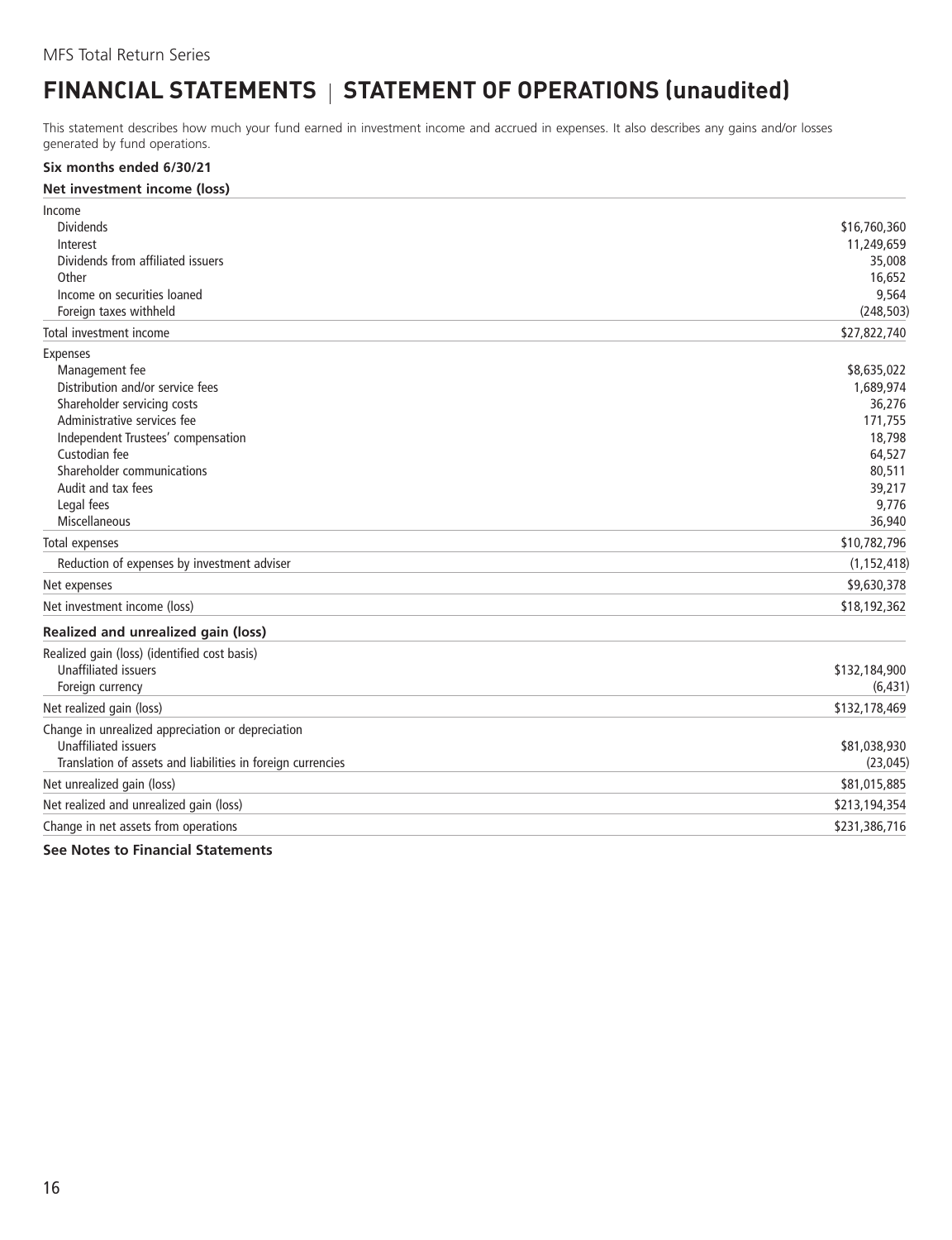# <span id="page-17-0"></span>**FINANCIAL STATEMENTS** | STATEMENT OF OPERATIONS (unaudited)

This statement describes how much your fund earned in investment income and accrued in expenses. It also describes any gains and/or losses generated by fund operations.

#### **Six months ended 6/30/21**

#### **Net investment income (loss)**

| Income                                                      |               |
|-------------------------------------------------------------|---------------|
| <b>Dividends</b>                                            | \$16,760,360  |
| Interest                                                    | 11,249,659    |
| Dividends from affiliated issuers                           | 35,008        |
| Other                                                       | 16,652        |
| Income on securities loaned                                 | 9,564         |
| Foreign taxes withheld                                      | (248, 503)    |
| Total investment income                                     | \$27,822,740  |
| <b>Expenses</b>                                             |               |
| Management fee                                              | \$8,635,022   |
| Distribution and/or service fees                            | 1,689,974     |
| Shareholder servicing costs                                 | 36,276        |
| Administrative services fee                                 | 171,755       |
| Independent Trustees' compensation                          | 18,798        |
| Custodian fee                                               | 64,527        |
| Shareholder communications                                  | 80,511        |
| Audit and tax fees                                          | 39,217        |
| Legal fees                                                  | 9,776         |
| Miscellaneous                                               | 36,940        |
| Total expenses                                              | \$10,782,796  |
| Reduction of expenses by investment adviser                 | (1, 152, 418) |
| Net expenses                                                | \$9,630,378   |
| Net investment income (loss)                                | \$18,192,362  |
| Realized and unrealized gain (loss)                         |               |
| Realized gain (loss) (identified cost basis)                |               |
| <b>Unaffiliated issuers</b>                                 | \$132,184,900 |
| Foreign currency                                            | (6, 431)      |
| Net realized gain (loss)                                    | \$132,178,469 |
| Change in unrealized appreciation or depreciation           |               |
| <b>Unaffiliated issuers</b>                                 | \$81,038,930  |
| Translation of assets and liabilities in foreign currencies | (23, 045)     |
| Net unrealized gain (loss)                                  | \$81,015,885  |
| Net realized and unrealized gain (loss)                     | \$213,194,354 |
| Change in net assets from operations                        | \$231,386,716 |
|                                                             |               |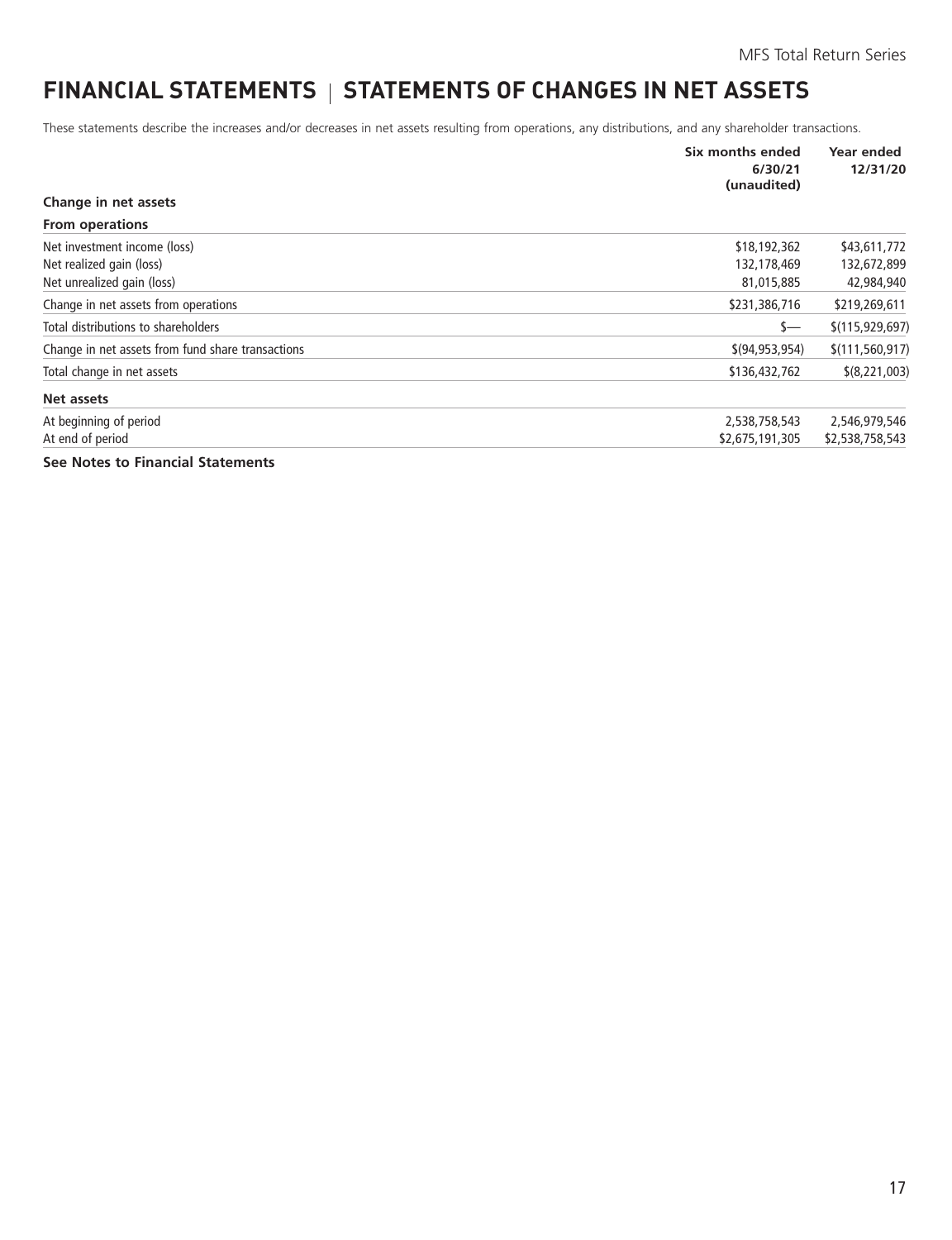# <span id="page-18-0"></span>**FINANCIAL STATEMENTS | STATEMENTS OF CHANGES IN NET ASSETS**

These statements describe the increases and/or decreases in net assets resulting from operations, any distributions, and any shareholder transactions.

|                                                   | Six months ended<br>6/30/21<br>(unaudited) | Year ended<br>12/31/20 |
|---------------------------------------------------|--------------------------------------------|------------------------|
| Change in net assets                              |                                            |                        |
| <b>From operations</b>                            |                                            |                        |
| Net investment income (loss)                      | \$18,192,362                               | \$43,611,772           |
| Net realized gain (loss)                          | 132,178,469                                | 132,672,899            |
| Net unrealized gain (loss)                        | 81,015,885                                 | 42,984,940             |
| Change in net assets from operations              | \$231,386,716                              | \$219,269,611          |
| Total distributions to shareholders               | $s-$                                       | \$(115, 929, 697)      |
| Change in net assets from fund share transactions | \$(94, 953, 954)                           | \$(111, 560, 917)      |
| Total change in net assets                        | \$136,432,762                              | \$(8,221,003)          |
| Net assets                                        |                                            |                        |
| At beginning of period                            | 2,538,758,543                              | 2,546,979,546          |
| At end of period                                  | \$2,675,191,305                            | \$2,538,758,543        |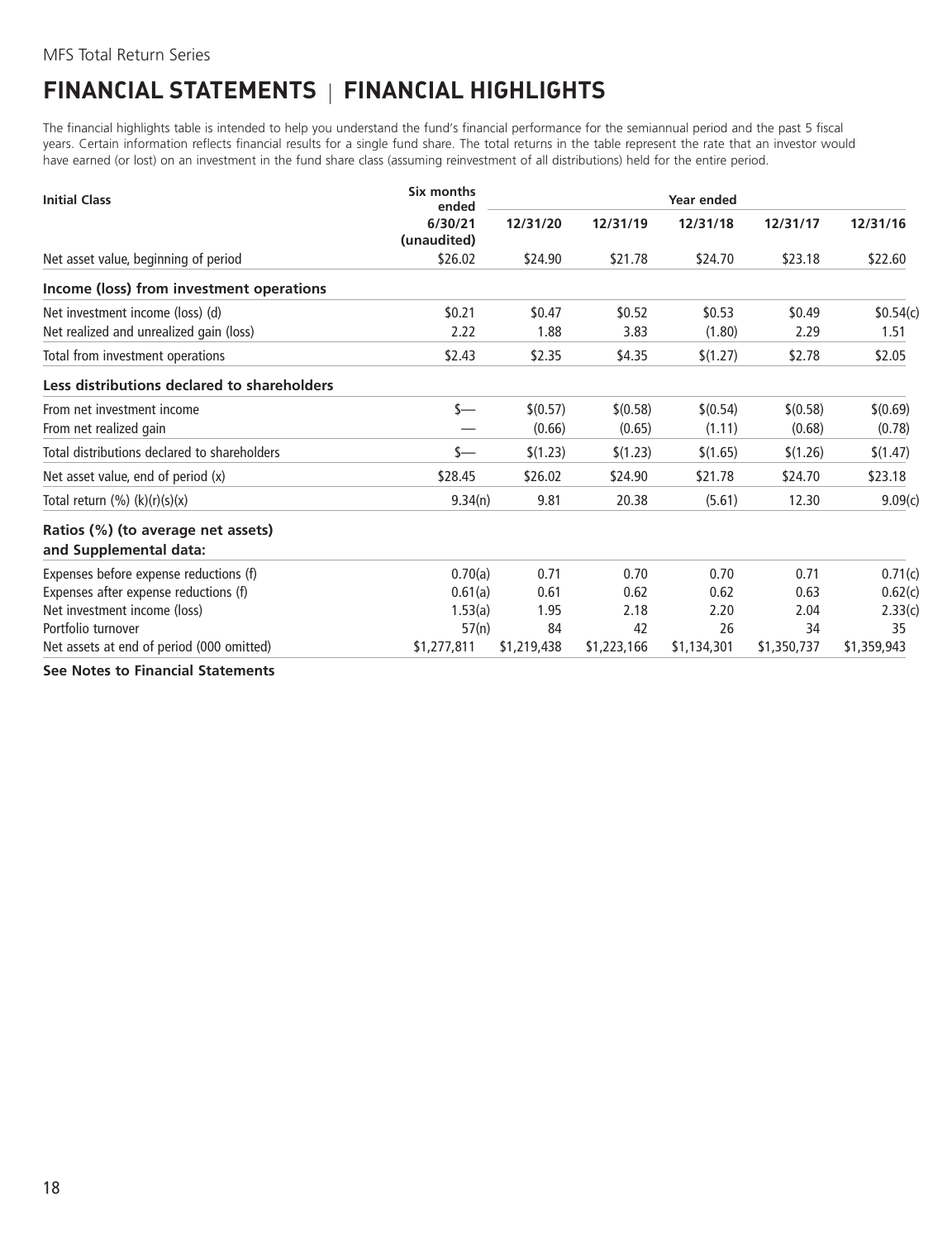# <span id="page-19-0"></span>**FINANCIAL STATEMENTS FINANCIAL HIGHLIGHTS**

The financial highlights table is intended to help you understand the fund's financial performance for the semiannual period and the past 5 fiscal years. Certain information reflects financial results for a single fund share. The total returns in the table represent the rate that an investor would have earned (or lost) on an investment in the fund share class (assuming reinvestment of all distributions) held for the entire period.

| <b>Initial Class</b>                                         | Six months<br>ended    | Year ended  |             |             |             |             |
|--------------------------------------------------------------|------------------------|-------------|-------------|-------------|-------------|-------------|
|                                                              | 6/30/21<br>(unaudited) | 12/31/20    | 12/31/19    | 12/31/18    | 12/31/17    | 12/31/16    |
| Net asset value, beginning of period                         | \$26.02                | \$24.90     | \$21.78     | \$24.70     | \$23.18     | \$22.60     |
| Income (loss) from investment operations                     |                        |             |             |             |             |             |
| Net investment income (loss) (d)                             | \$0.21                 | \$0.47      | \$0.52      | \$0.53      | \$0.49      | \$0.54(c)   |
| Net realized and unrealized gain (loss)                      | 2.22                   | 1.88        | 3.83        | (1.80)      | 2.29        | 1.51        |
| Total from investment operations                             | \$2.43                 | \$2.35      | \$4.35      | \$(1.27)    | \$2.78      | \$2.05      |
| Less distributions declared to shareholders                  |                        |             |             |             |             |             |
| From net investment income                                   | s—                     | \$(0.57)    | \$(0.58)    | \$(0.54)    | \$(0.58)    | \$(0.69)    |
| From net realized gain                                       |                        | (0.66)      | (0.65)      | (1.11)      | (0.68)      | (0.78)      |
| Total distributions declared to shareholders                 | s—                     | \$(1.23)    | \$(1.23)    | \$(1.65)    | \$(1.26)    | \$(1.47)    |
| Net asset value, end of period (x)                           | \$28.45                | \$26.02     | \$24.90     | \$21.78     | \$24.70     | \$23.18     |
| Total return $(\%) (k)(r)(s)(x)$                             | 9.34(n)                | 9.81        | 20.38       | (5.61)      | 12.30       | 9.09(c)     |
| Ratios (%) (to average net assets)<br>and Supplemental data: |                        |             |             |             |             |             |
| Expenses before expense reductions (f)                       | 0.70(a)                | 0.71        | 0.70        | 0.70        | 0.71        | 0.71(c)     |
| Expenses after expense reductions (f)                        | 0.61(a)                | 0.61        | 0.62        | 0.62        | 0.63        | 0.62(c)     |
| Net investment income (loss)                                 | 1.53(a)                | 1.95        | 2.18        | 2.20        | 2.04        | 2.33(c)     |
| Portfolio turnover                                           | 57(n)                  | 84          | 42          | 26          | 34          | 35          |
| Net assets at end of period (000 omitted)                    | \$1,277,811            | \$1,219,438 | \$1,223,166 | \$1,134,301 | \$1,350,737 | \$1,359,943 |
|                                                              |                        |             |             |             |             |             |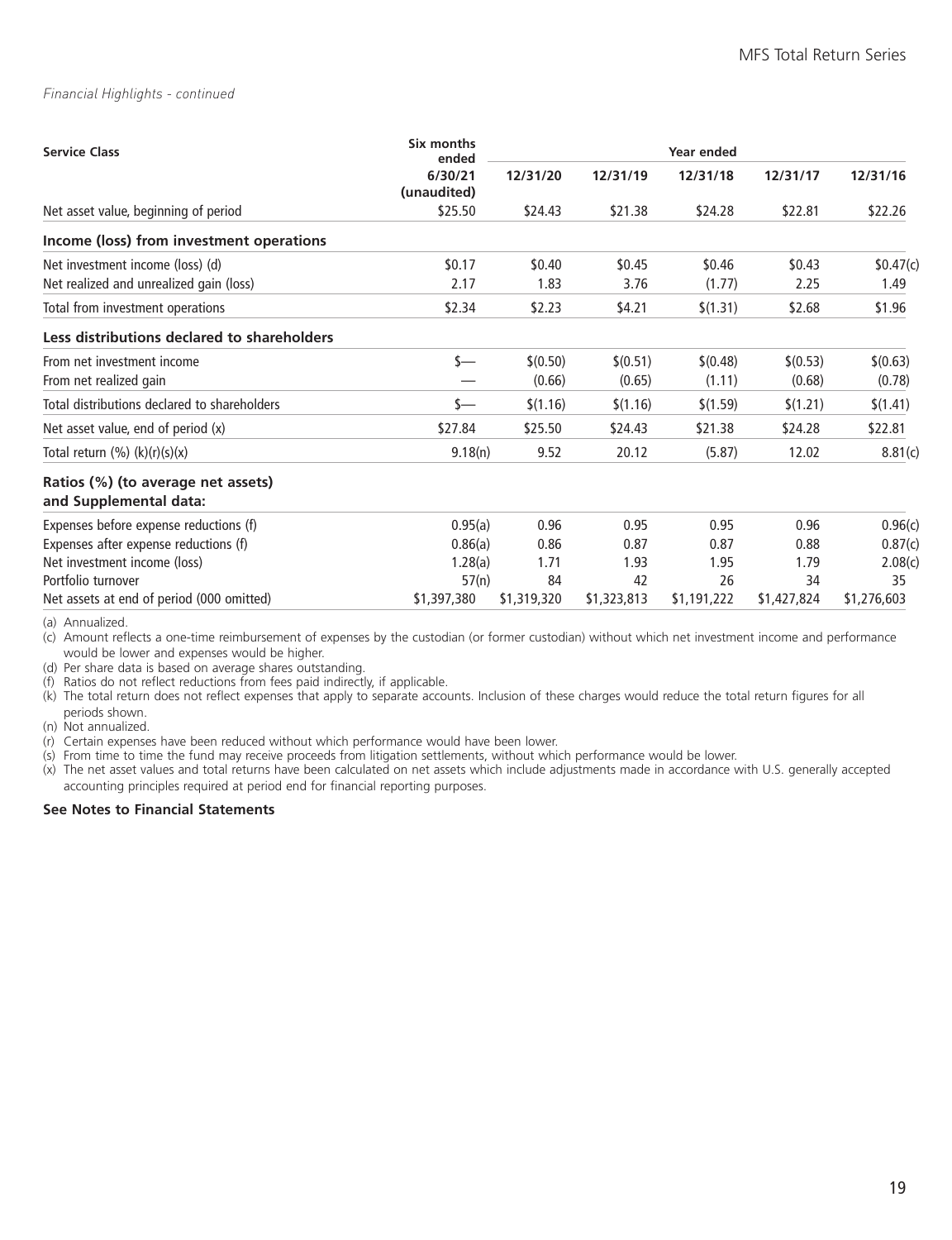#### *Financial Highlights - continued*

| <b>Service Class</b>                                         | Six months<br>ended    | Year ended  |             |             |             |             |  |  |
|--------------------------------------------------------------|------------------------|-------------|-------------|-------------|-------------|-------------|--|--|
|                                                              | 6/30/21<br>(unaudited) | 12/31/20    | 12/31/19    | 12/31/18    | 12/31/17    | 12/31/16    |  |  |
| Net asset value, beginning of period                         | \$25.50                | \$24.43     | \$21.38     | \$24.28     | \$22.81     | \$22.26     |  |  |
| Income (loss) from investment operations                     |                        |             |             |             |             |             |  |  |
| Net investment income (loss) (d)                             | \$0.17                 | \$0.40      | \$0.45      | \$0.46      | \$0.43      | \$0.47(c)   |  |  |
| Net realized and unrealized gain (loss)                      | 2.17                   | 1.83        | 3.76        | (1.77)      | 2.25        | 1.49        |  |  |
| Total from investment operations                             | \$2.34                 | \$2.23      | \$4.21      | \$(1.31)    | \$2.68      | \$1.96      |  |  |
| Less distributions declared to shareholders                  |                        |             |             |             |             |             |  |  |
| From net investment income                                   | s—                     | \$(0.50)    | \$(0.51)    | \$(0.48)    | \$(0.53)    | \$(0.63)    |  |  |
| From net realized gain                                       |                        | (0.66)      | (0.65)      | (1.11)      | (0.68)      | (0.78)      |  |  |
| Total distributions declared to shareholders                 | s—                     | \$(1.16)    | \$(1.16)    | \$(1.59)    | \$(1.21)    | \$(1.41)    |  |  |
| Net asset value, end of period (x)                           | \$27.84                | \$25.50     | \$24.43     | \$21.38     | \$24.28     | \$22.81     |  |  |
| Total return $(\%) (k)(r)(s)(x)$                             | 9.18(n)                | 9.52        | 20.12       | (5.87)      | 12.02       | 8.81(c)     |  |  |
| Ratios (%) (to average net assets)<br>and Supplemental data: |                        |             |             |             |             |             |  |  |
| Expenses before expense reductions (f)                       | 0.95(a)                | 0.96        | 0.95        | 0.95        | 0.96        | 0.96(c)     |  |  |
| Expenses after expense reductions (f)                        | 0.86(a)                | 0.86        | 0.87        | 0.87        | 0.88        | 0.87(c)     |  |  |
| Net investment income (loss)                                 | 1.28(a)                | 1.71        | 1.93        | 1.95        | 1.79        | 2.08(c)     |  |  |
| Portfolio turnover                                           | 57(n)                  | 84          | 42          | 26          | 34          | 35          |  |  |
| Net assets at end of period (000 omitted)                    | \$1,397,380            | \$1,319,320 | \$1,323,813 | \$1,191,222 | \$1,427,824 | \$1,276,603 |  |  |

(a) Annualized.

(c) Amount reflects a one-time reimbursement of expenses by the custodian (or former custodian) without which net investment income and performance would be lower and expenses would be higher.

(d) Per share data is based on average shares outstanding.

(f) Ratios do not reflect reductions from fees paid indirectly, if applicable.

(k) The total return does not reflect expenses that apply to separate accounts. Inclusion of these charges would reduce the total return figures for all periods shown.

(n) Not annualized.

(r) Certain expenses have been reduced without which performance would have been lower.

(s) From time to time the fund may receive proceeds from litigation settlements, without which performance would be lower.

(x) The net asset values and total returns have been calculated on net assets which include adjustments made in accordance with U.S. generally accepted accounting principles required at period end for financial reporting purposes.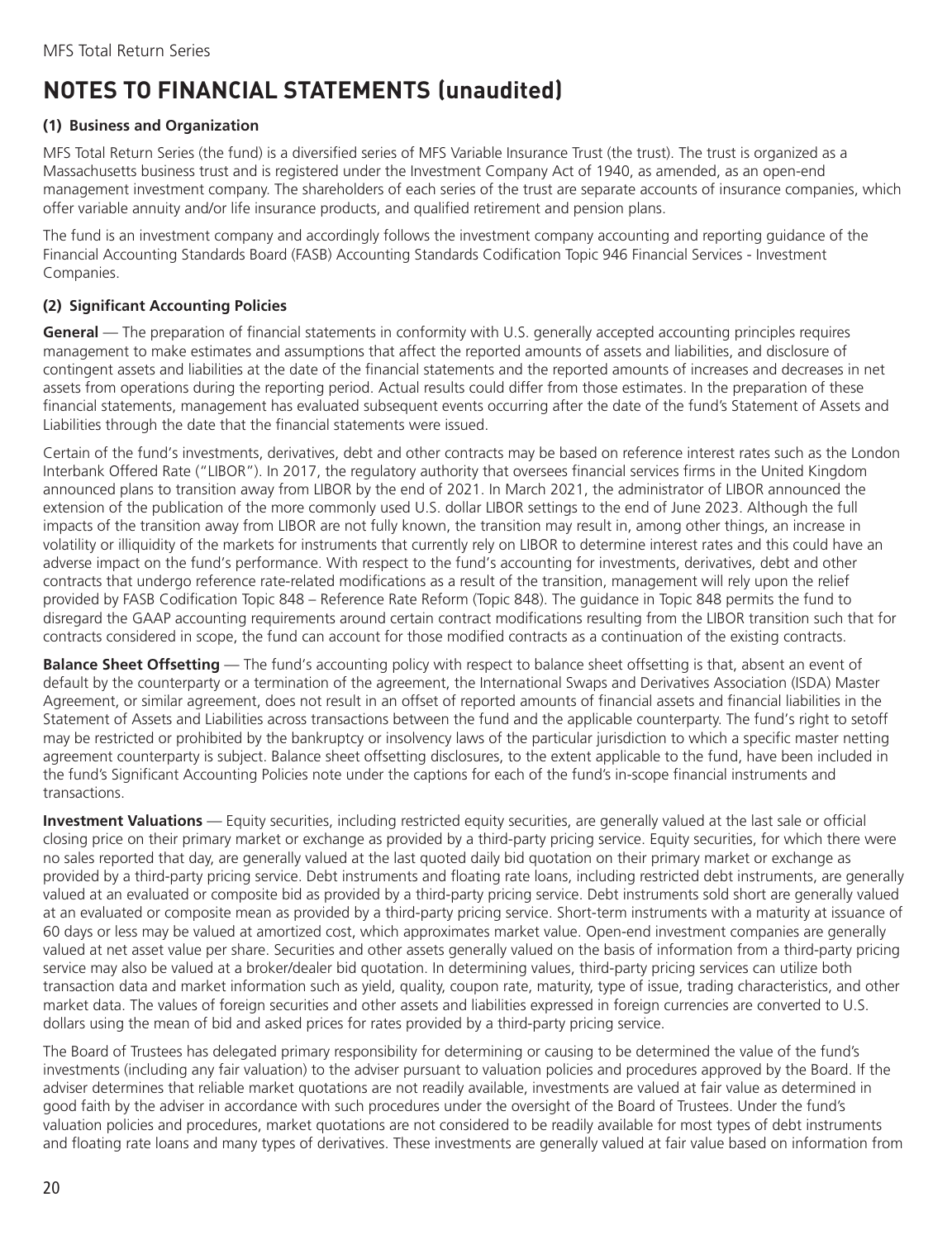# <span id="page-21-0"></span>**NOTES TO FINANCIAL STATEMENTS (unaudited)**

### **(1) Business and Organization**

MFS Total Return Series (the fund) is a diversified series of MFS Variable Insurance Trust (the trust). The trust is organized as a Massachusetts business trust and is registered under the Investment Company Act of 1940, as amended, as an open-end management investment company. The shareholders of each series of the trust are separate accounts of insurance companies, which offer variable annuity and/or life insurance products, and qualified retirement and pension plans.

The fund is an investment company and accordingly follows the investment company accounting and reporting guidance of the Financial Accounting Standards Board (FASB) Accounting Standards Codification Topic 946 Financial Services - Investment Companies.

### **(2) Significant Accounting Policies**

**General** — The preparation of financial statements in conformity with U.S. generally accepted accounting principles requires management to make estimates and assumptions that affect the reported amounts of assets and liabilities, and disclosure of contingent assets and liabilities at the date of the financial statements and the reported amounts of increases and decreases in net assets from operations during the reporting period. Actual results could differ from those estimates. In the preparation of these financial statements, management has evaluated subsequent events occurring after the date of the fund's Statement of Assets and Liabilities through the date that the financial statements were issued.

Certain of the fund's investments, derivatives, debt and other contracts may be based on reference interest rates such as the London Interbank Offered Rate ("LIBOR"). In 2017, the regulatory authority that oversees financial services firms in the United Kingdom announced plans to transition away from LIBOR by the end of 2021. In March 2021, the administrator of LIBOR announced the extension of the publication of the more commonly used U.S. dollar LIBOR settings to the end of June 2023. Although the full impacts of the transition away from LIBOR are not fully known, the transition may result in, among other things, an increase in volatility or illiquidity of the markets for instruments that currently rely on LIBOR to determine interest rates and this could have an adverse impact on the fund's performance. With respect to the fund's accounting for investments, derivatives, debt and other contracts that undergo reference rate-related modifications as a result of the transition, management will rely upon the relief provided by FASB Codification Topic 848 – Reference Rate Reform (Topic 848). The guidance in Topic 848 permits the fund to disregard the GAAP accounting requirements around certain contract modifications resulting from the LIBOR transition such that for contracts considered in scope, the fund can account for those modified contracts as a continuation of the existing contracts.

**Balance Sheet Offsetting** — The fund's accounting policy with respect to balance sheet offsetting is that, absent an event of default by the counterparty or a termination of the agreement, the International Swaps and Derivatives Association (ISDA) Master Agreement, or similar agreement, does not result in an offset of reported amounts of financial assets and financial liabilities in the Statement of Assets and Liabilities across transactions between the fund and the applicable counterparty. The fund's right to setoff may be restricted or prohibited by the bankruptcy or insolvency laws of the particular jurisdiction to which a specific master netting agreement counterparty is subject. Balance sheet offsetting disclosures, to the extent applicable to the fund, have been included in the fund's Significant Accounting Policies note under the captions for each of the fund's in-scope financial instruments and transactions.

**Investment Valuations** — Equity securities, including restricted equity securities, are generally valued at the last sale or official closing price on their primary market or exchange as provided by a third-party pricing service. Equity securities, for which there were no sales reported that day, are generally valued at the last quoted daily bid quotation on their primary market or exchange as provided by a third-party pricing service. Debt instruments and floating rate loans, including restricted debt instruments, are generally valued at an evaluated or composite bid as provided by a third-party pricing service. Debt instruments sold short are generally valued at an evaluated or composite mean as provided by a third-party pricing service. Short-term instruments with a maturity at issuance of 60 days or less may be valued at amortized cost, which approximates market value. Open-end investment companies are generally valued at net asset value per share. Securities and other assets generally valued on the basis of information from a third-party pricing service may also be valued at a broker/dealer bid quotation. In determining values, third-party pricing services can utilize both transaction data and market information such as yield, quality, coupon rate, maturity, type of issue, trading characteristics, and other market data. The values of foreign securities and other assets and liabilities expressed in foreign currencies are converted to U.S. dollars using the mean of bid and asked prices for rates provided by a third-party pricing service.

The Board of Trustees has delegated primary responsibility for determining or causing to be determined the value of the fund's investments (including any fair valuation) to the adviser pursuant to valuation policies and procedures approved by the Board. If the adviser determines that reliable market quotations are not readily available, investments are valued at fair value as determined in good faith by the adviser in accordance with such procedures under the oversight of the Board of Trustees. Under the fund's valuation policies and procedures, market quotations are not considered to be readily available for most types of debt instruments and floating rate loans and many types of derivatives. These investments are generally valued at fair value based on information from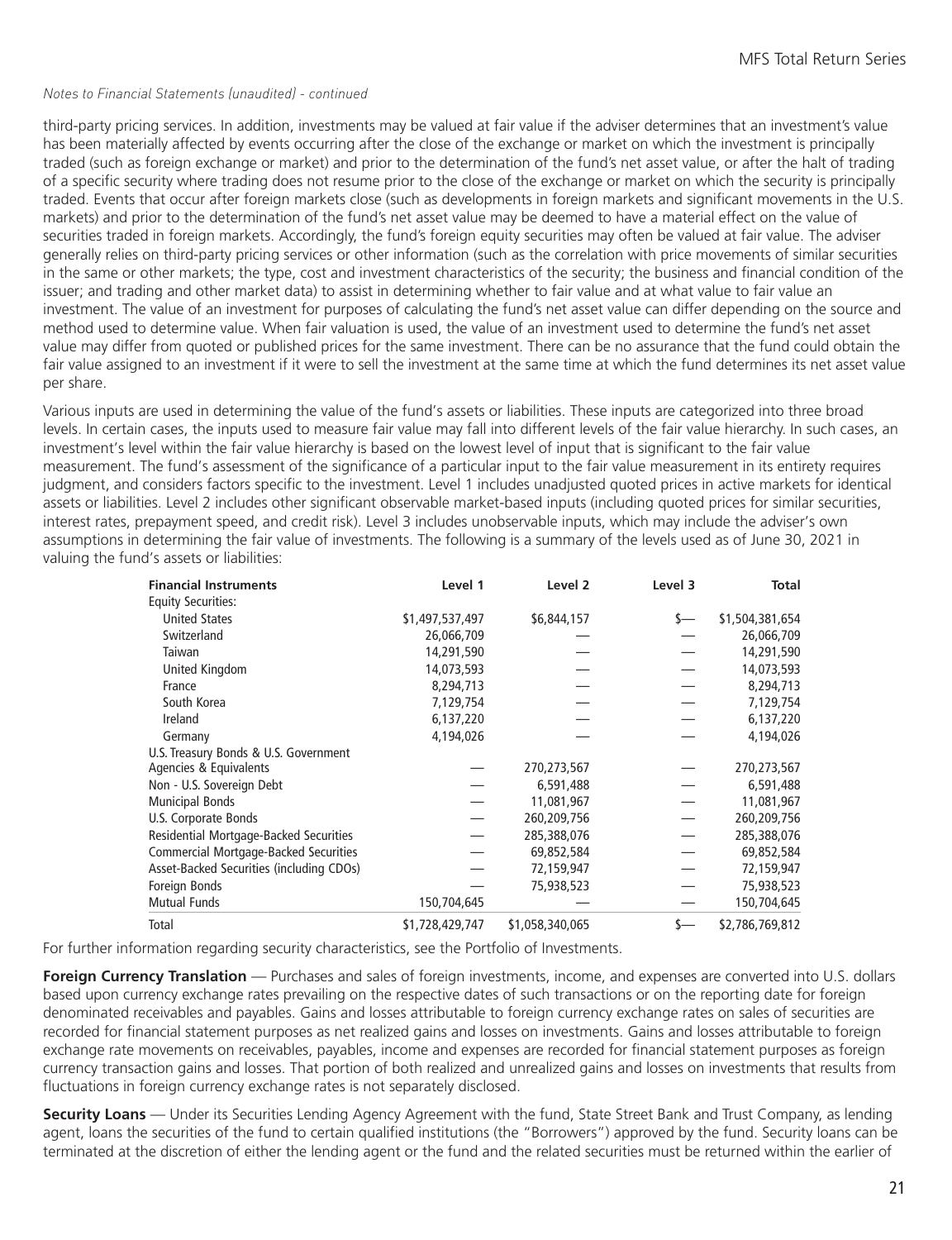#### *Notes to Financial Statements (unaudited) - continued*

third-party pricing services. In addition, investments may be valued at fair value if the adviser determines that an investment's value has been materially affected by events occurring after the close of the exchange or market on which the investment is principally traded (such as foreign exchange or market) and prior to the determination of the fund's net asset value, or after the halt of trading of a specific security where trading does not resume prior to the close of the exchange or market on which the security is principally traded. Events that occur after foreign markets close (such as developments in foreign markets and significant movements in the U.S. markets) and prior to the determination of the fund's net asset value may be deemed to have a material effect on the value of securities traded in foreign markets. Accordingly, the fund's foreign equity securities may often be valued at fair value. The adviser generally relies on third-party pricing services or other information (such as the correlation with price movements of similar securities in the same or other markets; the type, cost and investment characteristics of the security; the business and financial condition of the issuer; and trading and other market data) to assist in determining whether to fair value and at what value to fair value an investment. The value of an investment for purposes of calculating the fund's net asset value can differ depending on the source and method used to determine value. When fair valuation is used, the value of an investment used to determine the fund's net asset value may differ from quoted or published prices for the same investment. There can be no assurance that the fund could obtain the fair value assigned to an investment if it were to sell the investment at the same time at which the fund determines its net asset value per share.

Various inputs are used in determining the value of the fund's assets or liabilities. These inputs are categorized into three broad levels. In certain cases, the inputs used to measure fair value may fall into different levels of the fair value hierarchy. In such cases, an investment's level within the fair value hierarchy is based on the lowest level of input that is significant to the fair value measurement. The fund's assessment of the significance of a particular input to the fair value measurement in its entirety requires judgment, and considers factors specific to the investment. Level 1 includes unadjusted quoted prices in active markets for identical assets or liabilities. Level 2 includes other significant observable market-based inputs (including quoted prices for similar securities, interest rates, prepayment speed, and credit risk). Level 3 includes unobservable inputs, which may include the adviser's own assumptions in determining the fair value of investments. The following is a summary of the levels used as of June 30, 2021 in valuing the fund's assets or liabilities:

| <b>Financial Instruments</b>                 | Level 1         | Level 2         | Level 3 | <b>Total</b>    |
|----------------------------------------------|-----------------|-----------------|---------|-----------------|
| <b>Equity Securities:</b>                    |                 |                 |         |                 |
| <b>United States</b>                         | \$1,497,537,497 | \$6,844,157     | s—      | \$1,504,381,654 |
| Switzerland                                  | 26,066,709      |                 |         | 26,066,709      |
| Taiwan                                       | 14,291,590      |                 |         | 14,291,590      |
| United Kingdom                               | 14,073,593      |                 |         | 14,073,593      |
| France                                       | 8,294,713       |                 |         | 8,294,713       |
| South Korea                                  | 7,129,754       |                 |         | 7,129,754       |
| Ireland                                      | 6,137,220       |                 |         | 6,137,220       |
| Germany                                      | 4,194,026       |                 |         | 4,194,026       |
| U.S. Treasury Bonds & U.S. Government        |                 |                 |         |                 |
| Agencies & Equivalents                       |                 | 270,273,567     |         | 270,273,567     |
| Non - U.S. Sovereign Debt                    |                 | 6,591,488       |         | 6,591,488       |
| <b>Municipal Bonds</b>                       |                 | 11,081,967      |         | 11,081,967      |
| U.S. Corporate Bonds                         |                 | 260,209,756     |         | 260,209,756     |
| Residential Mortgage-Backed Securities       |                 | 285,388,076     |         | 285,388,076     |
| <b>Commercial Mortgage-Backed Securities</b> |                 | 69,852,584      |         | 69,852,584      |
| Asset-Backed Securities (including CDOs)     |                 | 72,159,947      |         | 72,159,947      |
| Foreign Bonds                                |                 | 75,938,523      |         | 75,938,523      |
| <b>Mutual Funds</b>                          | 150,704,645     |                 |         | 150,704,645     |
| Total                                        | \$1,728,429,747 | \$1,058,340,065 | s—      | \$2,786,769,812 |

For further information regarding security characteristics, see the Portfolio of Investments.

**Foreign Currency Translation** — Purchases and sales of foreign investments, income, and expenses are converted into U.S. dollars based upon currency exchange rates prevailing on the respective dates of such transactions or on the reporting date for foreign denominated receivables and payables. Gains and losses attributable to foreign currency exchange rates on sales of securities are recorded for financial statement purposes as net realized gains and losses on investments. Gains and losses attributable to foreign exchange rate movements on receivables, payables, income and expenses are recorded for financial statement purposes as foreign currency transaction gains and losses. That portion of both realized and unrealized gains and losses on investments that results from fluctuations in foreign currency exchange rates is not separately disclosed.

**Security Loans** — Under its Securities Lending Agency Agreement with the fund, State Street Bank and Trust Company, as lending agent, loans the securities of the fund to certain qualified institutions (the "Borrowers") approved by the fund. Security loans can be terminated at the discretion of either the lending agent or the fund and the related securities must be returned within the earlier of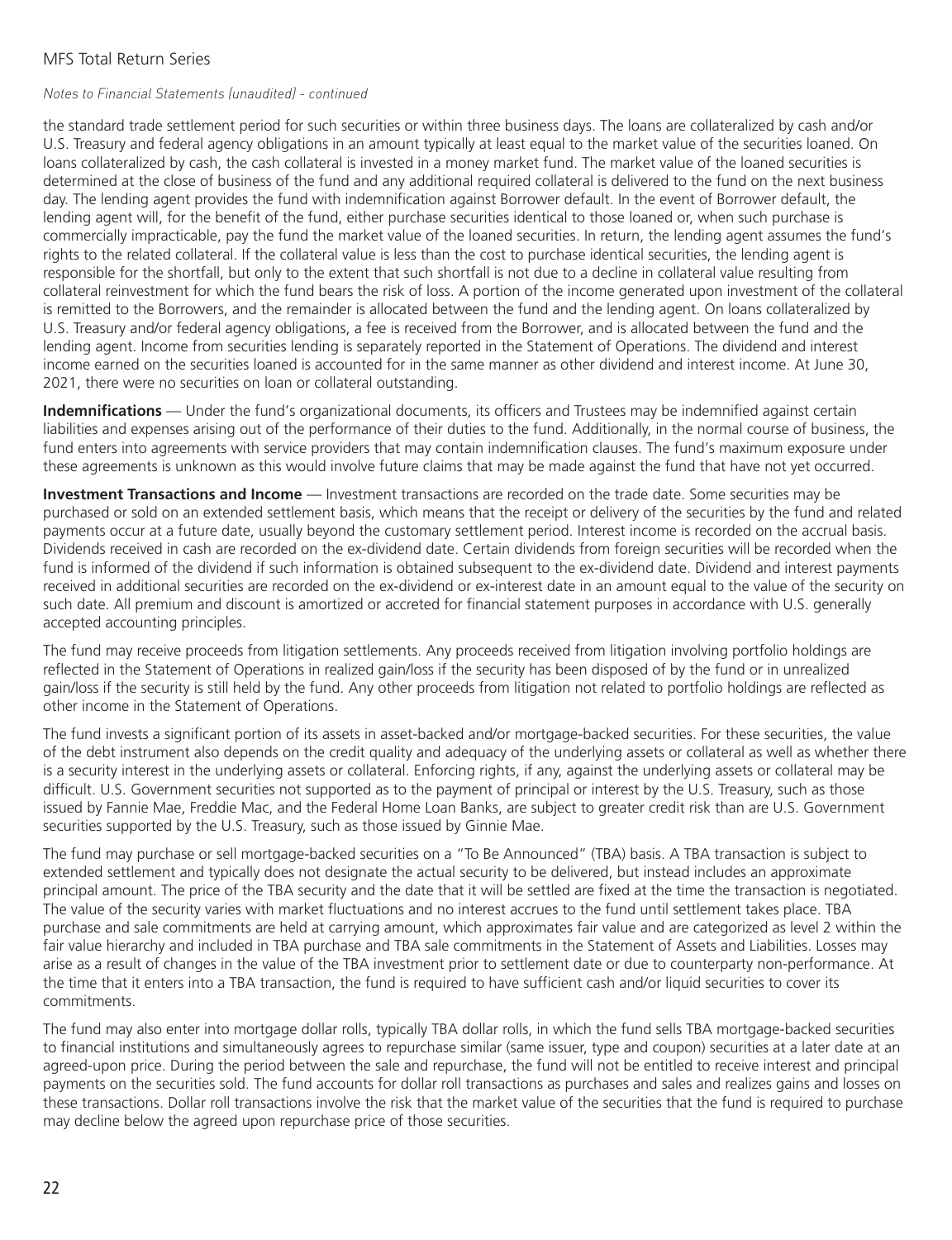#### *Notes to Financial Statements (unaudited) - continued*

the standard trade settlement period for such securities or within three business days. The loans are collateralized by cash and/or U.S. Treasury and federal agency obligations in an amount typically at least equal to the market value of the securities loaned. On loans collateralized by cash, the cash collateral is invested in a money market fund. The market value of the loaned securities is determined at the close of business of the fund and any additional required collateral is delivered to the fund on the next business day. The lending agent provides the fund with indemnification against Borrower default. In the event of Borrower default, the lending agent will, for the benefit of the fund, either purchase securities identical to those loaned or, when such purchase is commercially impracticable, pay the fund the market value of the loaned securities. In return, the lending agent assumes the fund's rights to the related collateral. If the collateral value is less than the cost to purchase identical securities, the lending agent is responsible for the shortfall, but only to the extent that such shortfall is not due to a decline in collateral value resulting from collateral reinvestment for which the fund bears the risk of loss. A portion of the income generated upon investment of the collateral is remitted to the Borrowers, and the remainder is allocated between the fund and the lending agent. On loans collateralized by U.S. Treasury and/or federal agency obligations, a fee is received from the Borrower, and is allocated between the fund and the lending agent. Income from securities lending is separately reported in the Statement of Operations. The dividend and interest income earned on the securities loaned is accounted for in the same manner as other dividend and interest income. At June 30, 2021, there were no securities on loan or collateral outstanding.

**Indemnifications** — Under the fund's organizational documents, its officers and Trustees may be indemnified against certain liabilities and expenses arising out of the performance of their duties to the fund. Additionally, in the normal course of business, the fund enters into agreements with service providers that may contain indemnification clauses. The fund's maximum exposure under these agreements is unknown as this would involve future claims that may be made against the fund that have not yet occurred.

**Investment Transactions and Income** — Investment transactions are recorded on the trade date. Some securities may be purchased or sold on an extended settlement basis, which means that the receipt or delivery of the securities by the fund and related payments occur at a future date, usually beyond the customary settlement period. Interest income is recorded on the accrual basis. Dividends received in cash are recorded on the ex-dividend date. Certain dividends from foreign securities will be recorded when the fund is informed of the dividend if such information is obtained subsequent to the ex-dividend date. Dividend and interest payments received in additional securities are recorded on the ex-dividend or ex-interest date in an amount equal to the value of the security on such date. All premium and discount is amortized or accreted for financial statement purposes in accordance with U.S. generally accepted accounting principles.

The fund may receive proceeds from litigation settlements. Any proceeds received from litigation involving portfolio holdings are reflected in the Statement of Operations in realized gain/loss if the security has been disposed of by the fund or in unrealized gain/loss if the security is still held by the fund. Any other proceeds from litigation not related to portfolio holdings are reflected as other income in the Statement of Operations.

The fund invests a significant portion of its assets in asset-backed and/or mortgage-backed securities. For these securities, the value of the debt instrument also depends on the credit quality and adequacy of the underlying assets or collateral as well as whether there is a security interest in the underlying assets or collateral. Enforcing rights, if any, against the underlying assets or collateral may be difficult. U.S. Government securities not supported as to the payment of principal or interest by the U.S. Treasury, such as those issued by Fannie Mae, Freddie Mac, and the Federal Home Loan Banks, are subject to greater credit risk than are U.S. Government securities supported by the U.S. Treasury, such as those issued by Ginnie Mae.

The fund may purchase or sell mortgage-backed securities on a "To Be Announced" (TBA) basis. A TBA transaction is subject to extended settlement and typically does not designate the actual security to be delivered, but instead includes an approximate principal amount. The price of the TBA security and the date that it will be settled are fixed at the time the transaction is negotiated. The value of the security varies with market fluctuations and no interest accrues to the fund until settlement takes place. TBA purchase and sale commitments are held at carrying amount, which approximates fair value and are categorized as level 2 within the fair value hierarchy and included in TBA purchase and TBA sale commitments in the Statement of Assets and Liabilities. Losses may arise as a result of changes in the value of the TBA investment prior to settlement date or due to counterparty non-performance. At the time that it enters into a TBA transaction, the fund is required to have sufficient cash and/or liquid securities to cover its commitments.

The fund may also enter into mortgage dollar rolls, typically TBA dollar rolls, in which the fund sells TBA mortgage-backed securities to financial institutions and simultaneously agrees to repurchase similar (same issuer, type and coupon) securities at a later date at an agreed-upon price. During the period between the sale and repurchase, the fund will not be entitled to receive interest and principal payments on the securities sold. The fund accounts for dollar roll transactions as purchases and sales and realizes gains and losses on these transactions. Dollar roll transactions involve the risk that the market value of the securities that the fund is required to purchase may decline below the agreed upon repurchase price of those securities.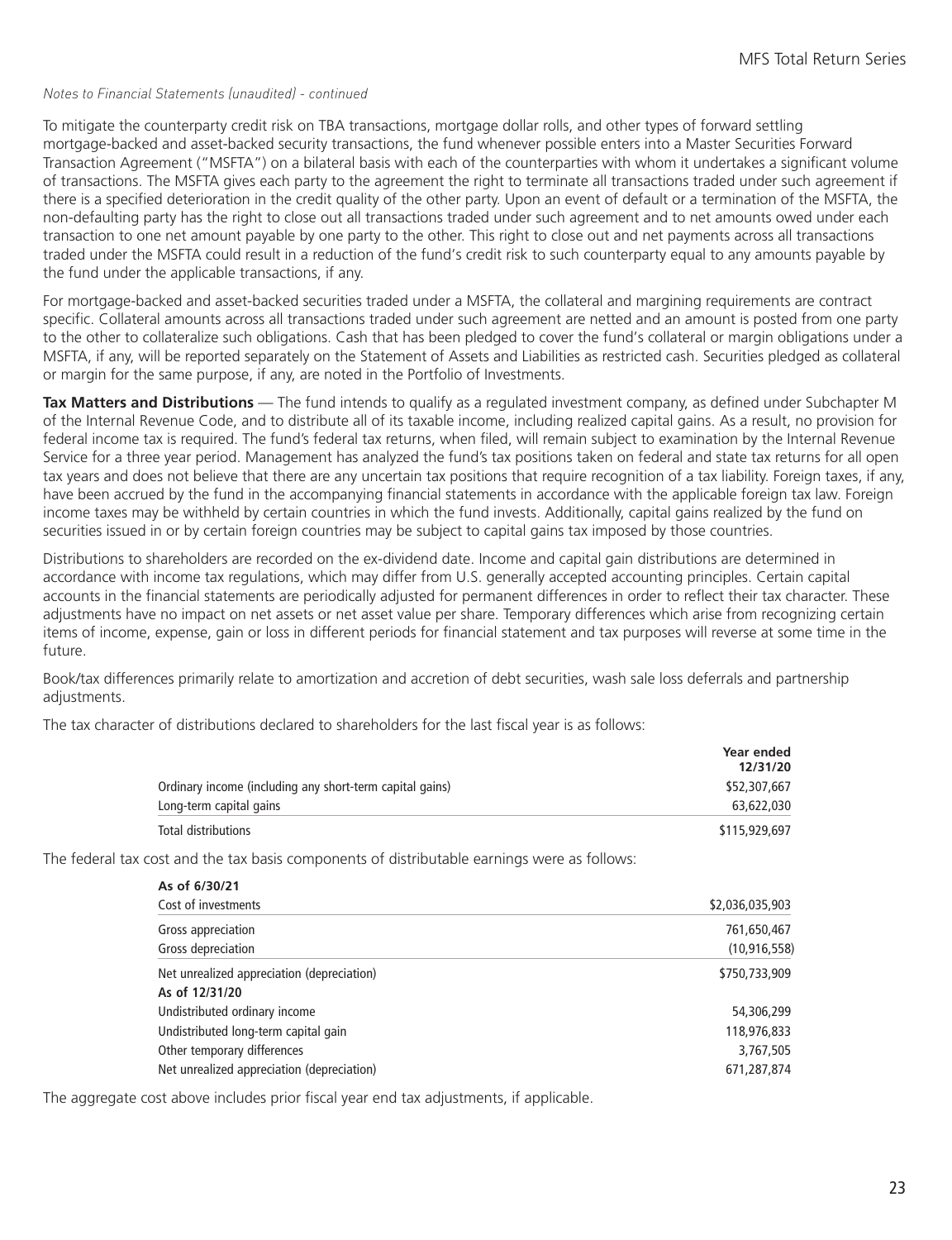#### *Notes to Financial Statements (unaudited) - continued*

To mitigate the counterparty credit risk on TBA transactions, mortgage dollar rolls, and other types of forward settling mortgage-backed and asset-backed security transactions, the fund whenever possible enters into a Master Securities Forward Transaction Agreement ("MSFTA") on a bilateral basis with each of the counterparties with whom it undertakes a significant volume of transactions. The MSFTA gives each party to the agreement the right to terminate all transactions traded under such agreement if there is a specified deterioration in the credit quality of the other party. Upon an event of default or a termination of the MSFTA, the non-defaulting party has the right to close out all transactions traded under such agreement and to net amounts owed under each transaction to one net amount payable by one party to the other. This right to close out and net payments across all transactions traded under the MSFTA could result in a reduction of the fund's credit risk to such counterparty equal to any amounts payable by the fund under the applicable transactions, if any.

For mortgage-backed and asset-backed securities traded under a MSFTA, the collateral and margining requirements are contract specific. Collateral amounts across all transactions traded under such agreement are netted and an amount is posted from one party to the other to collateralize such obligations. Cash that has been pledged to cover the fund's collateral or margin obligations under a MSFTA, if any, will be reported separately on the Statement of Assets and Liabilities as restricted cash. Securities pledged as collateral or margin for the same purpose, if any, are noted in the Portfolio of Investments.

**Tax Matters and Distributions** — The fund intends to qualify as a regulated investment company, as defined under Subchapter M of the Internal Revenue Code, and to distribute all of its taxable income, including realized capital gains. As a result, no provision for federal income tax is required. The fund's federal tax returns, when filed, will remain subject to examination by the Internal Revenue Service for a three year period. Management has analyzed the fund's tax positions taken on federal and state tax returns for all open tax years and does not believe that there are any uncertain tax positions that require recognition of a tax liability. Foreign taxes, if any, have been accrued by the fund in the accompanying financial statements in accordance with the applicable foreign tax law. Foreign income taxes may be withheld by certain countries in which the fund invests. Additionally, capital gains realized by the fund on securities issued in or by certain foreign countries may be subject to capital gains tax imposed by those countries.

Distributions to shareholders are recorded on the ex-dividend date. Income and capital gain distributions are determined in accordance with income tax regulations, which may differ from U.S. generally accepted accounting principles. Certain capital accounts in the financial statements are periodically adjusted for permanent differences in order to reflect their tax character. These adjustments have no impact on net assets or net asset value per share. Temporary differences which arise from recognizing certain items of income, expense, gain or loss in different periods for financial statement and tax purposes will reverse at some time in the future.

Book/tax differences primarily relate to amortization and accretion of debt securities, wash sale loss deferrals and partnership adjustments.

The tax character of distributions declared to shareholders for the last fiscal year is as follows:

|                                                          | Year ended<br>12/31/20 |
|----------------------------------------------------------|------------------------|
| Ordinary income (including any short-term capital gains) | \$52,307,667           |
| Long-term capital gains                                  | 63,622,030             |
| Total distributions                                      | \$115,929,697          |

The federal tax cost and the tax basis components of distributable earnings were as follows:

| As of 6/30/21                              |                 |
|--------------------------------------------|-----------------|
| Cost of investments                        | \$2,036,035,903 |
| Gross appreciation                         | 761,650,467     |
| Gross depreciation                         | (10, 916, 558)  |
| Net unrealized appreciation (depreciation) | \$750,733,909   |
| As of 12/31/20                             |                 |
| Undistributed ordinary income              | 54,306,299      |
| Undistributed long-term capital gain       | 118,976,833     |
| Other temporary differences                | 3,767,505       |
| Net unrealized appreciation (depreciation) | 671,287,874     |

The aggregate cost above includes prior fiscal year end tax adjustments, if applicable.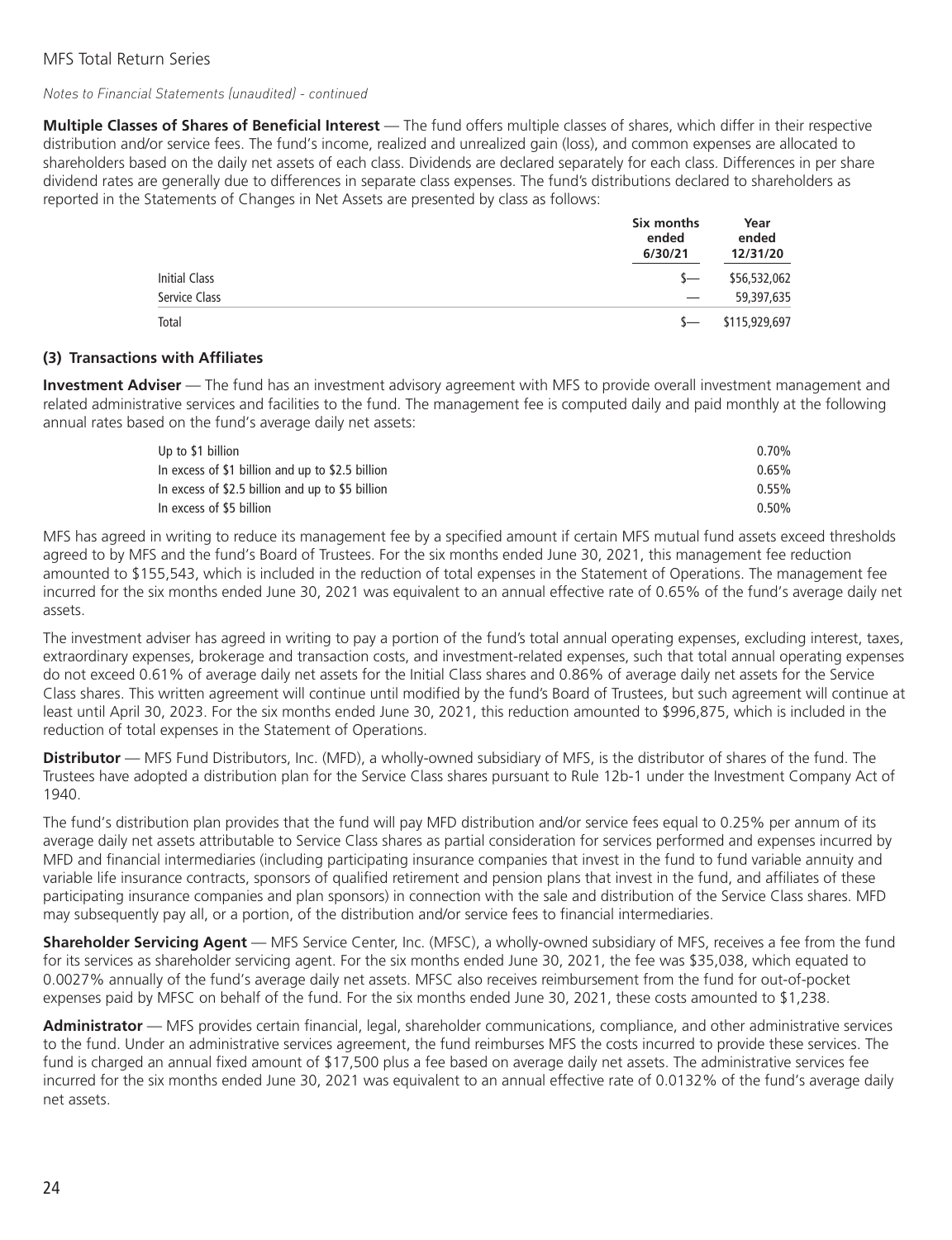#### *Notes to Financial Statements (unaudited) - continued*

**Multiple Classes of Shares of Beneficial Interest** — The fund offers multiple classes of shares, which differ in their respective distribution and/or service fees. The fund's income, realized and unrealized gain (loss), and common expenses are allocated to shareholders based on the daily net assets of each class. Dividends are declared separately for each class. Differences in per share dividend rates are generally due to differences in separate class expenses. The fund's distributions declared to shareholders as reported in the Statements of Changes in Net Assets are presented by class as follows:

|               | Six months<br>ended<br>6/30/21 | Year<br>ended<br>12/31/20 |
|---------------|--------------------------------|---------------------------|
| Initial Class | $S-$                           | \$56,532,062              |
| Service Class |                                | 59,397,635                |
| Total         | $\sim$                         | \$115,929,697             |

#### **(3) Transactions with Affiliates**

**Investment Adviser** — The fund has an investment advisory agreement with MFS to provide overall investment management and related administrative services and facilities to the fund. The management fee is computed daily and paid monthly at the following annual rates based on the fund's average daily net assets:

| Up to \$1 billion                                | $0.70\%$ |
|--------------------------------------------------|----------|
| In excess of \$1 billion and up to \$2.5 billion | $0.65\%$ |
| In excess of \$2.5 billion and up to \$5 billion | $0.55\%$ |
| In excess of \$5 billion                         | $0.50\%$ |

MFS has agreed in writing to reduce its management fee by a specified amount if certain MFS mutual fund assets exceed thresholds agreed to by MFS and the fund's Board of Trustees. For the six months ended June 30, 2021, this management fee reduction amounted to \$155,543, which is included in the reduction of total expenses in the Statement of Operations. The management fee incurred for the six months ended June 30, 2021 was equivalent to an annual effective rate of 0.65% of the fund's average daily net assets.

The investment adviser has agreed in writing to pay a portion of the fund's total annual operating expenses, excluding interest, taxes, extraordinary expenses, brokerage and transaction costs, and investment-related expenses, such that total annual operating expenses do not exceed 0.61% of average daily net assets for the Initial Class shares and 0.86% of average daily net assets for the Service Class shares. This written agreement will continue until modified by the fund's Board of Trustees, but such agreement will continue at least until April 30, 2023. For the six months ended June 30, 2021, this reduction amounted to \$996,875, which is included in the reduction of total expenses in the Statement of Operations.

**Distributor** — MFS Fund Distributors, Inc. (MFD), a wholly-owned subsidiary of MFS, is the distributor of shares of the fund. The Trustees have adopted a distribution plan for the Service Class shares pursuant to Rule 12b-1 under the Investment Company Act of 1940.

The fund's distribution plan provides that the fund will pay MFD distribution and/or service fees equal to 0.25% per annum of its average daily net assets attributable to Service Class shares as partial consideration for services performed and expenses incurred by MFD and financial intermediaries (including participating insurance companies that invest in the fund to fund variable annuity and variable life insurance contracts, sponsors of qualified retirement and pension plans that invest in the fund, and affiliates of these participating insurance companies and plan sponsors) in connection with the sale and distribution of the Service Class shares. MFD may subsequently pay all, or a portion, of the distribution and/or service fees to financial intermediaries.

**Shareholder Servicing Agent** — MFS Service Center, Inc. (MFSC), a wholly-owned subsidiary of MFS, receives a fee from the fund for its services as shareholder servicing agent. For the six months ended June 30, 2021, the fee was \$35,038, which equated to 0.0027% annually of the fund's average daily net assets. MFSC also receives reimbursement from the fund for out-of-pocket expenses paid by MFSC on behalf of the fund. For the six months ended June 30, 2021, these costs amounted to \$1,238.

**Administrator** — MFS provides certain financial, legal, shareholder communications, compliance, and other administrative services to the fund. Under an administrative services agreement, the fund reimburses MFS the costs incurred to provide these services. The fund is charged an annual fixed amount of \$17,500 plus a fee based on average daily net assets. The administrative services fee incurred for the six months ended June 30, 2021 was equivalent to an annual effective rate of 0.0132% of the fund's average daily net assets.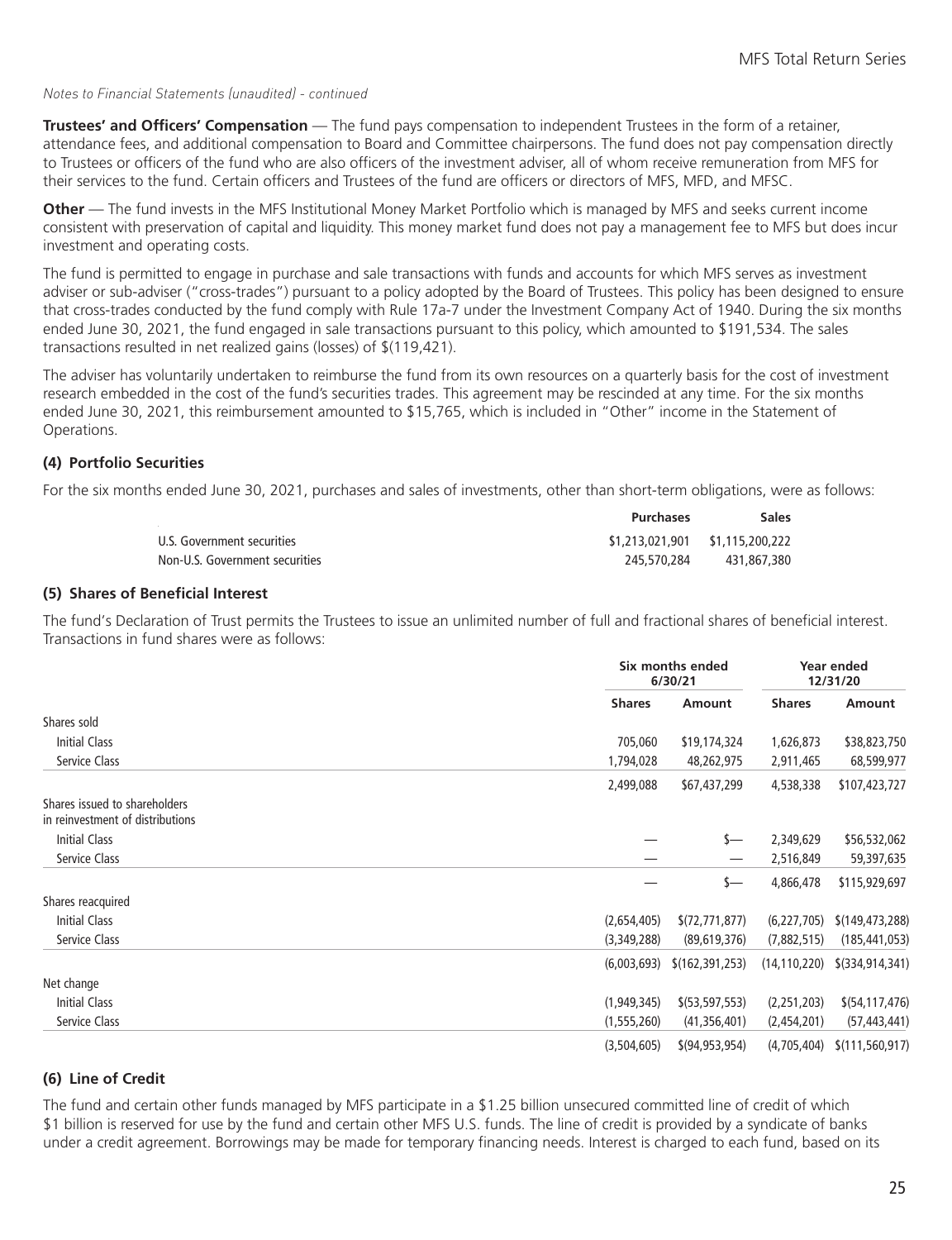#### *Notes to Financial Statements (unaudited) - continued*

**Trustees' and Officers' Compensation** — The fund pays compensation to independent Trustees in the form of a retainer, attendance fees, and additional compensation to Board and Committee chairpersons. The fund does not pay compensation directly to Trustees or officers of the fund who are also officers of the investment adviser, all of whom receive remuneration from MFS for their services to the fund. Certain officers and Trustees of the fund are officers or directors of MFS, MFD, and MFSC.

**Other** — The fund invests in the MFS Institutional Money Market Portfolio which is managed by MFS and seeks current income consistent with preservation of capital and liquidity. This money market fund does not pay a management fee to MFS but does incur investment and operating costs.

The fund is permitted to engage in purchase and sale transactions with funds and accounts for which MFS serves as investment adviser or sub-adviser ("cross-trades") pursuant to a policy adopted by the Board of Trustees. This policy has been designed to ensure that cross-trades conducted by the fund comply with Rule 17a-7 under the Investment Company Act of 1940. During the six months ended June 30, 2021, the fund engaged in sale transactions pursuant to this policy, which amounted to \$191,534. The sales transactions resulted in net realized gains (losses) of \$(119,421).

The adviser has voluntarily undertaken to reimburse the fund from its own resources on a quarterly basis for the cost of investment research embedded in the cost of the fund's securities trades. This agreement may be rescinded at any time. For the six months ended June 30, 2021, this reimbursement amounted to \$15,765, which is included in "Other" income in the Statement of Operations.

#### **(4) Portfolio Securities**

For the six months ended June 30, 2021, purchases and sales of investments, other than short-term obligations, were as follows:

|                                | <b>Purchases</b>                | Sales       |
|--------------------------------|---------------------------------|-------------|
| U.S. Government securities     | \$1,213,021,901 \$1,115,200,222 |             |
| Non-U.S. Government securities | 245,570,284                     | 431.867.380 |

#### **(5) Shares of Beneficial Interest**

The fund's Declaration of Trust permits the Trustees to issue an unlimited number of full and fractional shares of beneficial interest. Transactions in fund shares were as follows:

|                                                                   |               | Six months ended<br>6/30/21   |                | Year ended<br>12/31/20 |
|-------------------------------------------------------------------|---------------|-------------------------------|----------------|------------------------|
|                                                                   | <b>Shares</b> | Amount                        | <b>Shares</b>  | Amount                 |
| Shares sold                                                       |               |                               |                |                        |
| <b>Initial Class</b>                                              | 705,060       | \$19,174,324                  | 1,626,873      | \$38,823,750           |
| Service Class                                                     | 1,794,028     | 48,262,975                    | 2,911,465      | 68,599,977             |
|                                                                   | 2,499,088     | \$67,437,299                  | 4,538,338      | \$107,423,727          |
| Shares issued to shareholders<br>in reinvestment of distributions |               |                               |                |                        |
| Initial Class                                                     |               | s—                            | 2,349,629      | \$56,532,062           |
| Service Class                                                     |               |                               | 2,516,849      | 59,397,635             |
|                                                                   |               | \$—                           | 4,866,478      | \$115,929,697          |
| Shares reacquired                                                 |               |                               |                |                        |
| <b>Initial Class</b>                                              | (2,654,405)   | (72, 771, 877)                | (6, 227, 705)  | \$(149,473,288)        |
| Service Class                                                     | (3,349,288)   | (89,619,376)                  | (7,882,515)    | (185, 441, 053)        |
|                                                                   |               | $(6,003,693)$ $(162,391,253)$ | (14, 110, 220) | \$(334,914,341)        |
| Net change                                                        |               |                               |                |                        |
| Initial Class                                                     | (1,949,345)   | $$$ (53,597,553)              | (2,251,203)    | \$(54, 117, 476)       |
| Service Class                                                     | (1, 555, 260) | (41,356,401)                  | (2,454,201)    | (57, 443, 441)         |
|                                                                   | (3,504,605)   | \$(94, 953, 954)              | (4,705,404)    | \$(111, 560, 917)      |

#### **(6) Line of Credit**

The fund and certain other funds managed by MFS participate in a \$1.25 billion unsecured committed line of credit of which \$1 billion is reserved for use by the fund and certain other MFS U.S. funds. The line of credit is provided by a syndicate of banks under a credit agreement. Borrowings may be made for temporary financing needs. Interest is charged to each fund, based on its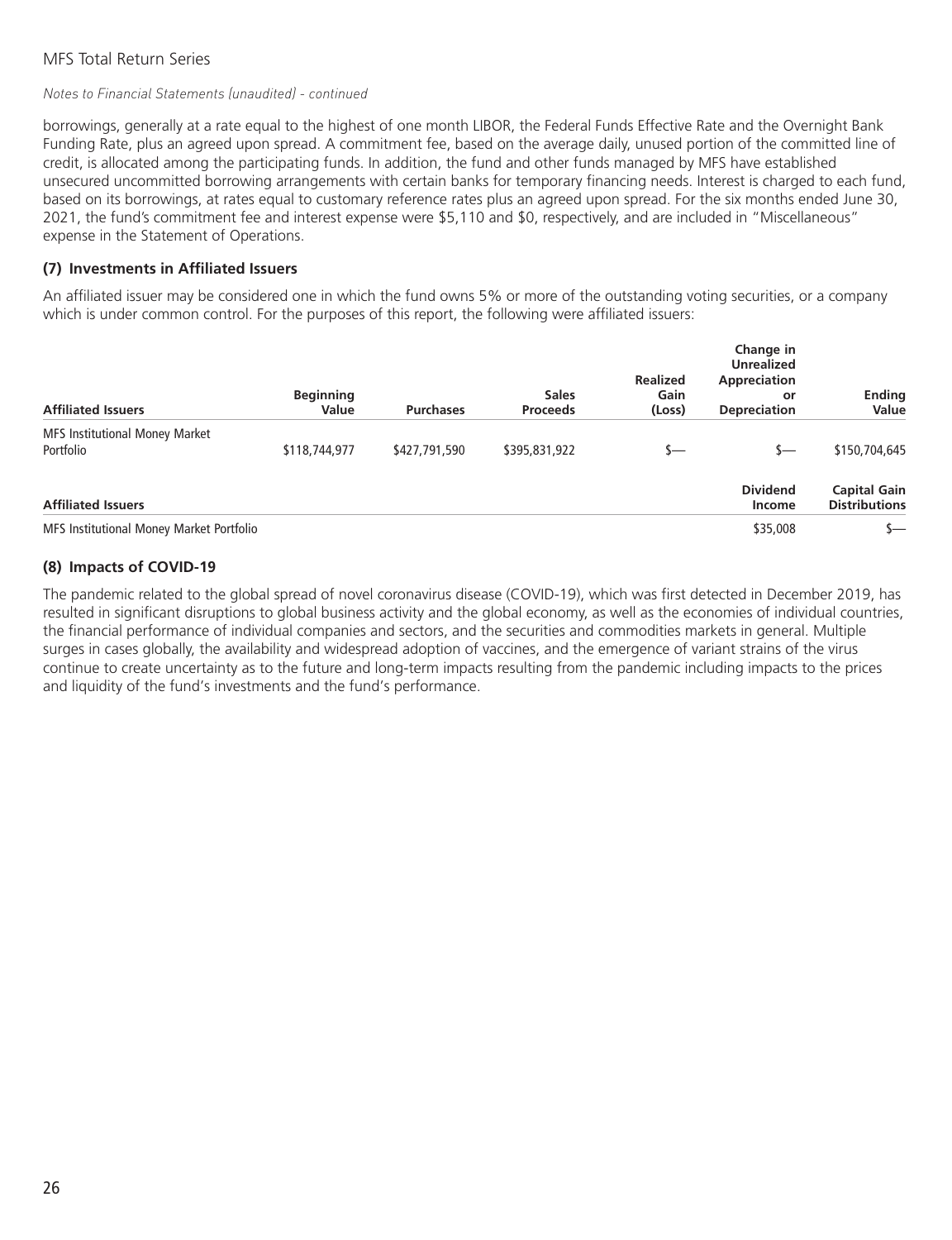#### *Notes to Financial Statements (unaudited) - continued*

borrowings, generally at a rate equal to the highest of one month LIBOR, the Federal Funds Effective Rate and the Overnight Bank Funding Rate, plus an agreed upon spread. A commitment fee, based on the average daily, unused portion of the committed line of credit, is allocated among the participating funds. In addition, the fund and other funds managed by MFS have established unsecured uncommitted borrowing arrangements with certain banks for temporary financing needs. Interest is charged to each fund, based on its borrowings, at rates equal to customary reference rates plus an agreed upon spread. For the six months ended June 30, 2021, the fund's commitment fee and interest expense were \$5,110 and \$0, respectively, and are included in "Miscellaneous" expense in the Statement of Operations.

#### **(7) Investments in Affiliated Issuers**

An affiliated issuer may be considered one in which the fund owns 5% or more of the outstanding voting securities, or a company which is under common control. For the purposes of this report, the following were affiliated issuers:

| <b>Affiliated Issuers</b>                          | <b>Beginning</b><br>Value | <b>Purchases</b> | <b>Sales</b><br><b>Proceeds</b> | <b>Realized</b><br>Gain<br>(Loss) | Change in<br><b>Unrealized</b><br>Appreciation<br>or<br><b>Depreciation</b> | <b>Ending</b><br>Value                      |
|----------------------------------------------------|---------------------------|------------------|---------------------------------|-----------------------------------|-----------------------------------------------------------------------------|---------------------------------------------|
| <b>MFS Institutional Money Market</b><br>Portfolio | \$118,744,977             | \$427,791,590    | \$395,831,922                   | s—                                | s—                                                                          | \$150,704,645                               |
| <b>Affiliated Issuers</b>                          |                           |                  |                                 |                                   | <b>Dividend</b><br>Income                                                   | <b>Capital Gain</b><br><b>Distributions</b> |
| MFS Institutional Money Market Portfolio           |                           |                  |                                 |                                   | \$35,008                                                                    | $\mathsf{s}-$                               |

#### **(8) Impacts of COVID-19**

The pandemic related to the global spread of novel coronavirus disease (COVID-19), which was first detected in December 2019, has resulted in significant disruptions to global business activity and the global economy, as well as the economies of individual countries, the financial performance of individual companies and sectors, and the securities and commodities markets in general. Multiple surges in cases globally, the availability and widespread adoption of vaccines, and the emergence of variant strains of the virus continue to create uncertainty as to the future and long-term impacts resulting from the pandemic including impacts to the prices and liquidity of the fund's investments and the fund's performance.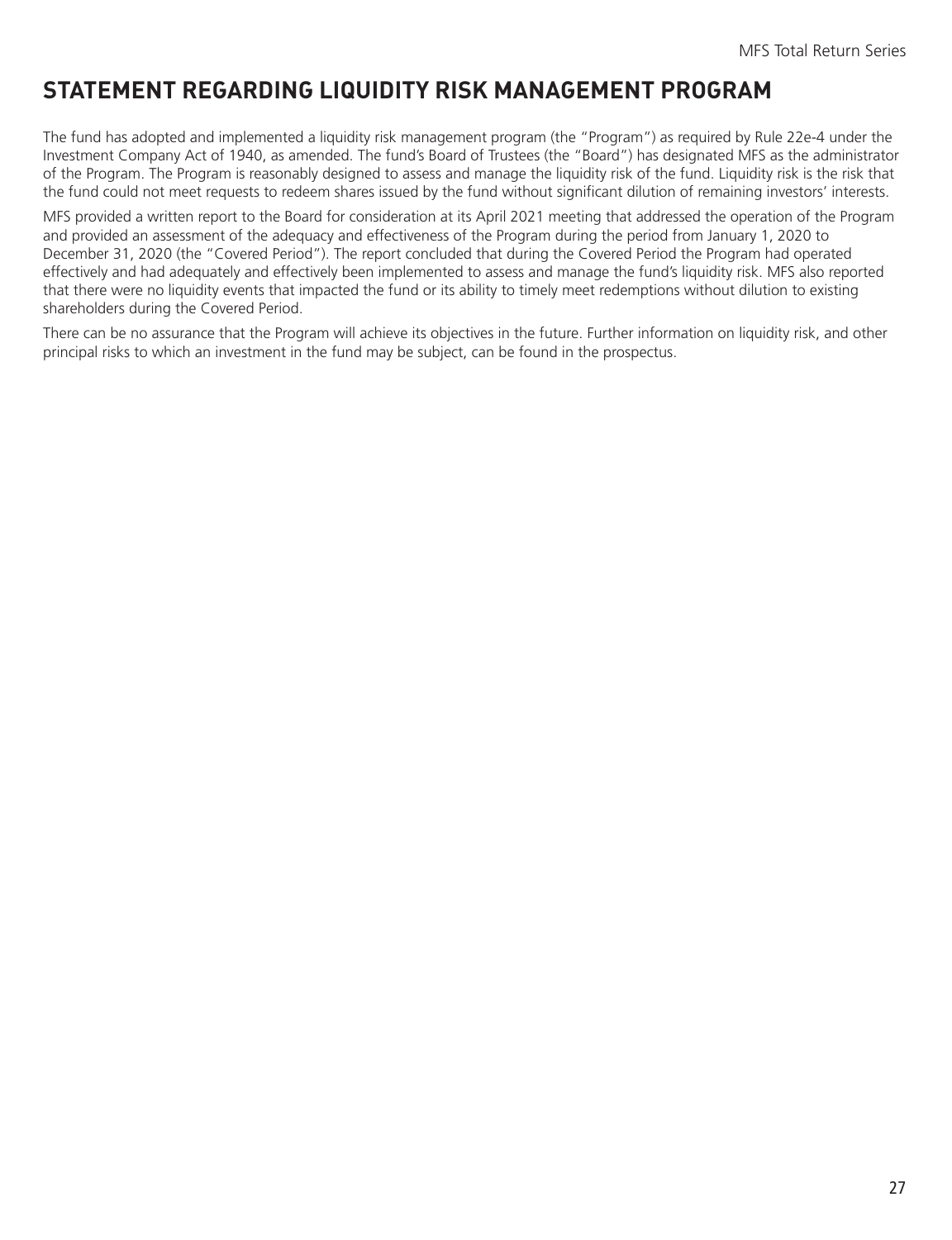# <span id="page-28-0"></span>**STATEMENT REGARDING LIQUIDITY RISK MANAGEMENT PROGRAM**

The fund has adopted and implemented a liquidity risk management program (the "Program") as required by Rule 22e-4 under the Investment Company Act of 1940, as amended. The fund's Board of Trustees (the "Board") has designated MFS as the administrator of the Program. The Program is reasonably designed to assess and manage the liquidity risk of the fund. Liquidity risk is the risk that the fund could not meet requests to redeem shares issued by the fund without significant dilution of remaining investors' interests.

MFS provided a written report to the Board for consideration at its April 2021 meeting that addressed the operation of the Program and provided an assessment of the adequacy and effectiveness of the Program during the period from January 1, 2020 to December 31, 2020 (the "Covered Period"). The report concluded that during the Covered Period the Program had operated effectively and had adequately and effectively been implemented to assess and manage the fund's liquidity risk. MFS also reported that there were no liquidity events that impacted the fund or its ability to timely meet redemptions without dilution to existing shareholders during the Covered Period.

There can be no assurance that the Program will achieve its objectives in the future. Further information on liquidity risk, and other principal risks to which an investment in the fund may be subject, can be found in the prospectus.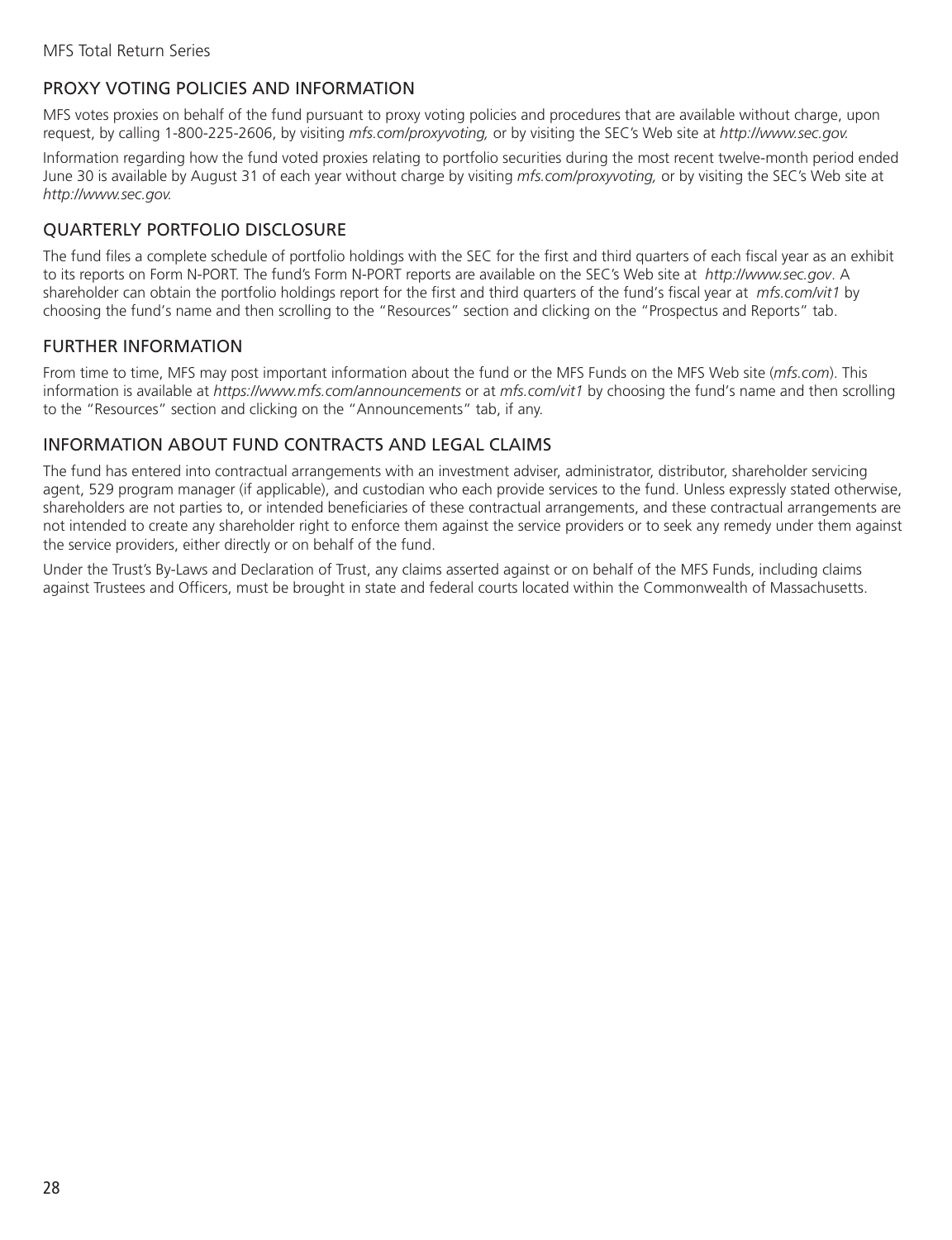## <span id="page-29-0"></span>PROXY VOTING POLICIES AND INFORMATION

MFS votes proxies on behalf of the fund pursuant to proxy voting policies and procedures that are available without charge, upon request, by calling 1-800-225-2606, by visiting *mfs.com/proxyvoting,* or by visiting the SEC's Web site at *http://www.sec.gov.*

Information regarding how the fund voted proxies relating to portfolio securities during the most recent twelve-month period ended June 30 is available by August 31 of each year without charge by visiting *mfs.com/proxyvoting,* or by visiting the SEC's Web site at *http://www.sec.gov.*

# QUARTERLY PORTFOLIO DISCLOSURE

The fund files a complete schedule of portfolio holdings with the SEC for the first and third quarters of each fiscal year as an exhibit to its reports on Form N-PORT. The fund's Form N-PORT reports are available on the SEC's Web site at *http://www.sec.gov*. A shareholder can obtain the portfolio holdings report for the first and third quarters of the fund's fiscal year at *mfs.com/vit1* by choosing the fund's name and then scrolling to the "Resources" section and clicking on the "Prospectus and Reports" tab.

### FURTHER INFORMATION

From time to time, MFS may post important information about the fund or the MFS Funds on the MFS Web site (*mfs.com*). This information is available at *https://www.mfs.com/announcements* or at *mfs.com/vit1* by choosing the fund's name and then scrolling to the "Resources" section and clicking on the "Announcements" tab, if any.

### INFORMATION ABOUT FUND CONTRACTS AND LEGAL CLAIMS

The fund has entered into contractual arrangements with an investment adviser, administrator, distributor, shareholder servicing agent, 529 program manager (if applicable), and custodian who each provide services to the fund. Unless expressly stated otherwise, shareholders are not parties to, or intended beneficiaries of these contractual arrangements, and these contractual arrangements are not intended to create any shareholder right to enforce them against the service providers or to seek any remedy under them against the service providers, either directly or on behalf of the fund.

Under the Trust's By-Laws and Declaration of Trust, any claims asserted against or on behalf of the MFS Funds, including claims against Trustees and Officers, must be brought in state and federal courts located within the Commonwealth of Massachusetts.